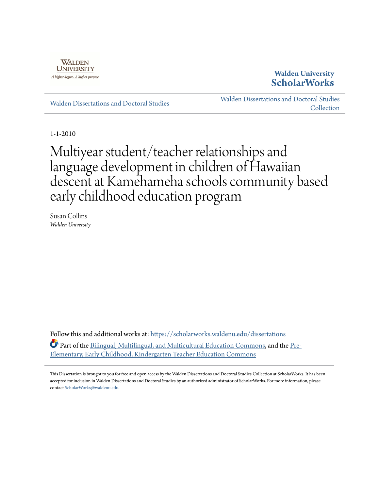

## **Walden University [ScholarWorks](https://scholarworks.waldenu.edu?utm_source=scholarworks.waldenu.edu%2Fdissertations%2F781&utm_medium=PDF&utm_campaign=PDFCoverPages)**

[Walden Dissertations and Doctoral Studies](https://scholarworks.waldenu.edu/dissertations?utm_source=scholarworks.waldenu.edu%2Fdissertations%2F781&utm_medium=PDF&utm_campaign=PDFCoverPages)

[Walden Dissertations and Doctoral Studies](https://scholarworks.waldenu.edu/dissanddoc?utm_source=scholarworks.waldenu.edu%2Fdissertations%2F781&utm_medium=PDF&utm_campaign=PDFCoverPages) [Collection](https://scholarworks.waldenu.edu/dissanddoc?utm_source=scholarworks.waldenu.edu%2Fdissertations%2F781&utm_medium=PDF&utm_campaign=PDFCoverPages)

1-1-2010

# Multiyear student/teacher relationships and language development in children of Hawaiian descent at Kamehameha schools community based early childhood education program

Susan Collins *Walden University*

Follow this and additional works at: [https://scholarworks.waldenu.edu/dissertations](https://scholarworks.waldenu.edu/dissertations?utm_source=scholarworks.waldenu.edu%2Fdissertations%2F781&utm_medium=PDF&utm_campaign=PDFCoverPages) Part of the [Bilingual, Multilingual, and Multicultural Education Commons](http://network.bepress.com/hgg/discipline/785?utm_source=scholarworks.waldenu.edu%2Fdissertations%2F781&utm_medium=PDF&utm_campaign=PDFCoverPages), and the [Pre-](http://network.bepress.com/hgg/discipline/808?utm_source=scholarworks.waldenu.edu%2Fdissertations%2F781&utm_medium=PDF&utm_campaign=PDFCoverPages)[Elementary, Early Childhood, Kindergarten Teacher Education Commons](http://network.bepress.com/hgg/discipline/808?utm_source=scholarworks.waldenu.edu%2Fdissertations%2F781&utm_medium=PDF&utm_campaign=PDFCoverPages)

This Dissertation is brought to you for free and open access by the Walden Dissertations and Doctoral Studies Collection at ScholarWorks. It has been accepted for inclusion in Walden Dissertations and Doctoral Studies by an authorized administrator of ScholarWorks. For more information, please contact [ScholarWorks@waldenu.edu](mailto:ScholarWorks@waldenu.edu).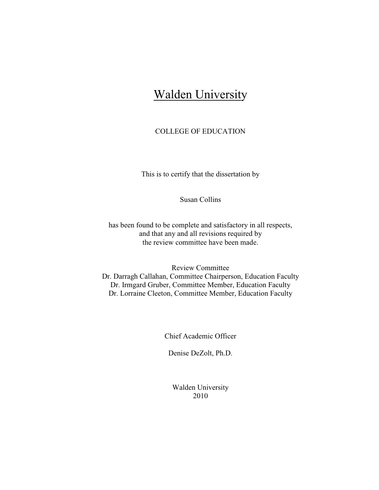## **Walden University**

## COLLEGE OF EDUCATION

This is to certify that the dissertation by

Susan Collins

has been found to be complete and satisfactory in all respects, and that any and all revisions required by the review committee have been made.

Review Committee Dr. Darragh Callahan, Committee Chairperson, Education Faculty Dr. Irmgard Gruber, Committee Member, Education Faculty Dr. Lorraine Cleeton, Committee Member, Education Faculty

Chief Academic Officer

Denise DeZolt, Ph.D.

Walden University 2010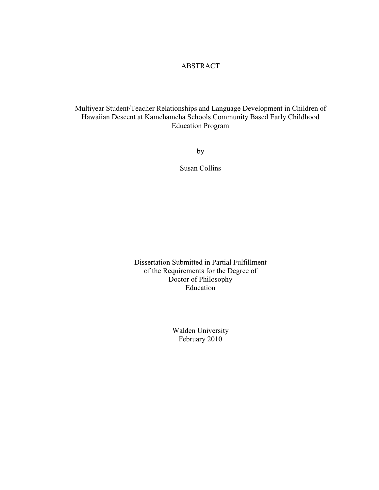## ABSTRACT

Multiyear Student/Teacher Relationships and Language Development in Children of Hawaiian Descent at Kamehameha Schools Community Based Early Childhood Education Program

by

Susan Collins

Dissertation Submitted in Partial Fulfillment of the Requirements for the Degree of Doctor of Philosophy Education

> Walden University February 2010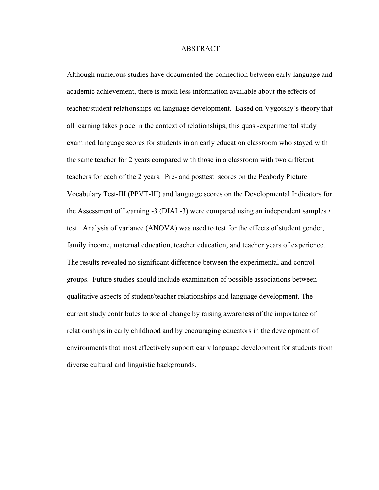#### ABSTRACT

Although numerous studies have documented the connection between early language and academic achievement, there is much less information available about the effects of teacher/student relationships on language development. Based on Vygotsky's theory that all learning takes place in the context of relationships, this quasi-experimental study examined language scores for students in an early education classroom who stayed with the same teacher for 2 years compared with those in a classroom with two different teachers for each of the 2 years. Pre- and posttest scores on the Peabody Picture Vocabulary Test-III (PPVT-III) and language scores on the Developmental Indicators for the Assessment of Learning -3 (DIAL-3) were compared using an independent samples *t*  test. Analysis of variance (ANOVA) was used to test for the effects of student gender, family income, maternal education, teacher education, and teacher years of experience. The results revealed no significant difference between the experimental and control groups. Future studies should include examination of possible associations between qualitative aspects of student/teacher relationships and language development. The current study contributes to social change by raising awareness of the importance of relationships in early childhood and by encouraging educators in the development of environments that most effectively support early language development for students from diverse cultural and linguistic backgrounds.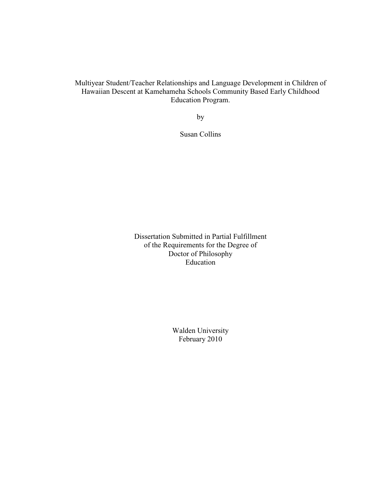Multiyear Student/Teacher Relationships and Language Development in Children of Hawaiian Descent at Kamehameha Schools Community Based Early Childhood Education Program.

by

Susan Collins

Dissertation Submitted in Partial Fulfillment of the Requirements for the Degree of Doctor of Philosophy Education

> Walden University February 2010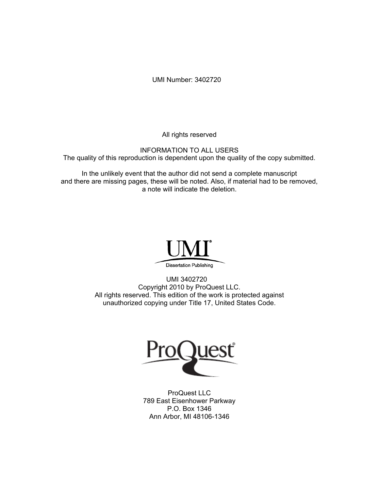UMI Number: 3402720

All rights reserved

INFORMATION TO ALL USERS The quality of this reproduction is dependent upon the quality of the copy submitted.

In the unlikely event that the author did not send a complete manuscript and there are missing pages, these will be noted. Also, if material had to be removed, a note will indicate the deletion.



UMI 3402720 Copyright 2010 by ProQuest LLC. All rights reserved. This edition of the work is protected against unauthorized copying under Title 17, United States Code.



ProQuest LLC 789 East Eisenhower Parkway P.O. Box 1346 Ann Arbor, MI 48106-1346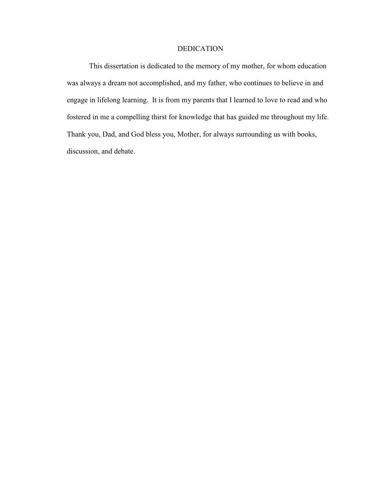### DEDICATION

This dissertation is dedicated to the memory of my mother, for whom education was always a dream not accomplished, and my father, who continues to believe in and engage in lifelong learning. It is from my parents that I learned to love to read and who fostered in me a compelling thirst for knowledge that has guided me throughout my life. Thank you, Dad, and God bless you, Mother, for always surrounding us with books, discussion, and debate.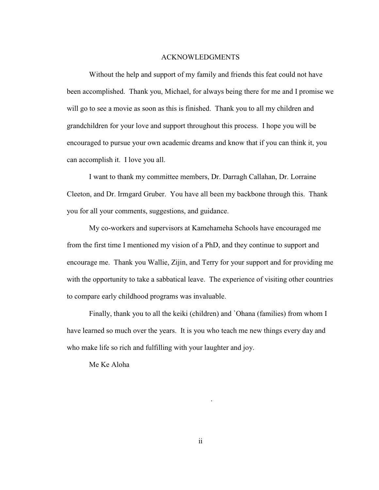#### ACKNOWLEDGMENTS

Without the help and support of my family and friends this feat could not have been accomplished. Thank you, Michael, for always being there for me and I promise we will go to see a movie as soon as this is finished. Thank you to all my children and grandchildren for your love and support throughout this process. I hope you will be encouraged to pursue your own academic dreams and know that if you can think it, you can accomplish it. I love you all.

I want to thank my committee members, Dr. Darragh Callahan, Dr. Lorraine Cleeton, and Dr. Irmgard Gruber. You have all been my backbone through this. Thank you for all your comments, suggestions, and guidance.

My co-workers and supervisors at Kamehameha Schools have encouraged me from the first time I mentioned my vision of a PhD, and they continue to support and encourage me. Thank you Wallie, Zijin, and Terry for your support and for providing me with the opportunity to take a sabbatical leave. The experience of visiting other countries to compare early childhood programs was invaluable.

Finally, thank you to all the keiki (children) and `Ohana (families) from whom I have learned so much over the years. It is you who teach me new things every day and who make life so rich and fulfilling with your laughter and joy.

Me Ke Aloha

.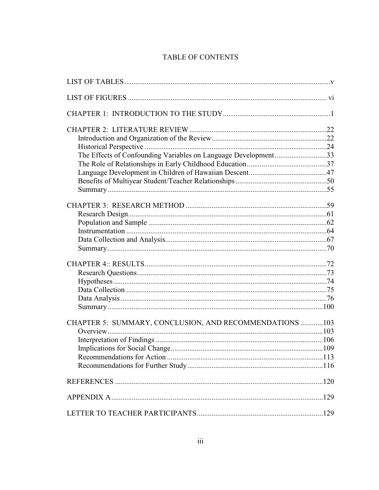## TABLE OF CONTENTS

| The Effects of Confounding Variables on Language Development33 |  |
|----------------------------------------------------------------|--|
|                                                                |  |
|                                                                |  |
|                                                                |  |
|                                                                |  |
|                                                                |  |
|                                                                |  |
|                                                                |  |
|                                                                |  |
|                                                                |  |
|                                                                |  |
|                                                                |  |
|                                                                |  |
|                                                                |  |
|                                                                |  |
|                                                                |  |
|                                                                |  |
|                                                                |  |
|                                                                |  |
| CHAPTER 5: SUMMARY, CONCLUSION, AND RECOMMENDATIONS 103        |  |
|                                                                |  |
|                                                                |  |
|                                                                |  |
|                                                                |  |
|                                                                |  |
|                                                                |  |
|                                                                |  |
|                                                                |  |
|                                                                |  |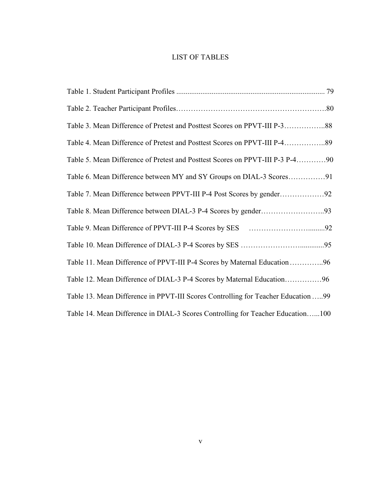## LIST OF TABLES

| Table 3. Mean Difference of Pretest and Posttest Scores on PPVT-III P-388         |
|-----------------------------------------------------------------------------------|
| Table 4. Mean Difference of Pretest and Posttest Scores on PPVT-III P-489         |
| Table 5. Mean Difference of Pretest and Posttest Scores on PPVT-III P-3 P-490     |
|                                                                                   |
|                                                                                   |
|                                                                                   |
|                                                                                   |
|                                                                                   |
| Table 11. Mean Difference of PPVT-III P-4 Scores by Maternal Education96          |
| Table 12. Mean Difference of DIAL-3 P-4 Scores by Maternal Education96            |
| Table 13. Mean Difference in PPVT-III Scores Controlling for Teacher Education 99 |
| Table 14. Mean Difference in DIAL-3 Scores Controlling for Teacher Education100   |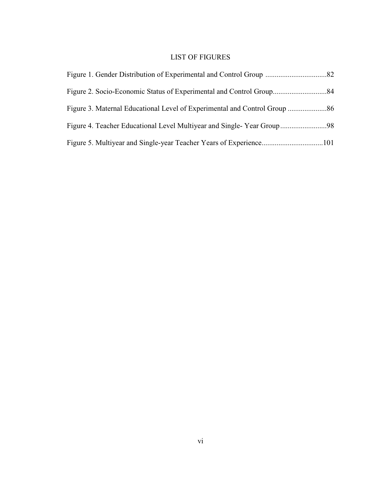## LIST OF FIGURES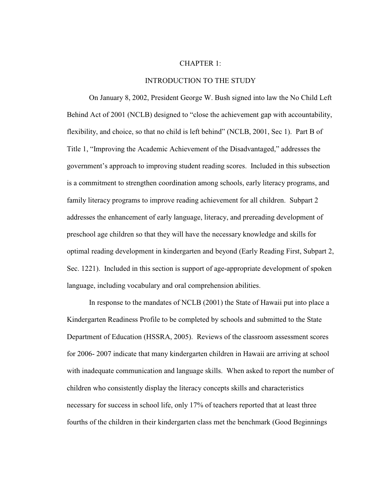#### CHAPTER 1:

#### INTRODUCTION TO THE STUDY

On January 8, 2002, President George W. Bush signed into law the No Child Left Behind Act of 2001 (NCLB) designed to "close the achievement gap with accountability, flexibility, and choice, so that no child is left behind" (NCLB, 2001, Sec 1). Part B of Title 1, "Improving the Academic Achievement of the Disadvantaged," addresses the government's approach to improving student reading scores. Included in this subsection is a commitment to strengthen coordination among schools, early literacy programs, and family literacy programs to improve reading achievement for all children. Subpart 2 addresses the enhancement of early language, literacy, and prereading development of preschool age children so that they will have the necessary knowledge and skills for optimal reading development in kindergarten and beyond (Early Reading First, Subpart 2, Sec. 1221). Included in this section is support of age-appropriate development of spoken language, including vocabulary and oral comprehension abilities.

In response to the mandates of NCLB (2001) the State of Hawaii put into place a Kindergarten Readiness Profile to be completed by schools and submitted to the State Department of Education (HSSRA, 2005). Reviews of the classroom assessment scores for 2006- 2007 indicate that many kindergarten children in Hawaii are arriving at school with inadequate communication and language skills. When asked to report the number of children who consistently display the literacy concepts skills and characteristics necessary for success in school life, only 17% of teachers reported that at least three fourths of the children in their kindergarten class met the benchmark (Good Beginnings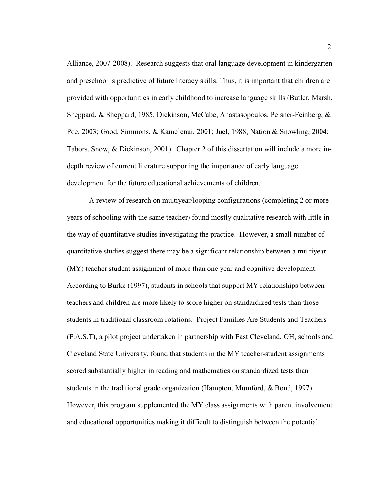Alliance, 2007-2008). Research suggests that oral language development in kindergarten and preschool is predictive of future literacy skills. Thus, it is important that children are provided with opportunities in early childhood to increase language skills (Butler, Marsh, Sheppard, & Sheppard, 1985; Dickinson, McCabe, Anastasopoulos, Peisner-Feinberg, & Poe, 2003; Good, Simmons, & Kame`enui, 2001; Juel, 1988; Nation & Snowling, 2004; Tabors, Snow, & Dickinson, 2001). Chapter 2 of this dissertation will include a more indepth review of current literature supporting the importance of early language development for the future educational achievements of children.

A review of research on multiyear/looping configurations (completing 2 or more years of schooling with the same teacher) found mostly qualitative research with little in the way of quantitative studies investigating the practice. However, a small number of quantitative studies suggest there may be a significant relationship between a multiyear (MY) teacher student assignment of more than one year and cognitive development. According to Burke (1997), students in schools that support MY relationships between teachers and children are more likely to score higher on standardized tests than those students in traditional classroom rotations. Project Families Are Students and Teachers (F.A.S.T), a pilot project undertaken in partnership with East Cleveland, OH, schools and Cleveland State University, found that students in the MY teacher-student assignments scored substantially higher in reading and mathematics on standardized tests than students in the traditional grade organization (Hampton, Mumford, & Bond, 1997). However, this program supplemented the MY class assignments with parent involvement and educational opportunities making it difficult to distinguish between the potential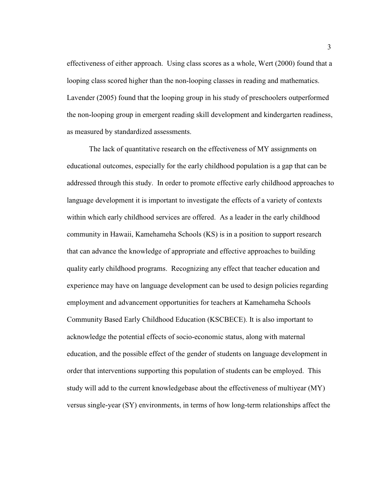effectiveness of either approach. Using class scores as a whole, Wert (2000) found that a looping class scored higher than the non-looping classes in reading and mathematics. Lavender (2005) found that the looping group in his study of preschoolers outperformed the non-looping group in emergent reading skill development and kindergarten readiness, as measured by standardized assessments.

The lack of quantitative research on the effectiveness of MY assignments on educational outcomes, especially for the early childhood population is a gap that can be addressed through this study. In order to promote effective early childhood approaches to language development it is important to investigate the effects of a variety of contexts within which early childhood services are offered. As a leader in the early childhood community in Hawaii, Kamehameha Schools (KS) is in a position to support research that can advance the knowledge of appropriate and effective approaches to building quality early childhood programs. Recognizing any effect that teacher education and experience may have on language development can be used to design policies regarding employment and advancement opportunities for teachers at Kamehameha Schools Community Based Early Childhood Education (KSCBECE). It is also important to acknowledge the potential effects of socio-economic status, along with maternal education, and the possible effect of the gender of students on language development in order that interventions supporting this population of students can be employed. This study will add to the current knowledgebase about the effectiveness of multiyear (MY) versus single-year (SY) environments, in terms of how long-term relationships affect the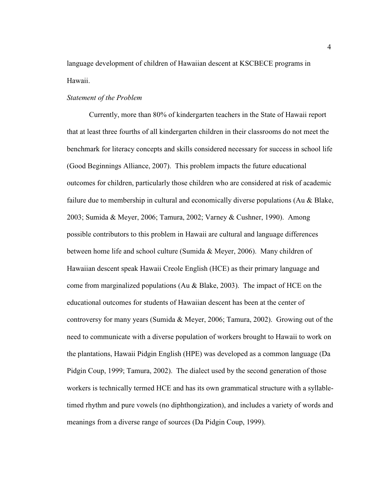language development of children of Hawaiian descent at KSCBECE programs in Hawaii.

#### *Statement of the Problem*

Currently, more than 80% of kindergarten teachers in the State of Hawaii report that at least three fourths of all kindergarten children in their classrooms do not meet the benchmark for literacy concepts and skills considered necessary for success in school life (Good Beginnings Alliance, 2007). This problem impacts the future educational outcomes for children, particularly those children who are considered at risk of academic failure due to membership in cultural and economically diverse populations (Au & Blake, 2003; Sumida & Meyer, 2006; Tamura, 2002; Varney & Cushner, 1990). Among possible contributors to this problem in Hawaii are cultural and language differences between home life and school culture (Sumida & Meyer, 2006). Many children of Hawaiian descent speak Hawaii Creole English (HCE) as their primary language and come from marginalized populations (Au & Blake, 2003). The impact of HCE on the educational outcomes for students of Hawaiian descent has been at the center of controversy for many years (Sumida & Meyer, 2006; Tamura, 2002). Growing out of the need to communicate with a diverse population of workers brought to Hawaii to work on the plantations, Hawaii Pidgin English (HPE) was developed as a common language (Da Pidgin Coup, 1999; Tamura, 2002). The dialect used by the second generation of those workers is technically termed HCE and has its own grammatical structure with a syllabletimed rhythm and pure vowels (no diphthongization), and includes a variety of words and meanings from a diverse range of sources (Da Pidgin Coup, 1999).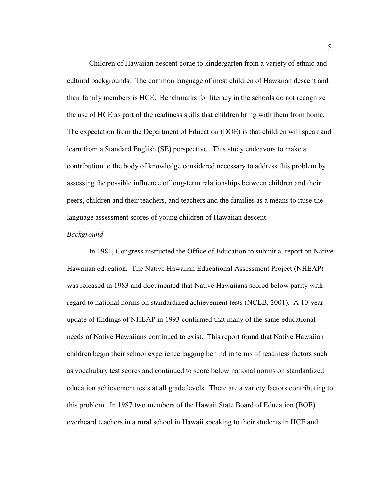Children of Hawaiian descent come to kindergarten from a variety of ethnic and cultural backgrounds. The common language of most children of Hawaiian descent and their family members is HCE. Benchmarks for literacy in the schools do not recognize the use of HCE as part of the readiness skills that children bring with them from home. The expectation from the Department of Education (DOE) is that children will speak and learn from a Standard English (SE) perspective. This study endeavors to make a contribution to the body of knowledge considered necessary to address this problem by assessing the possible influence of long-term relationships between children and their peers, children and their teachers, and teachers and the families as a means to raise the language assessment scores of young children of Hawaiian descent.

#### *Background*

In 1981, Congress instructed the Office of Education to submit a report on Native Hawaiian education. The Native Hawaiian Educational Assessment Project (NHEAP) was released in 1983 and documented that Native Hawaiians scored below parity with regard to national norms on standardized achievement tests (NCLB, 2001). A 10-year update of findings of NHEAP in 1993 confirmed that many of the same educational needs of Native Hawaiians continued to exist. This report found that Native Hawaiian children begin their school experience lagging behind in terms of readiness factors such as vocabulary test scores and continued to score below national norms on standardized education achievement tests at all grade levels. There are a variety factors contributing to this problem. In 1987 two members of the Hawaii State Board of Education (BOE) overheard teachers in a rural school in Hawaii speaking to their students in HCE and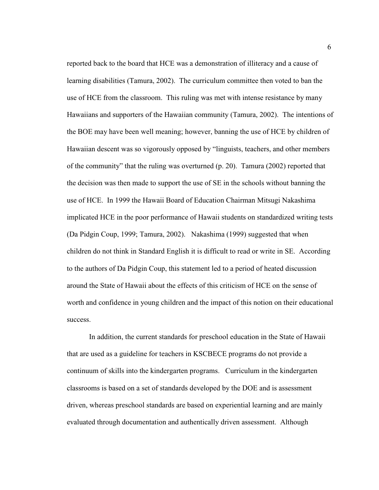reported back to the board that HCE was a demonstration of illiteracy and a cause of learning disabilities (Tamura, 2002). The curriculum committee then voted to ban the use of HCE from the classroom. This ruling was met with intense resistance by many Hawaiians and supporters of the Hawaiian community (Tamura, 2002). The intentions of the BOE may have been well meaning; however, banning the use of HCE by children of Hawaiian descent was so vigorously opposed by "linguists, teachers, and other members of the community" that the ruling was overturned (p. 20). Tamura (2002) reported that the decision was then made to support the use of SE in the schools without banning the use of HCE. In 1999 the Hawaii Board of Education Chairman Mitsugi Nakashima implicated HCE in the poor performance of Hawaii students on standardized writing tests (Da Pidgin Coup, 1999; Tamura, 2002). Nakashima (1999) suggested that when children do not think in Standard English it is difficult to read or write in SE. According to the authors of Da Pidgin Coup, this statement led to a period of heated discussion around the State of Hawaii about the effects of this criticism of HCE on the sense of worth and confidence in young children and the impact of this notion on their educational success.

In addition, the current standards for preschool education in the State of Hawaii that are used as a guideline for teachers in KSCBECE programs do not provide a continuum of skills into the kindergarten programs. Curriculum in the kindergarten classrooms is based on a set of standards developed by the DOE and is assessment driven, whereas preschool standards are based on experiential learning and are mainly evaluated through documentation and authentically driven assessment. Although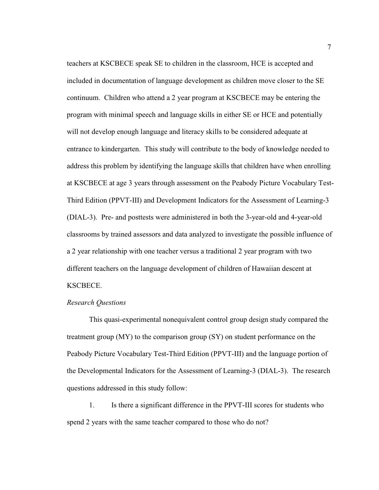teachers at KSCBECE speak SE to children in the classroom, HCE is accepted and included in documentation of language development as children move closer to the SE continuum. Children who attend a 2 year program at KSCBECE may be entering the program with minimal speech and language skills in either SE or HCE and potentially will not develop enough language and literacy skills to be considered adequate at entrance to kindergarten. This study will contribute to the body of knowledge needed to address this problem by identifying the language skills that children have when enrolling at KSCBECE at age 3 years through assessment on the Peabody Picture Vocabulary Test-Third Edition (PPVT-III) and Development Indicators for the Assessment of Learning-3 (DIAL-3). Pre- and posttests were administered in both the 3-year-old and 4-year-old classrooms by trained assessors and data analyzed to investigate the possible influence of a 2 year relationship with one teacher versus a traditional 2 year program with two different teachers on the language development of children of Hawaiian descent at KSCBECE.

#### *Research Questions*

 This quasi-experimental nonequivalent control group design study compared the treatment group (MY) to the comparison group (SY) on student performance on the Peabody Picture Vocabulary Test-Third Edition (PPVT-III) and the language portion of the Developmental Indicators for the Assessment of Learning-3 (DIAL-3). The research questions addressed in this study follow:

1. Is there a significant difference in the PPVT-III scores for students who spend 2 years with the same teacher compared to those who do not?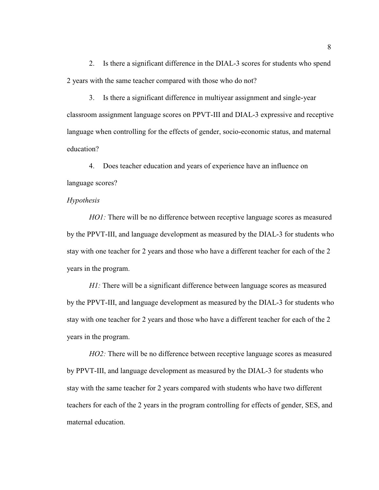2. Is there a significant difference in the DIAL-3 scores for students who spend 2 years with the same teacher compared with those who do not?

3. Is there a significant difference in multiyear assignment and single-year classroom assignment language scores on PPVT-III and DIAL-3 expressive and receptive language when controlling for the effects of gender, socio-economic status, and maternal education?

4. Does teacher education and years of experience have an influence on language scores?

#### *Hypothesis*

*HO1*: There will be no difference between receptive language scores as measured by the PPVT-III, and language development as measured by the DIAL-3 for students who stay with one teacher for 2 years and those who have a different teacher for each of the 2 years in the program.

*H1*: There will be a significant difference between language scores as measured by the PPVT-III, and language development as measured by the DIAL-3 for students who stay with one teacher for 2 years and those who have a different teacher for each of the 2 years in the program.

*HO2:* There will be no difference between receptive language scores as measured by PPVT-III, and language development as measured by the DIAL-3 for students who stay with the same teacher for 2 years compared with students who have two different teachers for each of the 2 years in the program controlling for effects of gender, SES, and maternal education.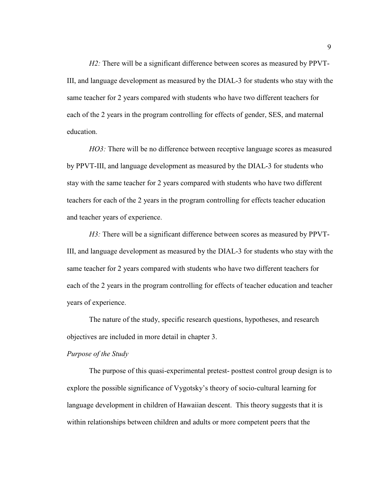*H2:* There will be a significant difference between scores as measured by PPVT-III, and language development as measured by the DIAL-3 for students who stay with the same teacher for 2 years compared with students who have two different teachers for each of the 2 years in the program controlling for effects of gender, SES, and maternal education.

*HO3*: There will be no difference between receptive language scores as measured by PPVT-III, and language development as measured by the DIAL-3 for students who stay with the same teacher for 2 years compared with students who have two different teachers for each of the 2 years in the program controlling for effects teacher education and teacher years of experience.

*H3*: There will be a significant difference between scores as measured by PPVT-III, and language development as measured by the DIAL-3 for students who stay with the same teacher for 2 years compared with students who have two different teachers for each of the 2 years in the program controlling for effects of teacher education and teacher years of experience.

 The nature of the study, specific research questions, hypotheses, and research objectives are included in more detail in chapter 3.

#### *Purpose of the Study*

The purpose of this quasi-experimental pretest- posttest control group design is to explore the possible significance of Vygotsky's theory of socio-cultural learning for language development in children of Hawaiian descent. This theory suggests that it is within relationships between children and adults or more competent peers that the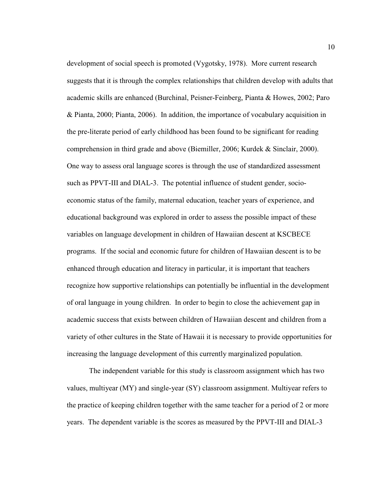development of social speech is promoted (Vygotsky, 1978). More current research suggests that it is through the complex relationships that children develop with adults that academic skills are enhanced (Burchinal, Peisner-Feinberg, Pianta & Howes, 2002; Paro & Pianta, 2000; Pianta, 2006). In addition, the importance of vocabulary acquisition in the pre-literate period of early childhood has been found to be significant for reading comprehension in third grade and above (Biemiller, 2006; Kurdek & Sinclair, 2000). One way to assess oral language scores is through the use of standardized assessment such as PPVT-III and DIAL-3. The potential influence of student gender, socioeconomic status of the family, maternal education, teacher years of experience, and educational background was explored in order to assess the possible impact of these variables on language development in children of Hawaiian descent at KSCBECE programs. If the social and economic future for children of Hawaiian descent is to be enhanced through education and literacy in particular, it is important that teachers recognize how supportive relationships can potentially be influential in the development of oral language in young children. In order to begin to close the achievement gap in academic success that exists between children of Hawaiian descent and children from a variety of other cultures in the State of Hawaii it is necessary to provide opportunities for increasing the language development of this currently marginalized population.

 The independent variable for this study is classroom assignment which has two values, multiyear (MY) and single-year (SY) classroom assignment. Multiyear refers to the practice of keeping children together with the same teacher for a period of 2 or more years. The dependent variable is the scores as measured by the PPVT-III and DIAL-3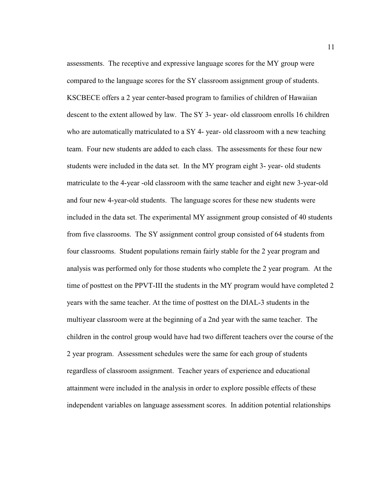assessments. The receptive and expressive language scores for the MY group were compared to the language scores for the SY classroom assignment group of students. KSCBECE offers a 2 year center-based program to families of children of Hawaiian descent to the extent allowed by law. The SY 3- year- old classroom enrolls 16 children who are automatically matriculated to a SY 4- year- old classroom with a new teaching team. Four new students are added to each class. The assessments for these four new students were included in the data set. In the MY program eight 3- year- old students matriculate to the 4-year -old classroom with the same teacher and eight new 3-year-old and four new 4-year-old students. The language scores for these new students were included in the data set. The experimental MY assignment group consisted of 40 students from five classrooms. The SY assignment control group consisted of 64 students from four classrooms. Student populations remain fairly stable for the 2 year program and analysis was performed only for those students who complete the 2 year program. At the time of posttest on the PPVT-III the students in the MY program would have completed 2 years with the same teacher. At the time of posttest on the DIAL-3 students in the multiyear classroom were at the beginning of a 2nd year with the same teacher. The children in the control group would have had two different teachers over the course of the 2 year program. Assessment schedules were the same for each group of students regardless of classroom assignment. Teacher years of experience and educational attainment were included in the analysis in order to explore possible effects of these independent variables on language assessment scores. In addition potential relationships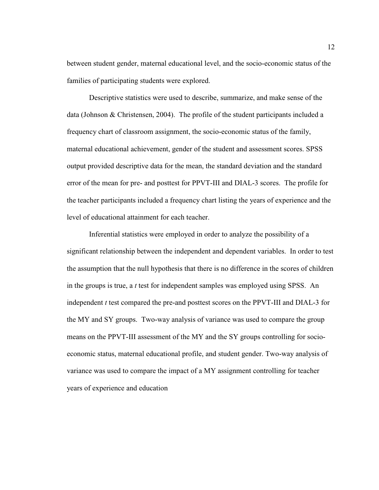between student gender, maternal educational level, and the socio-economic status of the families of participating students were explored.

Descriptive statistics were used to describe, summarize, and make sense of the data (Johnson & Christensen, 2004). The profile of the student participants included a frequency chart of classroom assignment, the socio-economic status of the family, maternal educational achievement, gender of the student and assessment scores. SPSS output provided descriptive data for the mean, the standard deviation and the standard error of the mean for pre- and posttest for PPVT-III and DIAL-3 scores. The profile for the teacher participants included a frequency chart listing the years of experience and the level of educational attainment for each teacher.

Inferential statistics were employed in order to analyze the possibility of a significant relationship between the independent and dependent variables. In order to test the assumption that the null hypothesis that there is no difference in the scores of children in the groups is true, a *t* test for independent samples was employed using SPSS. An independent *t* test compared the pre-and posttest scores on the PPVT-III and DIAL-3 for the MY and SY groups. Two-way analysis of variance was used to compare the group means on the PPVT-III assessment of the MY and the SY groups controlling for socioeconomic status, maternal educational profile, and student gender. Two-way analysis of variance was used to compare the impact of a MY assignment controlling for teacher years of experience and education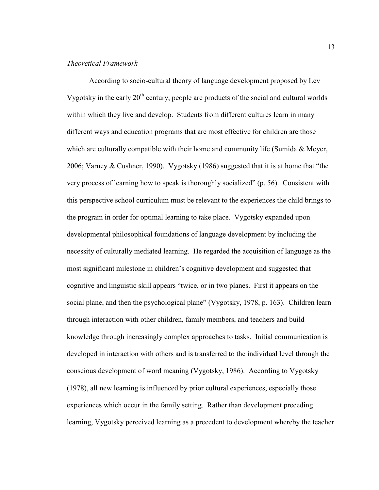#### *Theoretical Framework*

 According to socio-cultural theory of language development proposed by Lev Vygotsky in the early  $20<sup>th</sup>$  century, people are products of the social and cultural worlds within which they live and develop. Students from different cultures learn in many different ways and education programs that are most effective for children are those which are culturally compatible with their home and community life (Sumida  $\&$  Meyer, 2006; Varney & Cushner, 1990). Vygotsky (1986) suggested that it is at home that "the very process of learning how to speak is thoroughly socialized" (p. 56). Consistent with this perspective school curriculum must be relevant to the experiences the child brings to the program in order for optimal learning to take place. Vygotsky expanded upon developmental philosophical foundations of language development by including the necessity of culturally mediated learning. He regarded the acquisition of language as the most significant milestone in children's cognitive development and suggested that cognitive and linguistic skill appears "twice, or in two planes. First it appears on the social plane, and then the psychological plane" (Vygotsky, 1978, p. 163). Children learn through interaction with other children, family members, and teachers and build knowledge through increasingly complex approaches to tasks. Initial communication is developed in interaction with others and is transferred to the individual level through the conscious development of word meaning (Vygotsky, 1986). According to Vygotsky (1978), all new learning is influenced by prior cultural experiences, especially those experiences which occur in the family setting. Rather than development preceding learning, Vygotsky perceived learning as a precedent to development whereby the teacher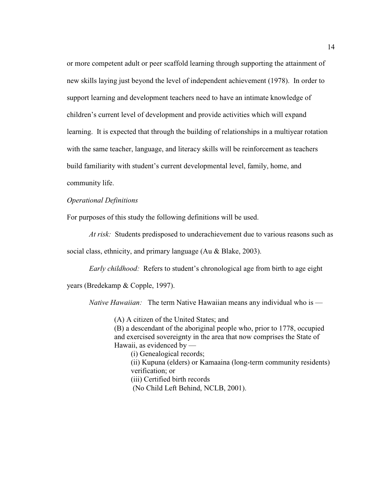or more competent adult or peer scaffold learning through supporting the attainment of new skills laying just beyond the level of independent achievement (1978). In order to support learning and development teachers need to have an intimate knowledge of children's current level of development and provide activities which will expand learning. It is expected that through the building of relationships in a multiyear rotation with the same teacher, language, and literacy skills will be reinforcement as teachers build familiarity with student's current developmental level, family, home, and

community life.

#### *Operational Definitions*

For purposes of this study the following definitions will be used.

*At risk:* Students predisposed to underachievement due to various reasons such as

social class, ethnicity, and primary language (Au & Blake, 2003).

*Early childhood:* Refers to student's chronological age from birth to age eight

years (Bredekamp & Copple, 1997).

*Native Hawaiian:* The term Native Hawaiian means any individual who is —

(A) A citizen of the United States; and

(B) a descendant of the aboriginal people who, prior to 1778, occupied and exercised sovereignty in the area that now comprises the State of Hawaii, as evidenced by —

(i) Genealogical records; (ii) Kupuna (elders) or Kamaaina (long-term community residents) verification; or (iii) Certified birth records (No Child Left Behind, NCLB, 2001).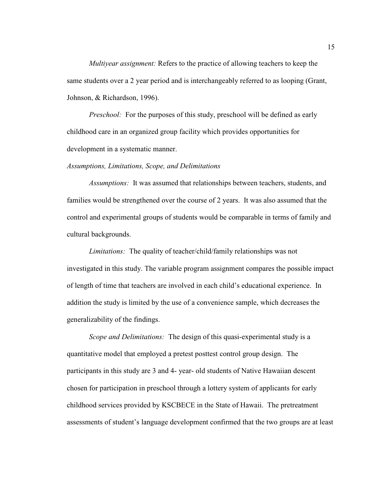*Multiyear assignment:* Refers to the practice of allowing teachers to keep the same students over a 2 year period and is interchangeably referred to as looping (Grant, Johnson, & Richardson, 1996).

*Preschool:* For the purposes of this study, preschool will be defined as early childhood care in an organized group facility which provides opportunities for development in a systematic manner.

#### *Assumptions, Limitations, Scope, and Delimitations*

*Assumptions:* It was assumed that relationships between teachers, students, and families would be strengthened over the course of 2 years. It was also assumed that the control and experimental groups of students would be comparable in terms of family and cultural backgrounds.

*Limitations:* The quality of teacher/child/family relationships was not investigated in this study. The variable program assignment compares the possible impact of length of time that teachers are involved in each child's educational experience. In addition the study is limited by the use of a convenience sample, which decreases the generalizability of the findings.

*Scope and Delimitations:* The design of this quasi-experimental study is a quantitative model that employed a pretest posttest control group design. The participants in this study are 3 and 4- year- old students of Native Hawaiian descent chosen for participation in preschool through a lottery system of applicants for early childhood services provided by KSCBECE in the State of Hawaii. The pretreatment assessments of student's language development confirmed that the two groups are at least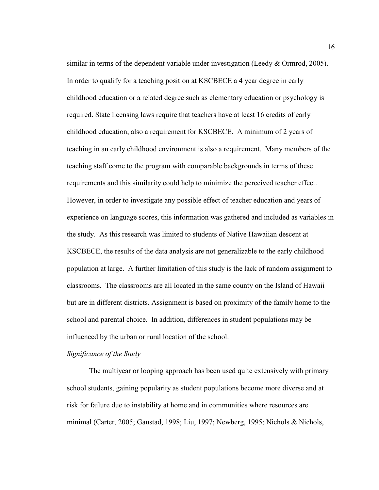similar in terms of the dependent variable under investigation (Leedy  $&$  Ormrod, 2005). In order to qualify for a teaching position at KSCBECE a 4 year degree in early childhood education or a related degree such as elementary education or psychology is required. State licensing laws require that teachers have at least 16 credits of early childhood education, also a requirement for KSCBECE. A minimum of 2 years of teaching in an early childhood environment is also a requirement. Many members of the teaching staff come to the program with comparable backgrounds in terms of these requirements and this similarity could help to minimize the perceived teacher effect. However, in order to investigate any possible effect of teacher education and years of experience on language scores, this information was gathered and included as variables in the study. As this research was limited to students of Native Hawaiian descent at KSCBECE, the results of the data analysis are not generalizable to the early childhood population at large. A further limitation of this study is the lack of random assignment to classrooms. The classrooms are all located in the same county on the Island of Hawaii but are in different districts. Assignment is based on proximity of the family home to the school and parental choice. In addition, differences in student populations may be influenced by the urban or rural location of the school.

#### *Significance of the Study*

The multiyear or looping approach has been used quite extensively with primary school students, gaining popularity as student populations become more diverse and at risk for failure due to instability at home and in communities where resources are minimal (Carter, 2005; Gaustad, 1998; Liu, 1997; Newberg, 1995; Nichols & Nichols,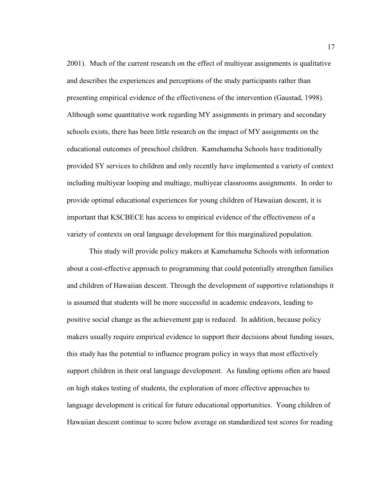2001). Much of the current research on the effect of multiyear assignments is qualitative and describes the experiences and perceptions of the study participants rather than presenting empirical evidence of the effectiveness of the intervention (Gaustad, 1998). Although some quantitative work regarding MY assignments in primary and secondary schools exists, there has been little research on the impact of MY assignments on the educational outcomes of preschool children. Kamehameha Schools have traditionally provided SY services to children and only recently have implemented a variety of context including multiyear looping and multiage, multiyear classrooms assignments. In order to provide optimal educational experiences for young children of Hawaiian descent, it is important that KSCBECE has access to empirical evidence of the effectiveness of a variety of contexts on oral language development for this marginalized population.

This study will provide policy makers at Kamehameha Schools with information about a cost-effective approach to programming that could potentially strengthen families and children of Hawaiian descent. Through the development of supportive relationships it is assumed that students will be more successful in academic endeavors, leading to positive social change as the achievement gap is reduced. In addition, because policy makers usually require empirical evidence to support their decisions about funding issues, this study has the potential to influence program policy in ways that most effectively support children in their oral language development. As funding options often are based on high stakes testing of students, the exploration of more effective approaches to language development is critical for future educational opportunities. Young children of Hawaiian descent continue to score below average on standardized test scores for reading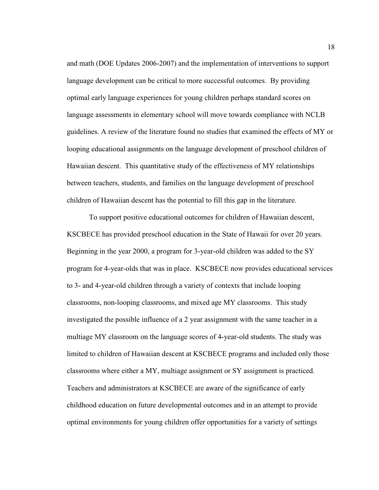and math (DOE Updates 2006-2007) and the implementation of interventions to support language development can be critical to more successful outcomes. By providing optimal early language experiences for young children perhaps standard scores on language assessments in elementary school will move towards compliance with NCLB guidelines. A review of the literature found no studies that examined the effects of MY or looping educational assignments on the language development of preschool children of Hawaiian descent. This quantitative study of the effectiveness of MY relationships between teachers, students, and families on the language development of preschool children of Hawaiian descent has the potential to fill this gap in the literature.

 To support positive educational outcomes for children of Hawaiian descent, KSCBECE has provided preschool education in the State of Hawaii for over 20 years. Beginning in the year 2000, a program for 3-year-old children was added to the SY program for 4-year-olds that was in place. KSCBECE now provides educational services to 3- and 4-year-old children through a variety of contexts that include looping classrooms, non-looping classrooms, and mixed age MY classrooms. This study investigated the possible influence of a 2 year assignment with the same teacher in a multiage MY classroom on the language scores of 4-year-old students. The study was limited to children of Hawaiian descent at KSCBECE programs and included only those classrooms where either a MY, multiage assignment or SY assignment is practiced. Teachers and administrators at KSCBECE are aware of the significance of early childhood education on future developmental outcomes and in an attempt to provide optimal environments for young children offer opportunities for a variety of settings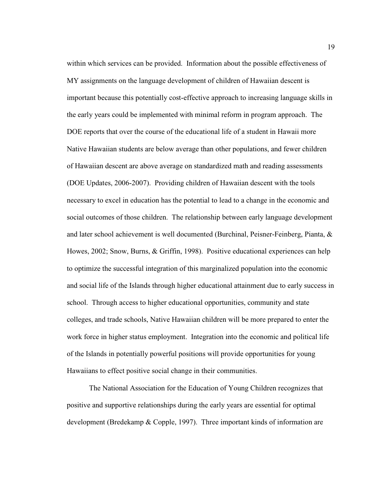within which services can be provided. Information about the possible effectiveness of MY assignments on the language development of children of Hawaiian descent is important because this potentially cost-effective approach to increasing language skills in the early years could be implemented with minimal reform in program approach. The DOE reports that over the course of the educational life of a student in Hawaii more Native Hawaiian students are below average than other populations, and fewer children of Hawaiian descent are above average on standardized math and reading assessments (DOE Updates, 2006-2007). Providing children of Hawaiian descent with the tools necessary to excel in education has the potential to lead to a change in the economic and social outcomes of those children. The relationship between early language development and later school achievement is well documented (Burchinal, Peisner-Feinberg, Pianta, & Howes, 2002; Snow, Burns, & Griffin, 1998). Positive educational experiences can help to optimize the successful integration of this marginalized population into the economic and social life of the Islands through higher educational attainment due to early success in school. Through access to higher educational opportunities, community and state colleges, and trade schools, Native Hawaiian children will be more prepared to enter the work force in higher status employment. Integration into the economic and political life of the Islands in potentially powerful positions will provide opportunities for young Hawaiians to effect positive social change in their communities.

 The National Association for the Education of Young Children recognizes that positive and supportive relationships during the early years are essential for optimal development (Bredekamp & Copple, 1997). Three important kinds of information are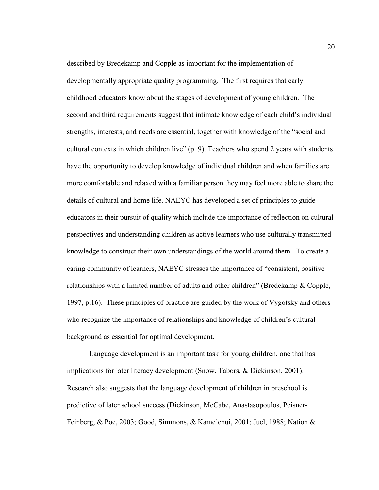described by Bredekamp and Copple as important for the implementation of developmentally appropriate quality programming. The first requires that early childhood educators know about the stages of development of young children. The second and third requirements suggest that intimate knowledge of each child's individual strengths, interests, and needs are essential, together with knowledge of the "social and cultural contexts in which children live" (p. 9). Teachers who spend 2 years with students have the opportunity to develop knowledge of individual children and when families are more comfortable and relaxed with a familiar person they may feel more able to share the details of cultural and home life. NAEYC has developed a set of principles to guide educators in their pursuit of quality which include the importance of reflection on cultural perspectives and understanding children as active learners who use culturally transmitted knowledge to construct their own understandings of the world around them. To create a caring community of learners, NAEYC stresses the importance of "consistent, positive relationships with a limited number of adults and other children" (Bredekamp & Copple, 1997, p.16). These principles of practice are guided by the work of Vygotsky and others who recognize the importance of relationships and knowledge of children's cultural background as essential for optimal development.

Language development is an important task for young children, one that has implications for later literacy development (Snow, Tabors, & Dickinson, 2001). Research also suggests that the language development of children in preschool is predictive of later school success (Dickinson, McCabe, Anastasopoulos, Peisner-Feinberg, & Poe, 2003; Good, Simmons, & Kame`enui, 2001; Juel, 1988; Nation &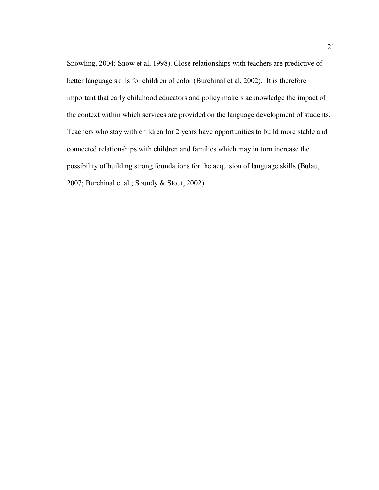Snowling, 2004; Snow et al, 1998). Close relationships with teachers are predictive of better language skills for children of color (Burchinal et al, 2002). It is therefore important that early childhood educators and policy makers acknowledge the impact of the context within which services are provided on the language development of students. Teachers who stay with children for 2 years have opportunities to build more stable and connected relationships with children and families which may in turn increase the possibility of building strong foundations for the acquision of language skills (Bulau, 2007; Burchinal et al.; Soundy & Stout, 2002).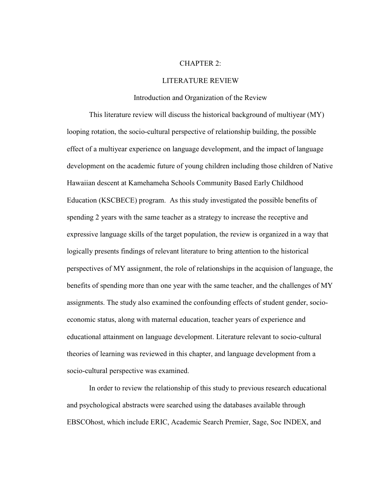#### CHAPTER 2:

#### LITERATURE REVIEW

#### Introduction and Organization of the Review

This literature review will discuss the historical background of multiyear (MY) looping rotation, the socio-cultural perspective of relationship building, the possible effect of a multiyear experience on language development, and the impact of language development on the academic future of young children including those children of Native Hawaiian descent at Kamehameha Schools Community Based Early Childhood Education (KSCBECE) program. As this study investigated the possible benefits of spending 2 years with the same teacher as a strategy to increase the receptive and expressive language skills of the target population, the review is organized in a way that logically presents findings of relevant literature to bring attention to the historical perspectives of MY assignment, the role of relationships in the acquision of language, the benefits of spending more than one year with the same teacher, and the challenges of MY assignments. The study also examined the confounding effects of student gender, socioeconomic status, along with maternal education, teacher years of experience and educational attainment on language development. Literature relevant to socio-cultural theories of learning was reviewed in this chapter, and language development from a socio-cultural perspective was examined.

In order to review the relationship of this study to previous research educational and psychological abstracts were searched using the databases available through EBSCOhost, which include ERIC, Academic Search Premier, Sage, Soc INDEX, and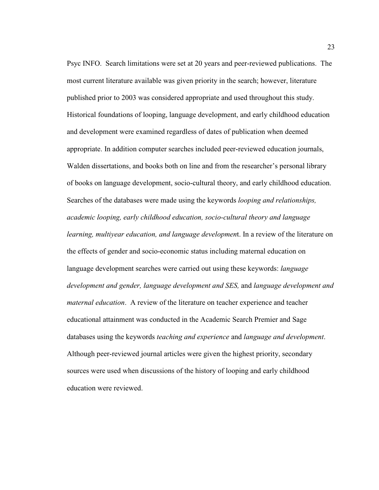Psyc INFO. Search limitations were set at 20 years and peer-reviewed publications. The most current literature available was given priority in the search; however, literature published prior to 2003 was considered appropriate and used throughout this study. Historical foundations of looping, language development, and early childhood education and development were examined regardless of dates of publication when deemed appropriate. In addition computer searches included peer-reviewed education journals, Walden dissertations, and books both on line and from the researcher's personal library of books on language development, socio-cultural theory, and early childhood education. Searches of the databases were made using the keywords *looping and relationships, academic looping, early childhood education, socio-cultural theory and language learning, multiyear education, and language developmen*t. In a review of the literature on the effects of gender and socio-economic status including maternal education on language development searches were carried out using these keywords: *language development and gender, language development and SES,* and *language development and maternal education*. A review of the literature on teacher experience and teacher educational attainment was conducted in the Academic Search Premier and Sage databases using the keywords *teaching and experience* and *language and development*. Although peer-reviewed journal articles were given the highest priority, secondary sources were used when discussions of the history of looping and early childhood education were reviewed.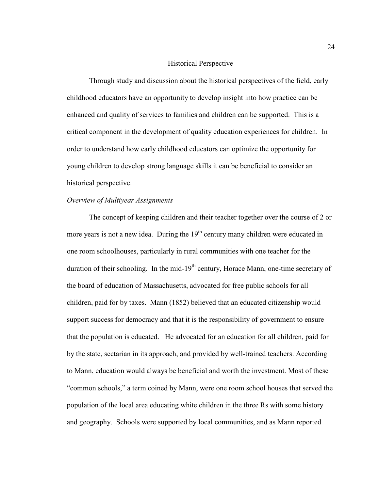## Historical Perspective

Through study and discussion about the historical perspectives of the field, early childhood educators have an opportunity to develop insight into how practice can be enhanced and quality of services to families and children can be supported. This is a critical component in the development of quality education experiences for children. In order to understand how early childhood educators can optimize the opportunity for young children to develop strong language skills it can be beneficial to consider an historical perspective.

#### *Overview of Multiyear Assignments*

The concept of keeping children and their teacher together over the course of 2 or more years is not a new idea. During the  $19<sup>th</sup>$  century many children were educated in one room schoolhouses, particularly in rural communities with one teacher for the duration of their schooling. In the mid-19<sup>th</sup> century, Horace Mann, one-time secretary of the board of education of Massachusetts, advocated for free public schools for all children, paid for by taxes. Mann (1852) believed that an educated citizenship would support success for democracy and that it is the responsibility of government to ensure that the population is educated. He advocated for an education for all children, paid for by the state, sectarian in its approach, and provided by well-trained teachers. According to Mann, education would always be beneficial and worth the investment. Most of these "common schools," a term coined by Mann, were one room school houses that served the population of the local area educating white children in the three Rs with some history and geography. Schools were supported by local communities, and as Mann reported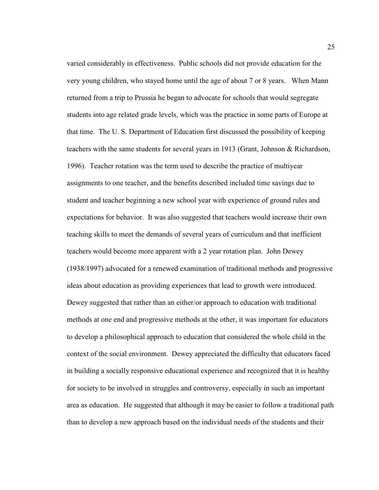varied considerably in effectiveness. Public schools did not provide education for the very young children, who stayed home until the age of about 7 or 8 years. When Mann returned from a trip to Prussia he began to advocate for schools that would segregate students into age related grade levels, which was the practice in some parts of Europe at that time. The U. S. Department of Education first discussed the possibility of keeping teachers with the same students for several years in 1913 (Grant, Johnson & Richardson, 1996). Teacher rotation was the term used to describe the practice of multiyear assignments to one teacher, and the benefits described included time savings due to student and teacher beginning a new school year with experience of ground rules and expectations for behavior. It was also suggested that teachers would increase their own teaching skills to meet the demands of several years of curriculum and that inefficient teachers would become more apparent with a 2 year rotation plan. John Dewey (1938/1997) advocated for a renewed examination of traditional methods and progressive ideas about education as providing experiences that lead to growth were introduced. Dewey suggested that rather than an either/or approach to education with traditional methods at one end and progressive methods at the other, it was important for educators to develop a philosophical approach to education that considered the whole child in the context of the social environment. Dewey appreciated the difficulty that educators faced in building a socially responsive educational experience and recognized that it is healthy for society to be involved in struggles and controversy, especially in such an important area as education. He suggested that although it may be easier to follow a traditional path than to develop a new approach based on the individual needs of the students and their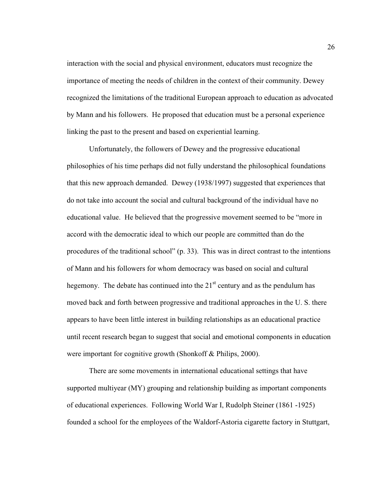interaction with the social and physical environment, educators must recognize the importance of meeting the needs of children in the context of their community. Dewey recognized the limitations of the traditional European approach to education as advocated by Mann and his followers. He proposed that education must be a personal experience linking the past to the present and based on experiential learning.

Unfortunately, the followers of Dewey and the progressive educational philosophies of his time perhaps did not fully understand the philosophical foundations that this new approach demanded. Dewey (1938/1997) suggested that experiences that do not take into account the social and cultural background of the individual have no educational value. He believed that the progressive movement seemed to be "more in accord with the democratic ideal to which our people are committed than do the procedures of the traditional school" (p. 33). This was in direct contrast to the intentions of Mann and his followers for whom democracy was based on social and cultural hegemony. The debate has continued into the  $21<sup>st</sup>$  century and as the pendulum has moved back and forth between progressive and traditional approaches in the U. S. there appears to have been little interest in building relationships as an educational practice until recent research began to suggest that social and emotional components in education were important for cognitive growth (Shonkoff & Philips, 2000).

There are some movements in international educational settings that have supported multiyear (MY) grouping and relationship building as important components of educational experiences. Following World War I, Rudolph Steiner (1861 -1925) founded a school for the employees of the Waldorf-Astoria cigarette factory in Stuttgart,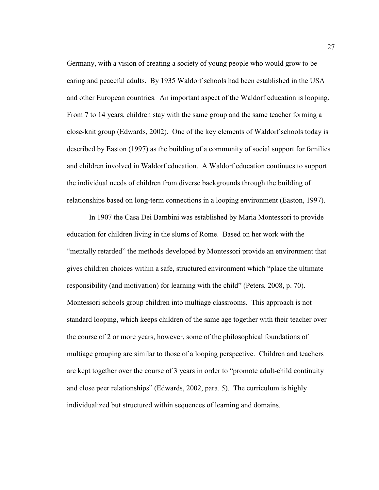Germany, with a vision of creating a society of young people who would grow to be caring and peaceful adults. By 1935 Waldorf schools had been established in the USA and other European countries. An important aspect of the Waldorf education is looping. From 7 to 14 years, children stay with the same group and the same teacher forming a close-knit group (Edwards, 2002). One of the key elements of Waldorf schools today is described by Easton (1997) as the building of a community of social support for families and children involved in Waldorf education. A Waldorf education continues to support the individual needs of children from diverse backgrounds through the building of relationships based on long-term connections in a looping environment (Easton, 1997).

In 1907 the Casa Dei Bambini was established by Maria Montessori to provide education for children living in the slums of Rome. Based on her work with the "mentally retarded" the methods developed by Montessori provide an environment that gives children choices within a safe, structured environment which "place the ultimate responsibility (and motivation) for learning with the child" (Peters, 2008, p. 70). Montessori schools group children into multiage classrooms. This approach is not standard looping, which keeps children of the same age together with their teacher over the course of 2 or more years, however, some of the philosophical foundations of multiage grouping are similar to those of a looping perspective. Children and teachers are kept together over the course of 3 years in order to "promote adult-child continuity and close peer relationships" (Edwards, 2002, para. 5). The curriculum is highly individualized but structured within sequences of learning and domains.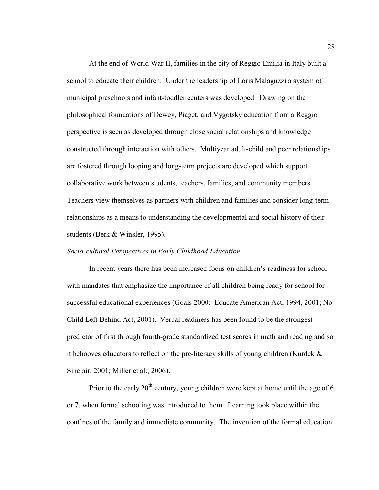At the end of World War II, families in the city of Reggio Emilia in Italy built a school to educate their children. Under the leadership of Loris Malaguzzi a system of municipal preschools and infant-toddler centers was developed. Drawing on the philosophical foundations of Dewey, Piaget, and Vygotsky education from a Reggio perspective is seen as developed through close social relationships and knowledge constructed through interaction with others. Multiyear adult-child and peer relationships are fostered through looping and long-term projects are developed which support collaborative work between students, teachers, families, and community members. Teachers view themselves as partners with children and families and consider long-term relationships as a means to understanding the developmental and social history of their students (Berk & Winsler, 1995).

# *Socio-cultural Perspectives in Early Childhood Education*

In recent years there has been increased focus on children's readiness for school with mandates that emphasize the importance of all children being ready for school for successful educational experiences (Goals 2000: Educate American Act, 1994, 2001; No Child Left Behind Act, 2001). Verbal readiness has been found to be the strongest predictor of first through fourth-grade standardized test scores in math and reading and so it behooves educators to reflect on the pre-literacy skills of young children (Kurdek & Sinclair, 2001; Miller et al., 2006).

Prior to the early  $20<sup>th</sup>$  century, young children were kept at home until the age of 6 or 7, when formal schooling was introduced to them. Learning took place within the confines of the family and immediate community. The invention of the formal education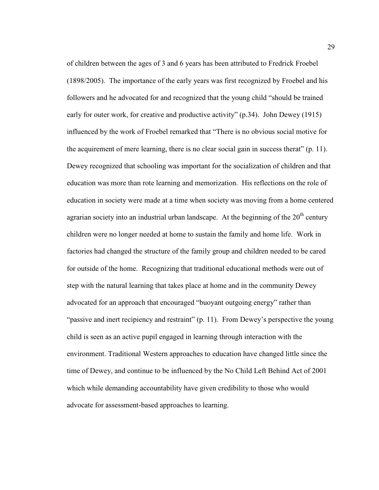of children between the ages of 3 and 6 years has been attributed to Fredrick Froebel (1898/2005). The importance of the early years was first recognized by Froebel and his followers and he advocated for and recognized that the young child "should be trained early for outer work, for creative and productive activity" (p.34). John Dewey (1915) influenced by the work of Froebel remarked that "There is no obvious social motive for the acquirement of mere learning, there is no clear social gain in success therat" (p. 11). Dewey recognized that schooling was important for the socialization of children and that education was more than rote learning and memorization. His reflections on the role of education in society were made at a time when society was moving from a home centered agrarian society into an industrial urban landscape. At the beginning of the  $20<sup>th</sup>$  century children were no longer needed at home to sustain the family and home life. Work in factories had changed the structure of the family group and children needed to be cared for outside of the home. Recognizing that traditional educational methods were out of step with the natural learning that takes place at home and in the community Dewey advocated for an approach that encouraged "buoyant outgoing energy" rather than "passive and inert recipiency and restraint" (p. 11). From Dewey's perspective the young child is seen as an active pupil engaged in learning through interaction with the environment. Traditional Western approaches to education have changed little since the time of Dewey, and continue to be influenced by the No Child Left Behind Act of 2001 which while demanding accountability have given credibility to those who would advocate for assessment-based approaches to learning.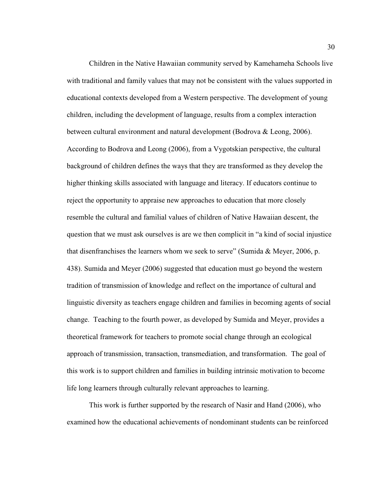Children in the Native Hawaiian community served by Kamehameha Schools live with traditional and family values that may not be consistent with the values supported in educational contexts developed from a Western perspective. The development of young children, including the development of language, results from a complex interaction between cultural environment and natural development (Bodrova & Leong, 2006). According to Bodrova and Leong (2006), from a Vygotskian perspective, the cultural background of children defines the ways that they are transformed as they develop the higher thinking skills associated with language and literacy. If educators continue to reject the opportunity to appraise new approaches to education that more closely resemble the cultural and familial values of children of Native Hawaiian descent, the question that we must ask ourselves is are we then complicit in "a kind of social injustice that disenfranchises the learners whom we seek to serve" (Sumida & Meyer, 2006, p. 438). Sumida and Meyer (2006) suggested that education must go beyond the western tradition of transmission of knowledge and reflect on the importance of cultural and linguistic diversity as teachers engage children and families in becoming agents of social change. Teaching to the fourth power, as developed by Sumida and Meyer, provides a theoretical framework for teachers to promote social change through an ecological approach of transmission, transaction, transmediation, and transformation. The goal of this work is to support children and families in building intrinsic motivation to become life long learners through culturally relevant approaches to learning.

This work is further supported by the research of Nasir and Hand (2006), who examined how the educational achievements of nondominant students can be reinforced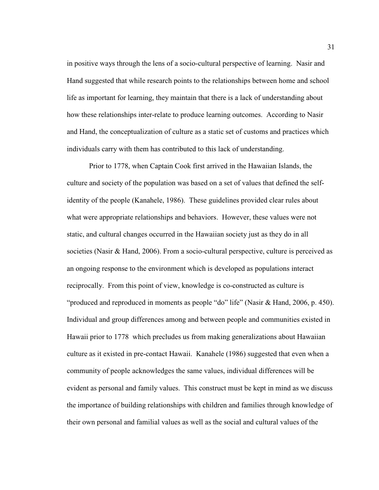in positive ways through the lens of a socio-cultural perspective of learning. Nasir and Hand suggested that while research points to the relationships between home and school life as important for learning, they maintain that there is a lack of understanding about how these relationships inter-relate to produce learning outcomes. According to Nasir and Hand, the conceptualization of culture as a static set of customs and practices which individuals carry with them has contributed to this lack of understanding.

Prior to 1778, when Captain Cook first arrived in the Hawaiian Islands, the culture and society of the population was based on a set of values that defined the selfidentity of the people (Kanahele, 1986). These guidelines provided clear rules about what were appropriate relationships and behaviors. However, these values were not static, and cultural changes occurred in the Hawaiian society just as they do in all societies (Nasir & Hand, 2006). From a socio-cultural perspective, culture is perceived as an ongoing response to the environment which is developed as populations interact reciprocally. From this point of view, knowledge is co-constructed as culture is "produced and reproduced in moments as people "do" life" (Nasir & Hand, 2006, p. 450). Individual and group differences among and between people and communities existed in Hawaii prior to 1778 which precludes us from making generalizations about Hawaiian culture as it existed in pre-contact Hawaii. Kanahele (1986) suggested that even when a community of people acknowledges the same values, individual differences will be evident as personal and family values. This construct must be kept in mind as we discuss the importance of building relationships with children and families through knowledge of their own personal and familial values as well as the social and cultural values of the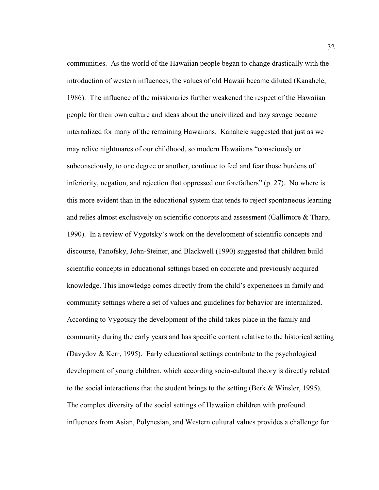communities. As the world of the Hawaiian people began to change drastically with the introduction of western influences, the values of old Hawaii became diluted (Kanahele, 1986). The influence of the missionaries further weakened the respect of the Hawaiian people for their own culture and ideas about the uncivilized and lazy savage became internalized for many of the remaining Hawaiians. Kanahele suggested that just as we may relive nightmares of our childhood, so modern Hawaiians "consciously or subconsciously, to one degree or another, continue to feel and fear those burdens of inferiority, negation, and rejection that oppressed our forefathers" (p. 27). No where is this more evident than in the educational system that tends to reject spontaneous learning and relies almost exclusively on scientific concepts and assessment (Gallimore & Tharp, 1990). In a review of Vygotsky's work on the development of scientific concepts and discourse, Panofsky, John-Steiner, and Blackwell (1990) suggested that children build scientific concepts in educational settings based on concrete and previously acquired knowledge. This knowledge comes directly from the child's experiences in family and community settings where a set of values and guidelines for behavior are internalized. According to Vygotsky the development of the child takes place in the family and community during the early years and has specific content relative to the historical setting (Davydov & Kerr, 1995). Early educational settings contribute to the psychological development of young children, which according socio-cultural theory is directly related to the social interactions that the student brings to the setting (Berk & Winsler, 1995). The complex diversity of the social settings of Hawaiian children with profound influences from Asian, Polynesian, and Western cultural values provides a challenge for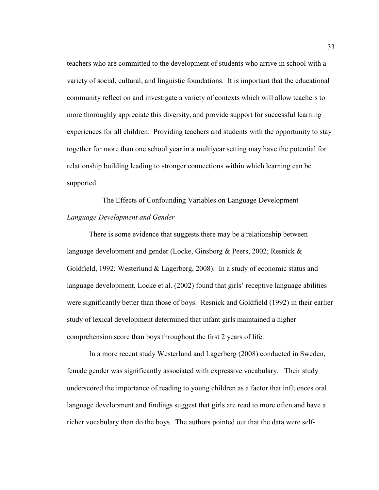teachers who are committed to the development of students who arrive in school with a variety of social, cultural, and linguistic foundations. It is important that the educational community reflect on and investigate a variety of contexts which will allow teachers to more thoroughly appreciate this diversity, and provide support for successful learning experiences for all children. Providing teachers and students with the opportunity to stay together for more than one school year in a multiyear setting may have the potential for relationship building leading to stronger connections within which learning can be supported.

The Effects of Confounding Variables on Language Development *Language Development and Gender* 

There is some evidence that suggests there may be a relationship between language development and gender (Locke, Ginsborg & Peers, 2002; Resnick & Goldfield, 1992; Westerlund & Lagerberg, 2008). In a study of economic status and language development, Locke et al. (2002) found that girls' receptive language abilities were significantly better than those of boys. Resnick and Goldfield (1992) in their earlier study of lexical development determined that infant girls maintained a higher comprehension score than boys throughout the first 2 years of life.

In a more recent study Westerlund and Lagerberg (2008) conducted in Sweden, female gender was significantly associated with expressive vocabulary. Their study underscored the importance of reading to young children as a factor that influences oral language development and findings suggest that girls are read to more often and have a richer vocabulary than do the boys. The authors pointed out that the data were self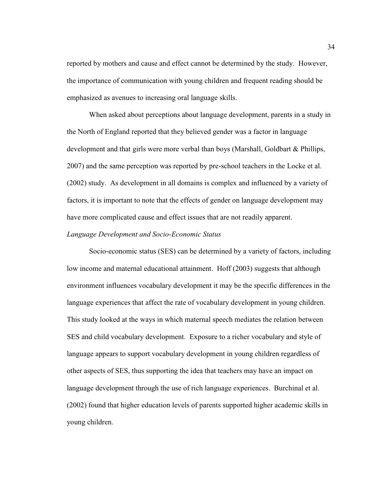reported by mothers and cause and effect cannot be determined by the study. However, the importance of communication with young children and frequent reading should be emphasized as avenues to increasing oral language skills.

When asked about perceptions about language development, parents in a study in the North of England reported that they believed gender was a factor in language development and that girls were more verbal than boys (Marshall, Goldbart & Phillips, 2007) and the same perception was reported by pre-school teachers in the Locke et al. (2002) study. As development in all domains is complex and influenced by a variety of factors, it is important to note that the effects of gender on language development may have more complicated cause and effect issues that are not readily apparent.

## *Language Development and Socio-Economic Status*

Socio-economic status (SES) can be determined by a variety of factors, including low income and maternal educational attainment. Hoff (2003) suggests that although environment influences vocabulary development it may be the specific differences in the language experiences that affect the rate of vocabulary development in young children. This study looked at the ways in which maternal speech mediates the relation between SES and child vocabulary development. Exposure to a richer vocabulary and style of language appears to support vocabulary development in young children regardless of other aspects of SES, thus supporting the idea that teachers may have an impact on language development through the use of rich language experiences. Burchinal et al. (2002) found that higher education levels of parents supported higher academic skills in young children.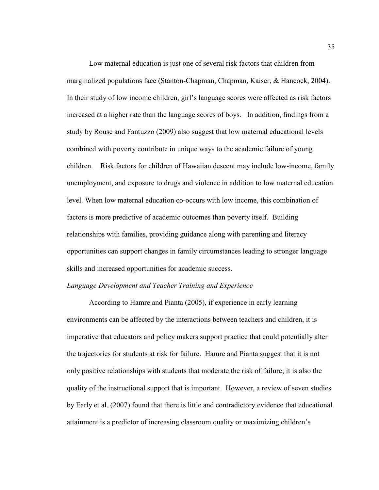Low maternal education is just one of several risk factors that children from marginalized populations face (Stanton-Chapman, Chapman, Kaiser, & Hancock, 2004). In their study of low income children, girl's language scores were affected as risk factors increased at a higher rate than the language scores of boys. In addition, findings from a study by Rouse and Fantuzzo (2009) also suggest that low maternal educational levels combined with poverty contribute in unique ways to the academic failure of young children. Risk factors for children of Hawaiian descent may include low-income, family unemployment, and exposure to drugs and violence in addition to low maternal education level. When low maternal education co-occurs with low income, this combination of factors is more predictive of academic outcomes than poverty itself. Building relationships with families, providing guidance along with parenting and literacy opportunities can support changes in family circumstances leading to stronger language skills and increased opportunities for academic success.

# *Language Development and Teacher Training and Experience*

According to Hamre and Pianta (2005), if experience in early learning environments can be affected by the interactions between teachers and children, it is imperative that educators and policy makers support practice that could potentially alter the trajectories for students at risk for failure. Hamre and Pianta suggest that it is not only positive relationships with students that moderate the risk of failure; it is also the quality of the instructional support that is important. However, a review of seven studies by Early et al. (2007) found that there is little and contradictory evidence that educational attainment is a predictor of increasing classroom quality or maximizing children's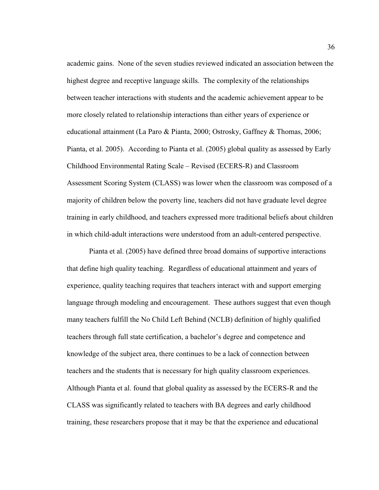academic gains. None of the seven studies reviewed indicated an association between the highest degree and receptive language skills. The complexity of the relationships between teacher interactions with students and the academic achievement appear to be more closely related to relationship interactions than either years of experience or educational attainment (La Paro & Pianta, 2000; Ostrosky, Gaffney & Thomas, 2006; Pianta, et al. 2005). According to Pianta et al. (2005) global quality as assessed by Early Childhood Environmental Rating Scale – Revised (ECERS-R) and Classroom Assessment Scoring System (CLASS) was lower when the classroom was composed of a majority of children below the poverty line, teachers did not have graduate level degree training in early childhood, and teachers expressed more traditional beliefs about children in which child-adult interactions were understood from an adult-centered perspective.

Pianta et al. (2005) have defined three broad domains of supportive interactions that define high quality teaching. Regardless of educational attainment and years of experience, quality teaching requires that teachers interact with and support emerging language through modeling and encouragement. These authors suggest that even though many teachers fulfill the No Child Left Behind (NCLB) definition of highly qualified teachers through full state certification, a bachelor's degree and competence and knowledge of the subject area, there continues to be a lack of connection between teachers and the students that is necessary for high quality classroom experiences. Although Pianta et al. found that global quality as assessed by the ECERS-R and the CLASS was significantly related to teachers with BA degrees and early childhood training, these researchers propose that it may be that the experience and educational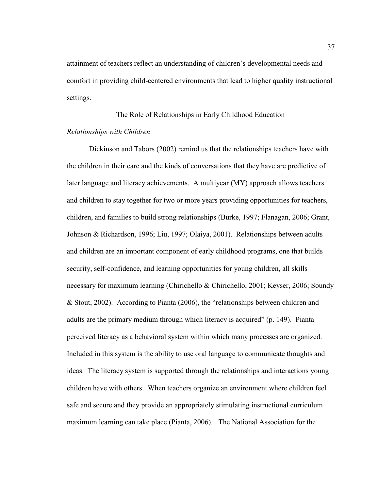attainment of teachers reflect an understanding of children's developmental needs and comfort in providing child-centered environments that lead to higher quality instructional settings.

# The Role of Relationships in Early Childhood Education *Relationships with Children*

Dickinson and Tabors (2002) remind us that the relationships teachers have with the children in their care and the kinds of conversations that they have are predictive of later language and literacy achievements. A multiyear (MY) approach allows teachers and children to stay together for two or more years providing opportunities for teachers, children, and families to build strong relationships (Burke, 1997; Flanagan, 2006; Grant, Johnson & Richardson, 1996; Liu, 1997; Olaiya, 2001). Relationships between adults and children are an important component of early childhood programs, one that builds security, self-confidence, and learning opportunities for young children, all skills necessary for maximum learning (Chirichello & Chirichello, 2001; Keyser, 2006; Soundy & Stout, 2002). According to Pianta (2006), the "relationships between children and adults are the primary medium through which literacy is acquired" (p. 149). Pianta perceived literacy as a behavioral system within which many processes are organized. Included in this system is the ability to use oral language to communicate thoughts and ideas. The literacy system is supported through the relationships and interactions young children have with others. When teachers organize an environment where children feel safe and secure and they provide an appropriately stimulating instructional curriculum maximum learning can take place (Pianta, 2006). The National Association for the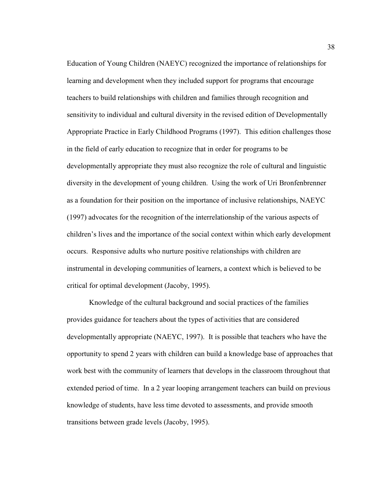Education of Young Children (NAEYC) recognized the importance of relationships for learning and development when they included support for programs that encourage teachers to build relationships with children and families through recognition and sensitivity to individual and cultural diversity in the revised edition of Developmentally Appropriate Practice in Early Childhood Programs (1997). This edition challenges those in the field of early education to recognize that in order for programs to be developmentally appropriate they must also recognize the role of cultural and linguistic diversity in the development of young children. Using the work of Uri Bronfenbrenner as a foundation for their position on the importance of inclusive relationships, NAEYC (1997) advocates for the recognition of the interrelationship of the various aspects of children's lives and the importance of the social context within which early development occurs. Responsive adults who nurture positive relationships with children are instrumental in developing communities of learners, a context which is believed to be critical for optimal development (Jacoby, 1995).

Knowledge of the cultural background and social practices of the families provides guidance for teachers about the types of activities that are considered developmentally appropriate (NAEYC, 1997). It is possible that teachers who have the opportunity to spend 2 years with children can build a knowledge base of approaches that work best with the community of learners that develops in the classroom throughout that extended period of time. In a 2 year looping arrangement teachers can build on previous knowledge of students, have less time devoted to assessments, and provide smooth transitions between grade levels (Jacoby, 1995).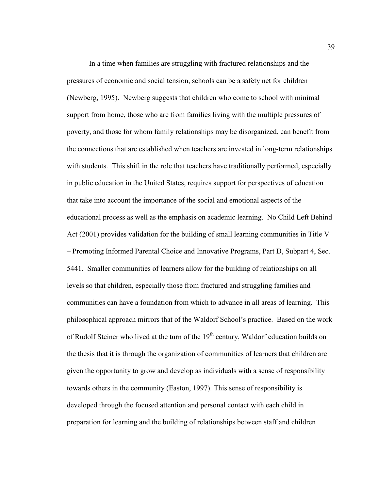In a time when families are struggling with fractured relationships and the pressures of economic and social tension, schools can be a safety net for children (Newberg, 1995). Newberg suggests that children who come to school with minimal support from home, those who are from families living with the multiple pressures of poverty, and those for whom family relationships may be disorganized, can benefit from the connections that are established when teachers are invested in long-term relationships with students. This shift in the role that teachers have traditionally performed, especially in public education in the United States, requires support for perspectives of education that take into account the importance of the social and emotional aspects of the educational process as well as the emphasis on academic learning. No Child Left Behind Act (2001) provides validation for the building of small learning communities in Title V – Promoting Informed Parental Choice and Innovative Programs, Part D, Subpart 4, Sec. 5441. Smaller communities of learners allow for the building of relationships on all levels so that children, especially those from fractured and struggling families and communities can have a foundation from which to advance in all areas of learning. This philosophical approach mirrors that of the Waldorf School's practice. Based on the work of Rudolf Steiner who lived at the turn of the 19<sup>th</sup> century, Waldorf education builds on the thesis that it is through the organization of communities of learners that children are given the opportunity to grow and develop as individuals with a sense of responsibility towards others in the community (Easton, 1997). This sense of responsibility is developed through the focused attention and personal contact with each child in preparation for learning and the building of relationships between staff and children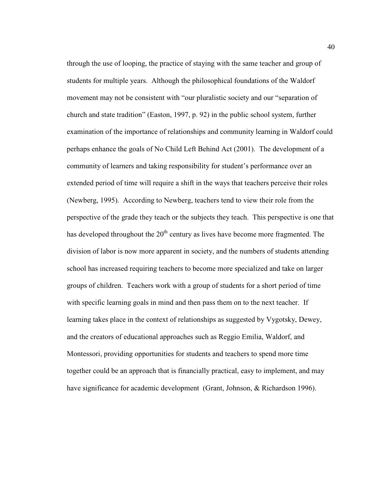through the use of looping, the practice of staying with the same teacher and group of students for multiple years. Although the philosophical foundations of the Waldorf movement may not be consistent with "our pluralistic society and our "separation of church and state tradition" (Easton, 1997, p. 92) in the public school system, further examination of the importance of relationships and community learning in Waldorf could perhaps enhance the goals of No Child Left Behind Act (2001). The development of a community of learners and taking responsibility for student's performance over an extended period of time will require a shift in the ways that teachers perceive their roles (Newberg, 1995). According to Newberg, teachers tend to view their role from the perspective of the grade they teach or the subjects they teach. This perspective is one that has developed throughout the  $20<sup>th</sup>$  century as lives have become more fragmented. The division of labor is now more apparent in society, and the numbers of students attending school has increased requiring teachers to become more specialized and take on larger groups of children. Teachers work with a group of students for a short period of time with specific learning goals in mind and then pass them on to the next teacher. If learning takes place in the context of relationships as suggested by Vygotsky, Dewey, and the creators of educational approaches such as Reggio Emilia, Waldorf, and Montessori, providing opportunities for students and teachers to spend more time together could be an approach that is financially practical, easy to implement, and may have significance for academic development (Grant, Johnson, & Richardson 1996).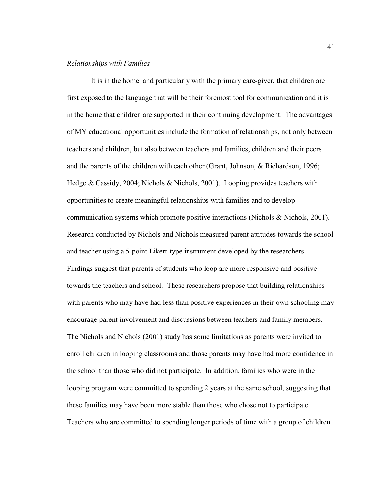#### *Relationships with Families*

 It is in the home, and particularly with the primary care-giver, that children are first exposed to the language that will be their foremost tool for communication and it is in the home that children are supported in their continuing development. The advantages of MY educational opportunities include the formation of relationships, not only between teachers and children, but also between teachers and families, children and their peers and the parents of the children with each other (Grant, Johnson, & Richardson, 1996; Hedge & Cassidy, 2004; Nichols & Nichols, 2001). Looping provides teachers with opportunities to create meaningful relationships with families and to develop communication systems which promote positive interactions (Nichols & Nichols, 2001). Research conducted by Nichols and Nichols measured parent attitudes towards the school and teacher using a 5-point Likert-type instrument developed by the researchers. Findings suggest that parents of students who loop are more responsive and positive towards the teachers and school. These researchers propose that building relationships with parents who may have had less than positive experiences in their own schooling may encourage parent involvement and discussions between teachers and family members. The Nichols and Nichols (2001) study has some limitations as parents were invited to enroll children in looping classrooms and those parents may have had more confidence in the school than those who did not participate. In addition, families who were in the looping program were committed to spending 2 years at the same school, suggesting that these families may have been more stable than those who chose not to participate. Teachers who are committed to spending longer periods of time with a group of children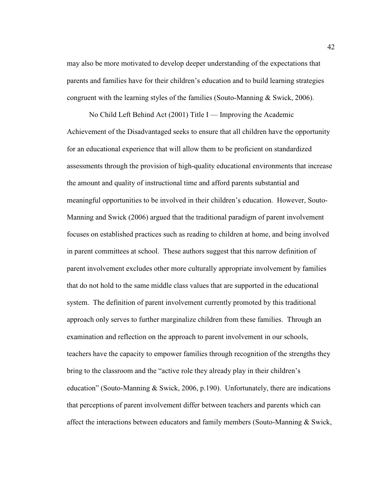may also be more motivated to develop deeper understanding of the expectations that parents and families have for their children's education and to build learning strategies congruent with the learning styles of the families (Souto-Manning  $\&$  Swick, 2006).

No Child Left Behind Act  $(2001)$  Title I — Improving the Academic Achievement of the Disadvantaged seeks to ensure that all children have the opportunity for an educational experience that will allow them to be proficient on standardized assessments through the provision of high-quality educational environments that increase the amount and quality of instructional time and afford parents substantial and meaningful opportunities to be involved in their children's education. However, Souto-Manning and Swick (2006) argued that the traditional paradigm of parent involvement focuses on established practices such as reading to children at home, and being involved in parent committees at school. These authors suggest that this narrow definition of parent involvement excludes other more culturally appropriate involvement by families that do not hold to the same middle class values that are supported in the educational system. The definition of parent involvement currently promoted by this traditional approach only serves to further marginalize children from these families. Through an examination and reflection on the approach to parent involvement in our schools, teachers have the capacity to empower families through recognition of the strengths they bring to the classroom and the "active role they already play in their children's education" (Souto-Manning & Swick, 2006, p.190). Unfortunately, there are indications that perceptions of parent involvement differ between teachers and parents which can affect the interactions between educators and family members (Souto-Manning & Swick,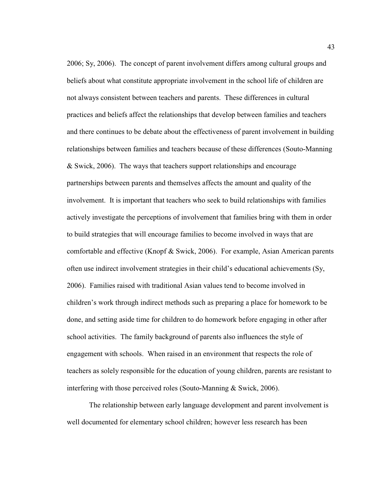2006; Sy, 2006). The concept of parent involvement differs among cultural groups and beliefs about what constitute appropriate involvement in the school life of children are not always consistent between teachers and parents. These differences in cultural practices and beliefs affect the relationships that develop between families and teachers and there continues to be debate about the effectiveness of parent involvement in building relationships between families and teachers because of these differences (Souto-Manning & Swick, 2006). The ways that teachers support relationships and encourage partnerships between parents and themselves affects the amount and quality of the involvement. It is important that teachers who seek to build relationships with families actively investigate the perceptions of involvement that families bring with them in order to build strategies that will encourage families to become involved in ways that are comfortable and effective (Knopf & Swick, 2006). For example, Asian American parents often use indirect involvement strategies in their child's educational achievements (Sy, 2006). Families raised with traditional Asian values tend to become involved in children's work through indirect methods such as preparing a place for homework to be done, and setting aside time for children to do homework before engaging in other after school activities. The family background of parents also influences the style of engagement with schools. When raised in an environment that respects the role of teachers as solely responsible for the education of young children, parents are resistant to interfering with those perceived roles (Souto-Manning & Swick, 2006).

The relationship between early language development and parent involvement is well documented for elementary school children; however less research has been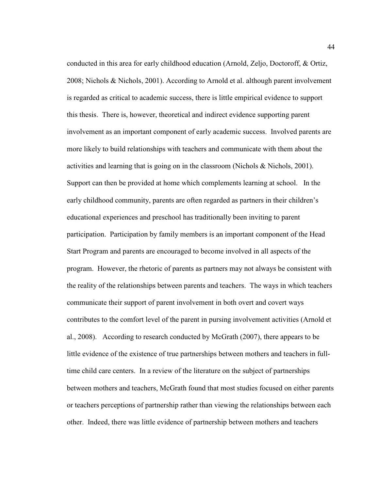conducted in this area for early childhood education (Arnold, Zeljo, Doctoroff, & Ortiz, 2008; Nichols & Nichols, 2001). According to Arnold et al. although parent involvement is regarded as critical to academic success, there is little empirical evidence to support this thesis. There is, however, theoretical and indirect evidence supporting parent involvement as an important component of early academic success. Involved parents are more likely to build relationships with teachers and communicate with them about the activities and learning that is going on in the classroom (Nichols  $\&$  Nichols, 2001). Support can then be provided at home which complements learning at school. In the early childhood community, parents are often regarded as partners in their children's educational experiences and preschool has traditionally been inviting to parent participation. Participation by family members is an important component of the Head Start Program and parents are encouraged to become involved in all aspects of the program. However, the rhetoric of parents as partners may not always be consistent with the reality of the relationships between parents and teachers. The ways in which teachers communicate their support of parent involvement in both overt and covert ways contributes to the comfort level of the parent in pursing involvement activities (Arnold et al., 2008). According to research conducted by McGrath (2007), there appears to be little evidence of the existence of true partnerships between mothers and teachers in fulltime child care centers. In a review of the literature on the subject of partnerships between mothers and teachers, McGrath found that most studies focused on either parents or teachers perceptions of partnership rather than viewing the relationships between each other. Indeed, there was little evidence of partnership between mothers and teachers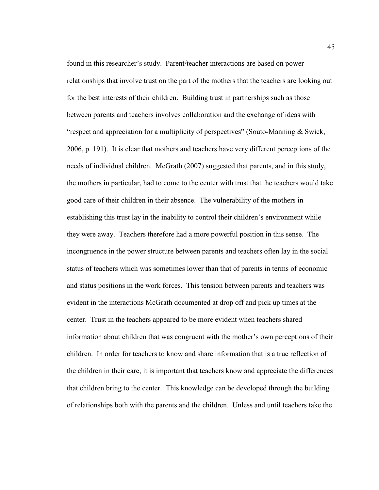found in this researcher's study. Parent/teacher interactions are based on power relationships that involve trust on the part of the mothers that the teachers are looking out for the best interests of their children. Building trust in partnerships such as those between parents and teachers involves collaboration and the exchange of ideas with "respect and appreciation for a multiplicity of perspectives" (Souto-Manning & Swick, 2006, p. 191). It is clear that mothers and teachers have very different perceptions of the needs of individual children. McGrath (2007) suggested that parents, and in this study, the mothers in particular, had to come to the center with trust that the teachers would take good care of their children in their absence. The vulnerability of the mothers in establishing this trust lay in the inability to control their children's environment while they were away. Teachers therefore had a more powerful position in this sense. The incongruence in the power structure between parents and teachers often lay in the social status of teachers which was sometimes lower than that of parents in terms of economic and status positions in the work forces. This tension between parents and teachers was evident in the interactions McGrath documented at drop off and pick up times at the center. Trust in the teachers appeared to be more evident when teachers shared information about children that was congruent with the mother's own perceptions of their children. In order for teachers to know and share information that is a true reflection of the children in their care, it is important that teachers know and appreciate the differences that children bring to the center. This knowledge can be developed through the building of relationships both with the parents and the children. Unless and until teachers take the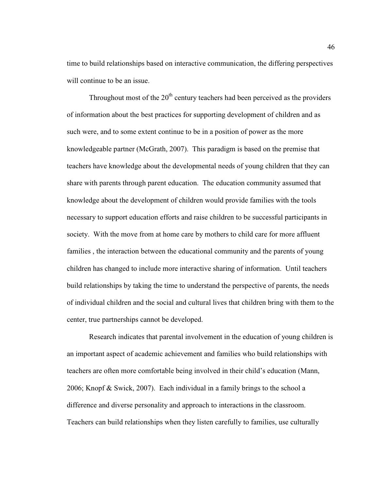time to build relationships based on interactive communication, the differing perspectives will continue to be an issue.

Throughout most of the  $20<sup>th</sup>$  century teachers had been perceived as the providers of information about the best practices for supporting development of children and as such were, and to some extent continue to be in a position of power as the more knowledgeable partner (McGrath, 2007). This paradigm is based on the premise that teachers have knowledge about the developmental needs of young children that they can share with parents through parent education. The education community assumed that knowledge about the development of children would provide families with the tools necessary to support education efforts and raise children to be successful participants in society. With the move from at home care by mothers to child care for more affluent families , the interaction between the educational community and the parents of young children has changed to include more interactive sharing of information. Until teachers build relationships by taking the time to understand the perspective of parents, the needs of individual children and the social and cultural lives that children bring with them to the center, true partnerships cannot be developed.

Research indicates that parental involvement in the education of young children is an important aspect of academic achievement and families who build relationships with teachers are often more comfortable being involved in their child's education (Mann, 2006; Knopf & Swick, 2007). Each individual in a family brings to the school a difference and diverse personality and approach to interactions in the classroom. Teachers can build relationships when they listen carefully to families, use culturally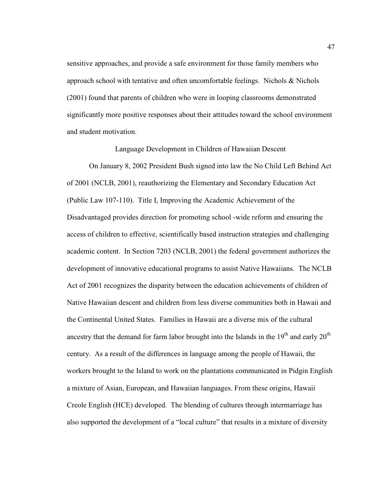sensitive approaches, and provide a safe environment for those family members who approach school with tentative and often uncomfortable feelings. Nichols & Nichols (2001) found that parents of children who were in looping classrooms demonstrated significantly more positive responses about their attitudes toward the school environment and student motivation.

#### Language Development in Children of Hawaiian Descent

On January 8, 2002 President Bush signed into law the No Child Left Behind Act of 2001 (NCLB, 2001), reauthorizing the Elementary and Secondary Education Act (Public Law 107-110). Title I, Improving the Academic Achievement of the Disadvantaged provides direction for promoting school -wide reform and ensuring the access of children to effective, scientifically based instruction strategies and challenging academic content. In Section 7203 (NCLB, 2001) the federal government authorizes the development of innovative educational programs to assist Native Hawaiians. The NCLB Act of 2001 recognizes the disparity between the education achievements of children of Native Hawaiian descent and children from less diverse communities both in Hawaii and the Continental United States. Families in Hawaii are a diverse mix of the cultural ancestry that the demand for farm labor brought into the Islands in the  $19<sup>th</sup>$  and early  $20<sup>th</sup>$ century. As a result of the differences in language among the people of Hawaii, the workers brought to the Island to work on the plantations communicated in Pidgin English a mixture of Asian, European, and Hawaiian languages. From these origins, Hawaii Creole English (HCE) developed. The blending of cultures through intermarriage has also supported the development of a "local culture" that results in a mixture of diversity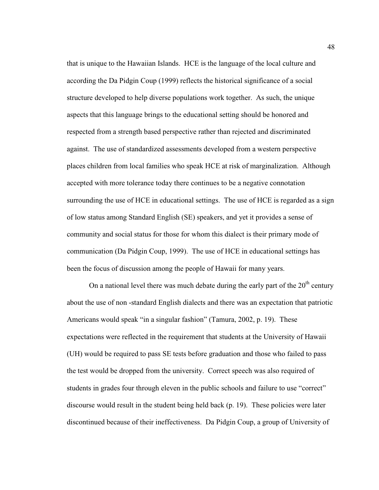that is unique to the Hawaiian Islands. HCE is the language of the local culture and according the Da Pidgin Coup (1999) reflects the historical significance of a social structure developed to help diverse populations work together. As such, the unique aspects that this language brings to the educational setting should be honored and respected from a strength based perspective rather than rejected and discriminated against. The use of standardized assessments developed from a western perspective places children from local families who speak HCE at risk of marginalization. Although accepted with more tolerance today there continues to be a negative connotation surrounding the use of HCE in educational settings. The use of HCE is regarded as a sign of low status among Standard English (SE) speakers, and yet it provides a sense of community and social status for those for whom this dialect is their primary mode of communication (Da Pidgin Coup, 1999). The use of HCE in educational settings has been the focus of discussion among the people of Hawaii for many years.

On a national level there was much debate during the early part of the  $20<sup>th</sup>$  century about the use of non -standard English dialects and there was an expectation that patriotic Americans would speak "in a singular fashion" (Tamura, 2002, p. 19). These expectations were reflected in the requirement that students at the University of Hawaii (UH) would be required to pass SE tests before graduation and those who failed to pass the test would be dropped from the university. Correct speech was also required of students in grades four through eleven in the public schools and failure to use "correct" discourse would result in the student being held back (p. 19). These policies were later discontinued because of their ineffectiveness. Da Pidgin Coup, a group of University of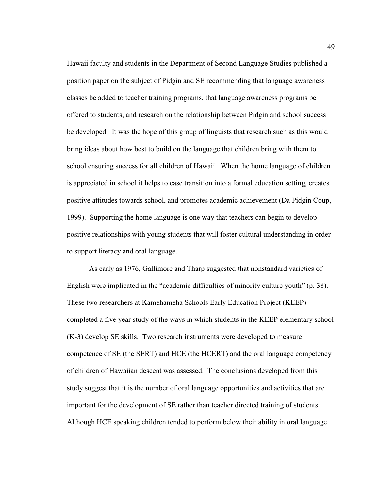Hawaii faculty and students in the Department of Second Language Studies published a position paper on the subject of Pidgin and SE recommending that language awareness classes be added to teacher training programs, that language awareness programs be offered to students, and research on the relationship between Pidgin and school success be developed. It was the hope of this group of linguists that research such as this would bring ideas about how best to build on the language that children bring with them to school ensuring success for all children of Hawaii. When the home language of children is appreciated in school it helps to ease transition into a formal education setting, creates positive attitudes towards school, and promotes academic achievement (Da Pidgin Coup, 1999). Supporting the home language is one way that teachers can begin to develop positive relationships with young students that will foster cultural understanding in order to support literacy and oral language.

As early as 1976, Gallimore and Tharp suggested that nonstandard varieties of English were implicated in the "academic difficulties of minority culture youth" (p. 38). These two researchers at Kamehameha Schools Early Education Project (KEEP) completed a five year study of the ways in which students in the KEEP elementary school (K-3) develop SE skills. Two research instruments were developed to measure competence of SE (the SERT) and HCE (the HCERT) and the oral language competency of children of Hawaiian descent was assessed. The conclusions developed from this study suggest that it is the number of oral language opportunities and activities that are important for the development of SE rather than teacher directed training of students. Although HCE speaking children tended to perform below their ability in oral language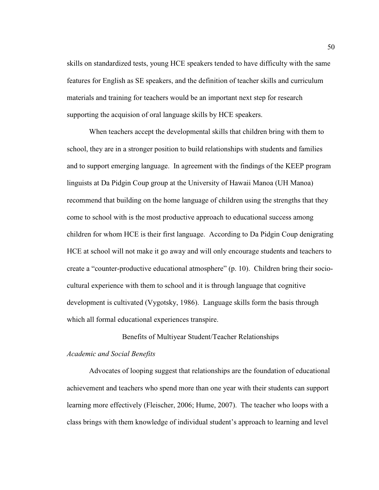skills on standardized tests, young HCE speakers tended to have difficulty with the same features for English as SE speakers, and the definition of teacher skills and curriculum materials and training for teachers would be an important next step for research supporting the acquision of oral language skills by HCE speakers.

When teachers accept the developmental skills that children bring with them to school, they are in a stronger position to build relationships with students and families and to support emerging language. In agreement with the findings of the KEEP program linguists at Da Pidgin Coup group at the University of Hawaii Manoa (UH Manoa) recommend that building on the home language of children using the strengths that they come to school with is the most productive approach to educational success among children for whom HCE is their first language. According to Da Pidgin Coup denigrating HCE at school will not make it go away and will only encourage students and teachers to create a "counter-productive educational atmosphere" (p. 10). Children bring their sociocultural experience with them to school and it is through language that cognitive development is cultivated (Vygotsky, 1986). Language skills form the basis through which all formal educational experiences transpire.

# Benefits of Multiyear Student/Teacher Relationships

## *Academic and Social Benefits*

Advocates of looping suggest that relationships are the foundation of educational achievement and teachers who spend more than one year with their students can support learning more effectively (Fleischer, 2006; Hume, 2007). The teacher who loops with a class brings with them knowledge of individual student's approach to learning and level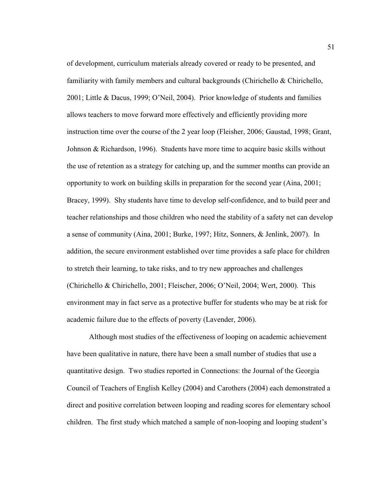of development, curriculum materials already covered or ready to be presented, and familiarity with family members and cultural backgrounds (Chirichello & Chirichello, 2001; Little & Dacus, 1999; O'Neil, 2004). Prior knowledge of students and families allows teachers to move forward more effectively and efficiently providing more instruction time over the course of the 2 year loop (Fleisher, 2006; Gaustad, 1998; Grant, Johnson & Richardson, 1996). Students have more time to acquire basic skills without the use of retention as a strategy for catching up, and the summer months can provide an opportunity to work on building skills in preparation for the second year (Aina, 2001; Bracey, 1999). Shy students have time to develop self-confidence, and to build peer and teacher relationships and those children who need the stability of a safety net can develop a sense of community (Aina, 2001; Burke, 1997; Hitz, Sonners, & Jenlink, 2007). In addition, the secure environment established over time provides a safe place for children to stretch their learning, to take risks, and to try new approaches and challenges (Chirichello & Chirichello, 2001; Fleischer, 2006; O'Neil, 2004; Wert, 2000). This environment may in fact serve as a protective buffer for students who may be at risk for academic failure due to the effects of poverty (Lavender, 2006).

Although most studies of the effectiveness of looping on academic achievement have been qualitative in nature, there have been a small number of studies that use a quantitative design. Two studies reported in Connections: the Journal of the Georgia Council of Teachers of English Kelley (2004) and Carothers (2004) each demonstrated a direct and positive correlation between looping and reading scores for elementary school children. The first study which matched a sample of non-looping and looping student's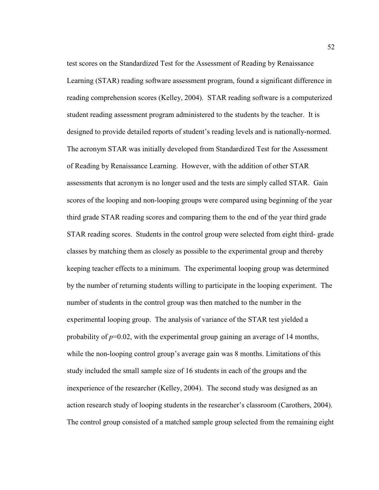test scores on the Standardized Test for the Assessment of Reading by Renaissance Learning (STAR) reading software assessment program, found a significant difference in reading comprehension scores (Kelley, 2004). STAR reading software is a computerized student reading assessment program administered to the students by the teacher. It is designed to provide detailed reports of student's reading levels and is nationally-normed. The acronym STAR was initially developed from Standardized Test for the Assessment of Reading by Renaissance Learning. However, with the addition of other STAR assessments that acronym is no longer used and the tests are simply called STAR. Gain scores of the looping and non-looping groups were compared using beginning of the year third grade STAR reading scores and comparing them to the end of the year third grade STAR reading scores. Students in the control group were selected from eight third- grade classes by matching them as closely as possible to the experimental group and thereby keeping teacher effects to a minimum. The experimental looping group was determined by the number of returning students willing to participate in the looping experiment. The number of students in the control group was then matched to the number in the experimental looping group. The analysis of variance of the STAR test yielded a probability of  $p=0.02$ , with the experimental group gaining an average of 14 months, while the non-looping control group's average gain was 8 months. Limitations of this study included the small sample size of 16 students in each of the groups and the inexperience of the researcher (Kelley, 2004). The second study was designed as an action research study of looping students in the researcher's classroom (Carothers, 2004). The control group consisted of a matched sample group selected from the remaining eight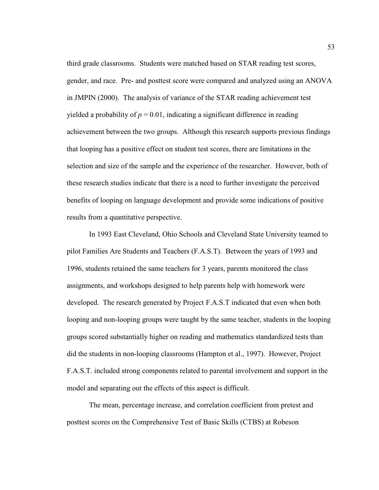third grade classrooms. Students were matched based on STAR reading test scores, gender, and race. Pre- and posttest score were compared and analyzed using an ANOVA in JMPIN (2000). The analysis of variance of the STAR reading achievement test yielded a probability of  $p = 0.01$ , indicating a significant difference in reading achievement between the two groups. Although this research supports previous findings that looping has a positive effect on student test scores, there are limitations in the selection and size of the sample and the experience of the researcher. However, both of these research studies indicate that there is a need to further investigate the perceived benefits of looping on language development and provide some indications of positive results from a quantitative perspective.

In 1993 East Cleveland, Ohio Schools and Cleveland State University teamed to pilot Families Are Students and Teachers (F.A.S.T). Between the years of 1993 and 1996, students retained the same teachers for 3 years, parents monitored the class assignments, and workshops designed to help parents help with homework were developed. The research generated by Project F.A.S.T indicated that even when both looping and non-looping groups were taught by the same teacher, students in the looping groups scored substantially higher on reading and mathematics standardized tests than did the students in non-looping classrooms (Hampton et al., 1997). However, Project F.A.S.T. included strong components related to parental involvement and support in the model and separating out the effects of this aspect is difficult.

The mean, percentage increase, and correlation coefficient from pretest and posttest scores on the Comprehensive Test of Basic Skills (CTBS) at Robeson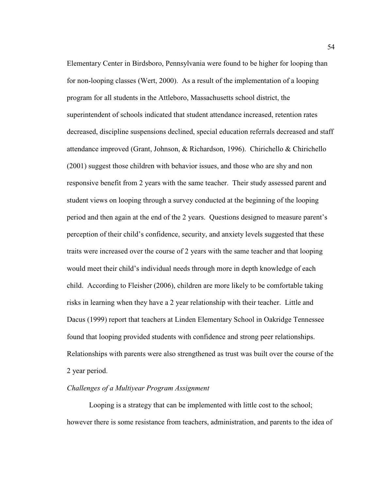Elementary Center in Birdsboro, Pennsylvania were found to be higher for looping than for non-looping classes (Wert, 2000). As a result of the implementation of a looping program for all students in the Attleboro, Massachusetts school district, the superintendent of schools indicated that student attendance increased, retention rates decreased, discipline suspensions declined, special education referrals decreased and staff attendance improved (Grant, Johnson, & Richardson, 1996). Chirichello & Chirichello (2001) suggest those children with behavior issues, and those who are shy and non responsive benefit from 2 years with the same teacher. Their study assessed parent and student views on looping through a survey conducted at the beginning of the looping period and then again at the end of the 2 years. Questions designed to measure parent's perception of their child's confidence, security, and anxiety levels suggested that these traits were increased over the course of 2 years with the same teacher and that looping would meet their child's individual needs through more in depth knowledge of each child. According to Fleisher (2006), children are more likely to be comfortable taking risks in learning when they have a 2 year relationship with their teacher. Little and Dacus (1999) report that teachers at Linden Elementary School in Oakridge Tennessee found that looping provided students with confidence and strong peer relationships. Relationships with parents were also strengthened as trust was built over the course of the 2 year period.

# *Challenges of a Multiyear Program Assignment*

Looping is a strategy that can be implemented with little cost to the school; however there is some resistance from teachers, administration, and parents to the idea of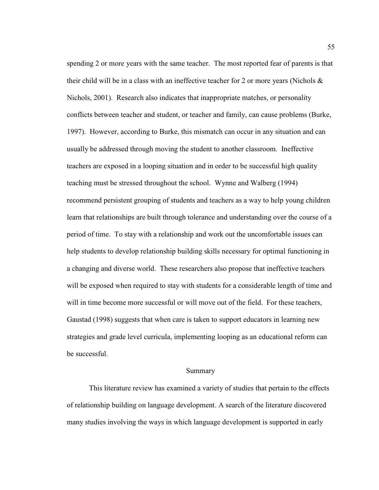spending 2 or more years with the same teacher. The most reported fear of parents is that their child will be in a class with an ineffective teacher for 2 or more years (Nichols  $\&$ Nichols, 2001). Research also indicates that inappropriate matches, or personality conflicts between teacher and student, or teacher and family, can cause problems (Burke, 1997). However, according to Burke, this mismatch can occur in any situation and can usually be addressed through moving the student to another classroom. Ineffective teachers are exposed in a looping situation and in order to be successful high quality teaching must be stressed throughout the school. Wynne and Walberg (1994) recommend persistent grouping of students and teachers as a way to help young children learn that relationships are built through tolerance and understanding over the course of a period of time. To stay with a relationship and work out the uncomfortable issues can help students to develop relationship building skills necessary for optimal functioning in a changing and diverse world. These researchers also propose that ineffective teachers will be exposed when required to stay with students for a considerable length of time and will in time become more successful or will move out of the field. For these teachers, Gaustad (1998) suggests that when care is taken to support educators in learning new strategies and grade level curricula, implementing looping as an educational reform can be successful.

## Summary

This literature review has examined a variety of studies that pertain to the effects of relationship building on language development. A search of the literature discovered many studies involving the ways in which language development is supported in early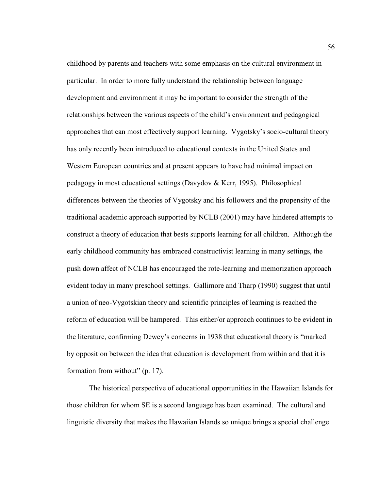childhood by parents and teachers with some emphasis on the cultural environment in particular. In order to more fully understand the relationship between language development and environment it may be important to consider the strength of the relationships between the various aspects of the child's environment and pedagogical approaches that can most effectively support learning. Vygotsky's socio-cultural theory has only recently been introduced to educational contexts in the United States and Western European countries and at present appears to have had minimal impact on pedagogy in most educational settings (Davydov & Kerr, 1995). Philosophical differences between the theories of Vygotsky and his followers and the propensity of the traditional academic approach supported by NCLB (2001) may have hindered attempts to construct a theory of education that bests supports learning for all children. Although the early childhood community has embraced constructivist learning in many settings, the push down affect of NCLB has encouraged the rote-learning and memorization approach evident today in many preschool settings. Gallimore and Tharp (1990) suggest that until a union of neo-Vygotskian theory and scientific principles of learning is reached the reform of education will be hampered. This either/or approach continues to be evident in the literature, confirming Dewey's concerns in 1938 that educational theory is "marked by opposition between the idea that education is development from within and that it is formation from without" (p. 17).

The historical perspective of educational opportunities in the Hawaiian Islands for those children for whom SE is a second language has been examined. The cultural and linguistic diversity that makes the Hawaiian Islands so unique brings a special challenge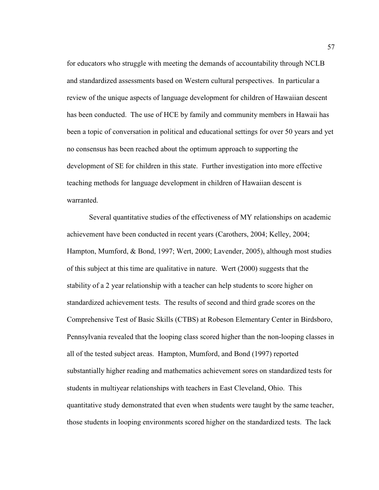for educators who struggle with meeting the demands of accountability through NCLB and standardized assessments based on Western cultural perspectives. In particular a review of the unique aspects of language development for children of Hawaiian descent has been conducted. The use of HCE by family and community members in Hawaii has been a topic of conversation in political and educational settings for over 50 years and yet no consensus has been reached about the optimum approach to supporting the development of SE for children in this state. Further investigation into more effective teaching methods for language development in children of Hawaiian descent is warranted.

Several quantitative studies of the effectiveness of MY relationships on academic achievement have been conducted in recent years (Carothers, 2004; Kelley, 2004; Hampton, Mumford, & Bond, 1997; Wert, 2000; Lavender, 2005), although most studies of this subject at this time are qualitative in nature. Wert (2000) suggests that the stability of a 2 year relationship with a teacher can help students to score higher on standardized achievement tests. The results of second and third grade scores on the Comprehensive Test of Basic Skills (CTBS) at Robeson Elementary Center in Birdsboro, Pennsylvania revealed that the looping class scored higher than the non-looping classes in all of the tested subject areas. Hampton, Mumford, and Bond (1997) reported substantially higher reading and mathematics achievement sores on standardized tests for students in multiyear relationships with teachers in East Cleveland, Ohio. This quantitative study demonstrated that even when students were taught by the same teacher, those students in looping environments scored higher on the standardized tests. The lack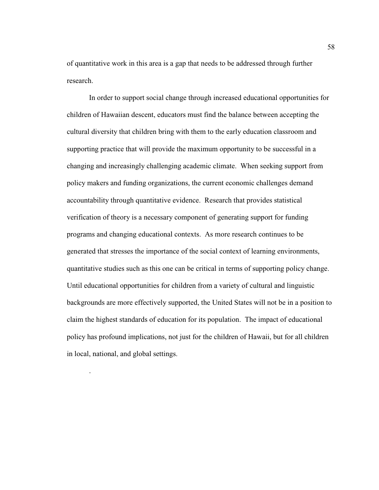of quantitative work in this area is a gap that needs to be addressed through further research.

In order to support social change through increased educational opportunities for children of Hawaiian descent, educators must find the balance between accepting the cultural diversity that children bring with them to the early education classroom and supporting practice that will provide the maximum opportunity to be successful in a changing and increasingly challenging academic climate. When seeking support from policy makers and funding organizations, the current economic challenges demand accountability through quantitative evidence. Research that provides statistical verification of theory is a necessary component of generating support for funding programs and changing educational contexts. As more research continues to be generated that stresses the importance of the social context of learning environments, quantitative studies such as this one can be critical in terms of supporting policy change. Until educational opportunities for children from a variety of cultural and linguistic backgrounds are more effectively supported, the United States will not be in a position to claim the highest standards of education for its population. The impact of educational policy has profound implications, not just for the children of Hawaii, but for all children in local, national, and global settings.

.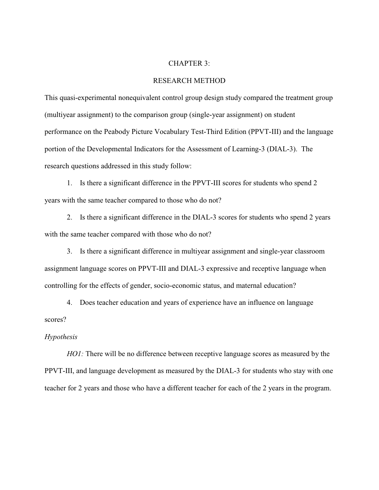#### CHAPTER 3:

## RESEARCH METHOD

This quasi-experimental nonequivalent control group design study compared the treatment group (multiyear assignment) to the comparison group (single-year assignment) on student performance on the Peabody Picture Vocabulary Test-Third Edition (PPVT-III) and the language portion of the Developmental Indicators for the Assessment of Learning-3 (DIAL-3). The research questions addressed in this study follow:

 1. Is there a significant difference in the PPVT-III scores for students who spend 2 years with the same teacher compared to those who do not?

 2. Is there a significant difference in the DIAL-3 scores for students who spend 2 years with the same teacher compared with those who do not?

 3. Is there a significant difference in multiyear assignment and single-year classroom assignment language scores on PPVT-III and DIAL-3 expressive and receptive language when controlling for the effects of gender, socio-economic status, and maternal education?

 4. Does teacher education and years of experience have an influence on language scores?

# *Hypothesis*

*HO1*: There will be no difference between receptive language scores as measured by the PPVT-III, and language development as measured by the DIAL-3 for students who stay with one teacher for 2 years and those who have a different teacher for each of the 2 years in the program.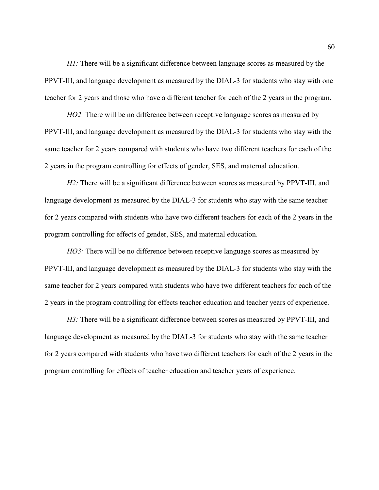*H1*: There will be a significant difference between language scores as measured by the PPVT-III, and language development as measured by the DIAL-3 for students who stay with one teacher for 2 years and those who have a different teacher for each of the 2 years in the program.

*HO2*: There will be no difference between receptive language scores as measured by PPVT-III, and language development as measured by the DIAL-3 for students who stay with the same teacher for 2 years compared with students who have two different teachers for each of the 2 years in the program controlling for effects of gender, SES, and maternal education.

*H2*: There will be a significant difference between scores as measured by PPVT-III, and language development as measured by the DIAL-3 for students who stay with the same teacher for 2 years compared with students who have two different teachers for each of the 2 years in the program controlling for effects of gender, SES, and maternal education.

*HO3*: There will be no difference between receptive language scores as measured by PPVT-III, and language development as measured by the DIAL-3 for students who stay with the same teacher for 2 years compared with students who have two different teachers for each of the 2 years in the program controlling for effects teacher education and teacher years of experience.

*H3*: There will be a significant difference between scores as measured by PPVT-III, and language development as measured by the DIAL-3 for students who stay with the same teacher for 2 years compared with students who have two different teachers for each of the 2 years in the program controlling for effects of teacher education and teacher years of experience.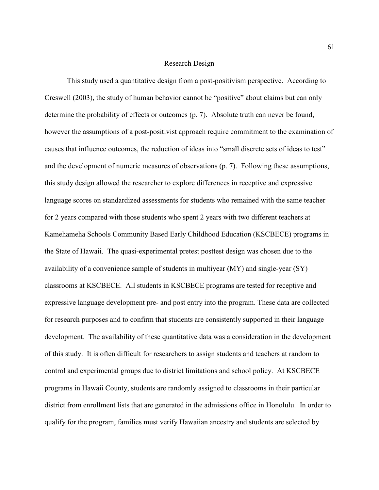#### Research Design

This study used a quantitative design from a post-positivism perspective. According to Creswell (2003), the study of human behavior cannot be "positive" about claims but can only determine the probability of effects or outcomes (p. 7). Absolute truth can never be found, however the assumptions of a post-positivist approach require commitment to the examination of causes that influence outcomes, the reduction of ideas into "small discrete sets of ideas to test" and the development of numeric measures of observations (p. 7). Following these assumptions, this study design allowed the researcher to explore differences in receptive and expressive language scores on standardized assessments for students who remained with the same teacher for 2 years compared with those students who spent 2 years with two different teachers at Kamehameha Schools Community Based Early Childhood Education (KSCBECE) programs in the State of Hawaii. The quasi-experimental pretest posttest design was chosen due to the availability of a convenience sample of students in multiyear (MY) and single-year (SY) classrooms at KSCBECE. All students in KSCBECE programs are tested for receptive and expressive language development pre- and post entry into the program. These data are collected for research purposes and to confirm that students are consistently supported in their language development. The availability of these quantitative data was a consideration in the development of this study. It is often difficult for researchers to assign students and teachers at random to control and experimental groups due to district limitations and school policy. At KSCBECE programs in Hawaii County, students are randomly assigned to classrooms in their particular district from enrollment lists that are generated in the admissions office in Honolulu. In order to qualify for the program, families must verify Hawaiian ancestry and students are selected by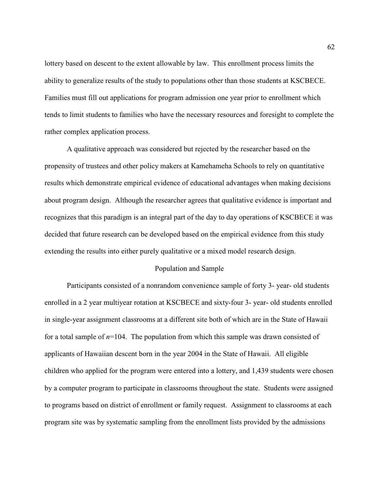lottery based on descent to the extent allowable by law. This enrollment process limits the ability to generalize results of the study to populations other than those students at KSCBECE. Families must fill out applications for program admission one year prior to enrollment which tends to limit students to families who have the necessary resources and foresight to complete the rather complex application process.

A qualitative approach was considered but rejected by the researcher based on the propensity of trustees and other policy makers at Kamehameha Schools to rely on quantitative results which demonstrate empirical evidence of educational advantages when making decisions about program design. Although the researcher agrees that qualitative evidence is important and recognizes that this paradigm is an integral part of the day to day operations of KSCBECE it was decided that future research can be developed based on the empirical evidence from this study extending the results into either purely qualitative or a mixed model research design.

## Population and Sample

Participants consisted of a nonrandom convenience sample of forty 3- year- old students enrolled in a 2 year multiyear rotation at KSCBECE and sixty-four 3- year- old students enrolled in single-year assignment classrooms at a different site both of which are in the State of Hawaii for a total sample of  $n=104$ . The population from which this sample was drawn consisted of applicants of Hawaiian descent born in the year 2004 in the State of Hawaii. All eligible children who applied for the program were entered into a lottery, and 1,439 students were chosen by a computer program to participate in classrooms throughout the state. Students were assigned to programs based on district of enrollment or family request. Assignment to classrooms at each program site was by systematic sampling from the enrollment lists provided by the admissions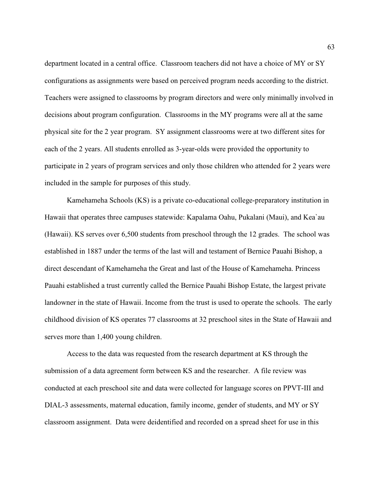department located in a central office. Classroom teachers did not have a choice of MY or SY configurations as assignments were based on perceived program needs according to the district. Teachers were assigned to classrooms by program directors and were only minimally involved in decisions about program configuration. Classrooms in the MY programs were all at the same physical site for the 2 year program. SY assignment classrooms were at two different sites for each of the 2 years. All students enrolled as 3-year-olds were provided the opportunity to participate in 2 years of program services and only those children who attended for 2 years were included in the sample for purposes of this study.

Kamehameha Schools (KS) is a private co-educational college-preparatory institution in Hawaii that operates three campuses statewide: Kapalama Oahu, Pukalani (Maui), and Kea`au (Hawaii). KS serves over 6,500 students from preschool through the 12 grades. The school was established in 1887 under the terms of the last will and testament of Bernice Pauahi Bishop, a direct descendant of Kamehameha the Great and last of the House of Kamehameha. Princess Pauahi established a trust currently called the Bernice Pauahi Bishop Estate, the largest private landowner in the state of Hawaii. Income from the trust is used to operate the schools. The early childhood division of KS operates 77 classrooms at 32 preschool sites in the State of Hawaii and serves more than 1,400 young children.

Access to the data was requested from the research department at KS through the submission of a data agreement form between KS and the researcher. A file review was conducted at each preschool site and data were collected for language scores on PPVT-III and DIAL-3 assessments, maternal education, family income, gender of students, and MY or SY classroom assignment. Data were deidentified and recorded on a spread sheet for use in this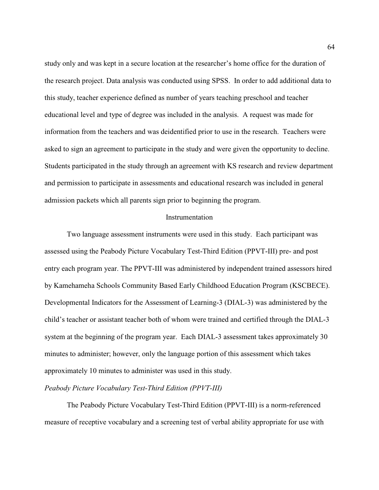study only and was kept in a secure location at the researcher's home office for the duration of the research project. Data analysis was conducted using SPSS. In order to add additional data to this study, teacher experience defined as number of years teaching preschool and teacher educational level and type of degree was included in the analysis. A request was made for information from the teachers and was deidentified prior to use in the research. Teachers were asked to sign an agreement to participate in the study and were given the opportunity to decline. Students participated in the study through an agreement with KS research and review department and permission to participate in assessments and educational research was included in general admission packets which all parents sign prior to beginning the program.

#### Instrumentation

 Two language assessment instruments were used in this study. Each participant was assessed using the Peabody Picture Vocabulary Test-Third Edition (PPVT-III) pre- and post entry each program year. The PPVT-III was administered by independent trained assessors hired by Kamehameha Schools Community Based Early Childhood Education Program (KSCBECE). Developmental Indicators for the Assessment of Learning-3 (DIAL-3) was administered by the child's teacher or assistant teacher both of whom were trained and certified through the DIAL-3 system at the beginning of the program year. Each DIAL-3 assessment takes approximately 30 minutes to administer; however, only the language portion of this assessment which takes approximately 10 minutes to administer was used in this study.

## *Peabody Picture Vocabulary Test-Third Edition (PPVT-III)*

The Peabody Picture Vocabulary Test-Third Edition (PPVT-III) is a norm-referenced measure of receptive vocabulary and a screening test of verbal ability appropriate for use with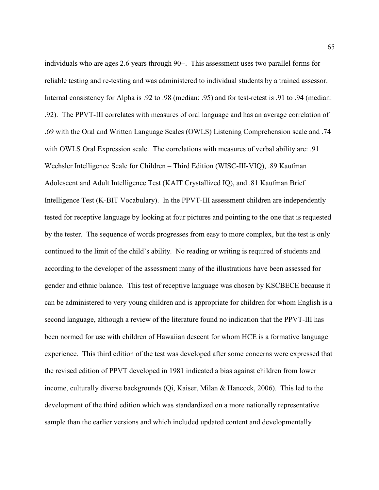individuals who are ages 2.6 years through 90+. This assessment uses two parallel forms for reliable testing and re-testing and was administered to individual students by a trained assessor. Internal consistency for Alpha is .92 to .98 (median: .95) and for test-retest is .91 to .94 (median: .92). The PPVT-III correlates with measures of oral language and has an average correlation of .69 with the Oral and Written Language Scales (OWLS) Listening Comprehension scale and .74 with OWLS Oral Expression scale. The correlations with measures of verbal ability are: .91 Wechsler Intelligence Scale for Children – Third Edition (WISC-III-VIQ), .89 Kaufman Adolescent and Adult Intelligence Test (KAIT Crystallized IQ), and .81 Kaufman Brief Intelligence Test (K-BIT Vocabulary). In the PPVT-III assessment children are independently tested for receptive language by looking at four pictures and pointing to the one that is requested by the tester. The sequence of words progresses from easy to more complex, but the test is only continued to the limit of the child's ability. No reading or writing is required of students and according to the developer of the assessment many of the illustrations have been assessed for gender and ethnic balance. This test of receptive language was chosen by KSCBECE because it can be administered to very young children and is appropriate for children for whom English is a second language, although a review of the literature found no indication that the PPVT-III has been normed for use with children of Hawaiian descent for whom HCE is a formative language experience. This third edition of the test was developed after some concerns were expressed that the revised edition of PPVT developed in 1981 indicated a bias against children from lower income, culturally diverse backgrounds (Qi, Kaiser, Milan & Hancock, 2006). This led to the development of the third edition which was standardized on a more nationally representative sample than the earlier versions and which included updated content and developmentally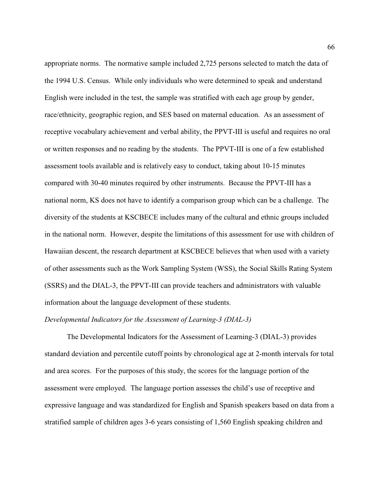appropriate norms. The normative sample included 2,725 persons selected to match the data of the 1994 U.S. Census. While only individuals who were determined to speak and understand English were included in the test, the sample was stratified with each age group by gender, race/ethnicity, geographic region, and SES based on maternal education. As an assessment of receptive vocabulary achievement and verbal ability, the PPVT-III is useful and requires no oral or written responses and no reading by the students. The PPVT-III is one of a few established assessment tools available and is relatively easy to conduct, taking about 10-15 minutes compared with 30-40 minutes required by other instruments. Because the PPVT-III has a national norm, KS does not have to identify a comparison group which can be a challenge. The diversity of the students at KSCBECE includes many of the cultural and ethnic groups included in the national norm. However, despite the limitations of this assessment for use with children of Hawaiian descent, the research department at KSCBECE believes that when used with a variety of other assessments such as the Work Sampling System (WSS), the Social Skills Rating System (SSRS) and the DIAL-3, the PPVT-III can provide teachers and administrators with valuable information about the language development of these students.

## *Developmental Indicators for the Assessment of Learning-3 (DIAL-3)*

The Developmental Indicators for the Assessment of Learning-3 (DIAL-3) provides standard deviation and percentile cutoff points by chronological age at 2-month intervals for total and area scores. For the purposes of this study, the scores for the language portion of the assessment were employed. The language portion assesses the child's use of receptive and expressive language and was standardized for English and Spanish speakers based on data from a stratified sample of children ages 3-6 years consisting of 1,560 English speaking children and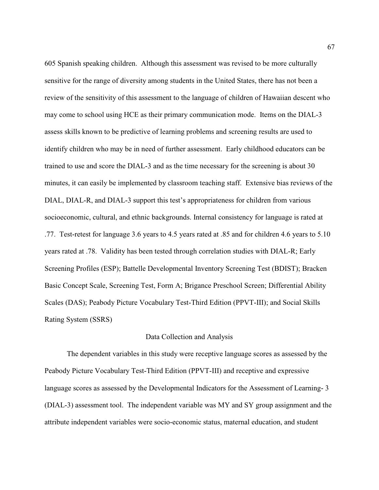605 Spanish speaking children. Although this assessment was revised to be more culturally sensitive for the range of diversity among students in the United States, there has not been a review of the sensitivity of this assessment to the language of children of Hawaiian descent who may come to school using HCE as their primary communication mode. Items on the DIAL-3 assess skills known to be predictive of learning problems and screening results are used to identify children who may be in need of further assessment. Early childhood educators can be trained to use and score the DIAL-3 and as the time necessary for the screening is about 30 minutes, it can easily be implemented by classroom teaching staff. Extensive bias reviews of the DIAL, DIAL-R, and DIAL-3 support this test's appropriateness for children from various socioeconomic, cultural, and ethnic backgrounds. Internal consistency for language is rated at .77. Test-retest for language 3.6 years to 4.5 years rated at .85 and for children 4.6 years to 5.10 years rated at .78. Validity has been tested through correlation studies with DIAL-R; Early Screening Profiles (ESP); Battelle Developmental Inventory Screening Test (BDIST); Bracken Basic Concept Scale, Screening Test, Form A; Brigance Preschool Screen; Differential Ability Scales (DAS); Peabody Picture Vocabulary Test-Third Edition (PPVT-III); and Social Skills Rating System (SSRS)

### Data Collection and Analysis

The dependent variables in this study were receptive language scores as assessed by the Peabody Picture Vocabulary Test-Third Edition (PPVT-III) and receptive and expressive language scores as assessed by the Developmental Indicators for the Assessment of Learning- 3 (DIAL-3) assessment tool. The independent variable was MY and SY group assignment and the attribute independent variables were socio-economic status, maternal education, and student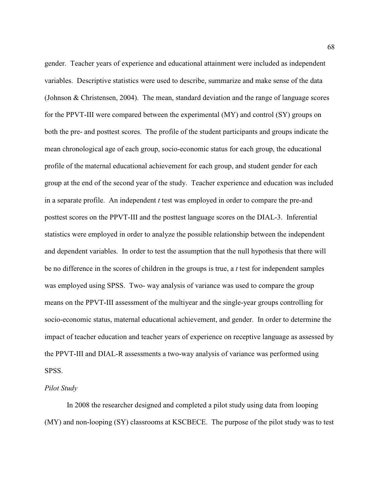gender. Teacher years of experience and educational attainment were included as independent variables. Descriptive statistics were used to describe, summarize and make sense of the data (Johnson & Christensen, 2004). The mean, standard deviation and the range of language scores for the PPVT-III were compared between the experimental (MY) and control (SY) groups on both the pre- and posttest scores. The profile of the student participants and groups indicate the mean chronological age of each group, socio-economic status for each group, the educational profile of the maternal educational achievement for each group, and student gender for each group at the end of the second year of the study. Teacher experience and education was included in a separate profile. An independent *t* test was employed in order to compare the pre-and posttest scores on the PPVT-III and the posttest language scores on the DIAL-3. Inferential statistics were employed in order to analyze the possible relationship between the independent and dependent variables. In order to test the assumption that the null hypothesis that there will be no difference in the scores of children in the groups is true, a *t* test for independent samples was employed using SPSS. Two- way analysis of variance was used to compare the group means on the PPVT-III assessment of the multiyear and the single-year groups controlling for socio-economic status, maternal educational achievement, and gender. In order to determine the impact of teacher education and teacher years of experience on receptive language as assessed by the PPVT-III and DIAL-R assessments a two-way analysis of variance was performed using SPSS.

# *Pilot Study*

In 2008 the researcher designed and completed a pilot study using data from looping (MY) and non-looping (SY) classrooms at KSCBECE. The purpose of the pilot study was to test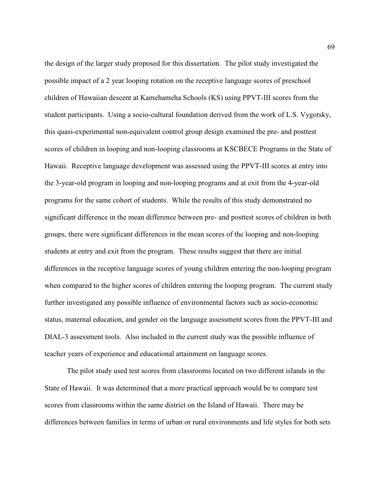the design of the larger study proposed for this dissertation. The pilot study investigated the possible impact of a 2 year looping rotation on the receptive language scores of preschool children of Hawaiian descent at Kamehameha Schools (KS) using PPVT-III scores from the student participants. Using a socio-cultural foundation derived from the work of L.S. Vygotsky, this quasi-experimental non-equivalent control group design examined the pre- and posttest scores of children in looping and non-looping classrooms at KSCBECE Programs in the State of Hawaii. Receptive language development was assessed using the PPVT-III scores at entry into the 3-year-old program in looping and non-looping programs and at exit from the 4-year-old programs for the same cohort of students. While the results of this study demonstrated no significant difference in the mean difference between pre- and posttest scores of children in both groups, there were significant differences in the mean scores of the looping and non-looping students at entry and exit from the program. These results suggest that there are initial differences in the receptive language scores of young children entering the non-looping program when compared to the higher scores of children entering the looping program. The current study further investigated any possible influence of environmental factors such as socio-economic status, maternal education, and gender on the language assessment scores from the PPVT-III and DIAL-3 assessment tools. Also included in the current study was the possible influence of teacher years of experience and educational attainment on language scores.

The pilot study used test scores from classrooms located on two different islands in the State of Hawaii. It was determined that a more practical approach would be to compare test scores from classrooms within the same district on the Island of Hawaii. There may be differences between families in terms of urban or rural environments and life styles for both sets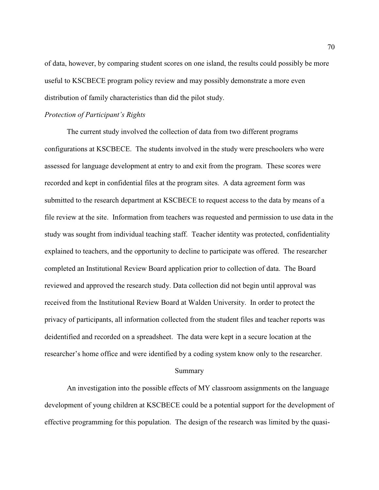of data, however, by comparing student scores on one island, the results could possibly be more useful to KSCBECE program policy review and may possibly demonstrate a more even distribution of family characteristics than did the pilot study.

#### *Protection of Participant's Rights*

The current study involved the collection of data from two different programs configurations at KSCBECE. The students involved in the study were preschoolers who were assessed for language development at entry to and exit from the program. These scores were recorded and kept in confidential files at the program sites. A data agreement form was submitted to the research department at KSCBECE to request access to the data by means of a file review at the site. Information from teachers was requested and permission to use data in the study was sought from individual teaching staff. Teacher identity was protected, confidentiality explained to teachers, and the opportunity to decline to participate was offered. The researcher completed an Institutional Review Board application prior to collection of data. The Board reviewed and approved the research study. Data collection did not begin until approval was received from the Institutional Review Board at Walden University. In order to protect the privacy of participants, all information collected from the student files and teacher reports was deidentified and recorded on a spreadsheet. The data were kept in a secure location at the researcher's home office and were identified by a coding system know only to the researcher.

## Summary

An investigation into the possible effects of MY classroom assignments on the language development of young children at KSCBECE could be a potential support for the development of effective programming for this population. The design of the research was limited by the quasi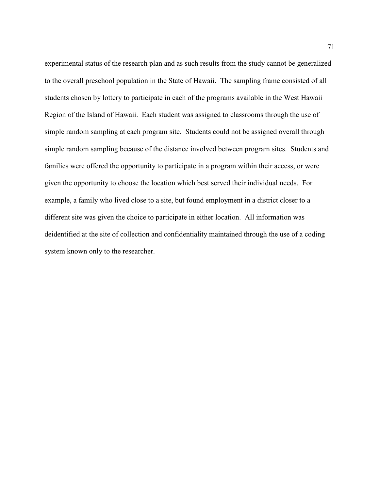experimental status of the research plan and as such results from the study cannot be generalized to the overall preschool population in the State of Hawaii. The sampling frame consisted of all students chosen by lottery to participate in each of the programs available in the West Hawaii Region of the Island of Hawaii. Each student was assigned to classrooms through the use of simple random sampling at each program site. Students could not be assigned overall through simple random sampling because of the distance involved between program sites. Students and families were offered the opportunity to participate in a program within their access, or were given the opportunity to choose the location which best served their individual needs. For example, a family who lived close to a site, but found employment in a district closer to a different site was given the choice to participate in either location. All information was deidentified at the site of collection and confidentiality maintained through the use of a coding system known only to the researcher.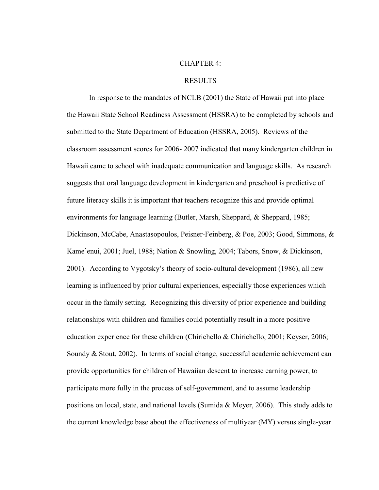### CHAPTER 4:

#### RESULTS

 In response to the mandates of NCLB (2001) the State of Hawaii put into place the Hawaii State School Readiness Assessment (HSSRA) to be completed by schools and submitted to the State Department of Education (HSSRA, 2005). Reviews of the classroom assessment scores for 2006- 2007 indicated that many kindergarten children in Hawaii came to school with inadequate communication and language skills. As research suggests that oral language development in kindergarten and preschool is predictive of future literacy skills it is important that teachers recognize this and provide optimal environments for language learning (Butler, Marsh, Sheppard, & Sheppard, 1985; Dickinson, McCabe, Anastasopoulos, Peisner-Feinberg, & Poe, 2003; Good, Simmons, & Kame`enui, 2001; Juel, 1988; Nation & Snowling, 2004; Tabors, Snow, & Dickinson, 2001). According to Vygotsky's theory of socio-cultural development (1986), all new learning is influenced by prior cultural experiences, especially those experiences which occur in the family setting. Recognizing this diversity of prior experience and building relationships with children and families could potentially result in a more positive education experience for these children (Chirichello & Chirichello, 2001; Keyser, 2006; Soundy & Stout, 2002). In terms of social change, successful academic achievement can provide opportunities for children of Hawaiian descent to increase earning power, to participate more fully in the process of self-government, and to assume leadership positions on local, state, and national levels (Sumida & Meyer, 2006). This study adds to the current knowledge base about the effectiveness of multiyear (MY) versus single-year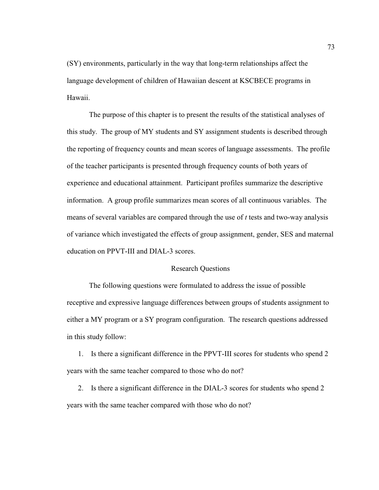(SY) environments, particularly in the way that long-term relationships affect the language development of children of Hawaiian descent at KSCBECE programs in Hawaii.

The purpose of this chapter is to present the results of the statistical analyses of this study. The group of MY students and SY assignment students is described through the reporting of frequency counts and mean scores of language assessments. The profile of the teacher participants is presented through frequency counts of both years of experience and educational attainment. Participant profiles summarize the descriptive information. A group profile summarizes mean scores of all continuous variables. The means of several variables are compared through the use of *t* tests and two-way analysis of variance which investigated the effects of group assignment, gender, SES and maternal education on PPVT-III and DIAL-3 scores.

### Research Questions

The following questions were formulated to address the issue of possible receptive and expressive language differences between groups of students assignment to either a MY program or a SY program configuration. The research questions addressed in this study follow:

1. Is there a significant difference in the PPVT-III scores for students who spend 2 years with the same teacher compared to those who do not?

2. Is there a significant difference in the DIAL-3 scores for students who spend 2 years with the same teacher compared with those who do not?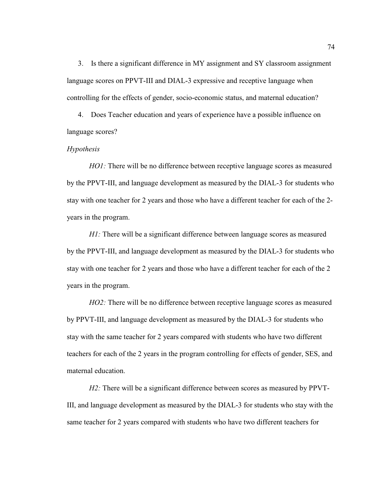3. Is there a significant difference in MY assignment and SY classroom assignment language scores on PPVT-III and DIAL-3 expressive and receptive language when controlling for the effects of gender, socio-economic status, and maternal education?

4. Does Teacher education and years of experience have a possible influence on language scores?

#### *Hypothesis*

*HO1*: There will be no difference between receptive language scores as measured by the PPVT-III, and language development as measured by the DIAL-3 for students who stay with one teacher for 2 years and those who have a different teacher for each of the 2 years in the program.

*H1*: There will be a significant difference between language scores as measured by the PPVT-III, and language development as measured by the DIAL-3 for students who stay with one teacher for 2 years and those who have a different teacher for each of the 2 years in the program.

*HO2*: There will be no difference between receptive language scores as measured by PPVT-III, and language development as measured by the DIAL-3 for students who stay with the same teacher for 2 years compared with students who have two different teachers for each of the 2 years in the program controlling for effects of gender, SES, and maternal education.

*H2:* There will be a significant difference between scores as measured by PPVT-III, and language development as measured by the DIAL-3 for students who stay with the same teacher for 2 years compared with students who have two different teachers for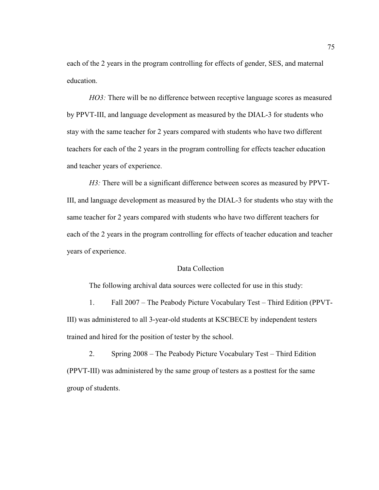each of the 2 years in the program controlling for effects of gender, SES, and maternal education.

*HO3*: There will be no difference between receptive language scores as measured by PPVT-III, and language development as measured by the DIAL-3 for students who stay with the same teacher for 2 years compared with students who have two different teachers for each of the 2 years in the program controlling for effects teacher education and teacher years of experience.

*H3*: There will be a significant difference between scores as measured by PPVT-III, and language development as measured by the DIAL-3 for students who stay with the same teacher for 2 years compared with students who have two different teachers for each of the 2 years in the program controlling for effects of teacher education and teacher years of experience.

### Data Collection

The following archival data sources were collected for use in this study:

1. Fall 2007 – The Peabody Picture Vocabulary Test – Third Edition (PPVT-III) was administered to all 3-year-old students at KSCBECE by independent testers trained and hired for the position of tester by the school.

2. Spring 2008 – The Peabody Picture Vocabulary Test – Third Edition (PPVT-III) was administered by the same group of testers as a posttest for the same group of students.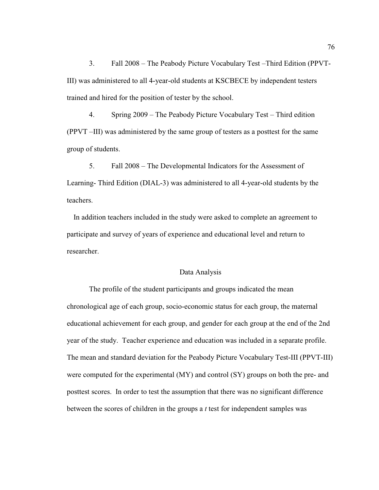3. Fall 2008 – The Peabody Picture Vocabulary Test –Third Edition (PPVT-III) was administered to all 4-year-old students at KSCBECE by independent testers trained and hired for the position of tester by the school.

4. Spring 2009 – The Peabody Picture Vocabulary Test – Third edition (PPVT –III) was administered by the same group of testers as a posttest for the same group of students.

5. Fall 2008 – The Developmental Indicators for the Assessment of Learning- Third Edition (DIAL-3) was administered to all 4-year-old students by the teachers.

In addition teachers included in the study were asked to complete an agreement to participate and survey of years of experience and educational level and return to researcher.

## Data Analysis

The profile of the student participants and groups indicated the mean chronological age of each group, socio-economic status for each group, the maternal educational achievement for each group, and gender for each group at the end of the 2nd year of the study. Teacher experience and education was included in a separate profile. The mean and standard deviation for the Peabody Picture Vocabulary Test-III (PPVT-III) were computed for the experimental (MY) and control (SY) groups on both the pre- and posttest scores. In order to test the assumption that there was no significant difference between the scores of children in the groups a *t* test for independent samples was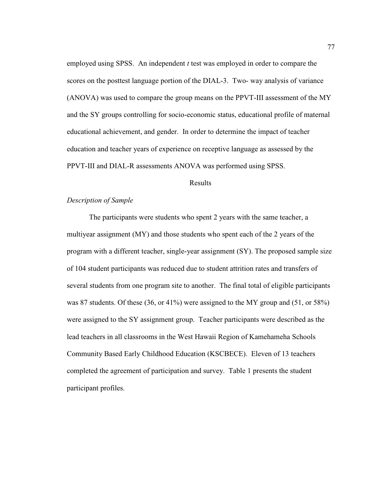employed using SPSS. An independent *t* test was employed in order to compare the scores on the posttest language portion of the DIAL-3. Two- way analysis of variance (ANOVA) was used to compare the group means on the PPVT-III assessment of the MY and the SY groups controlling for socio-economic status, educational profile of maternal educational achievement, and gender. In order to determine the impact of teacher education and teacher years of experience on receptive language as assessed by the PPVT-III and DIAL-R assessments ANOVA was performed using SPSS.

#### Results

### *Description of Sample*

The participants were students who spent 2 years with the same teacher, a multiyear assignment (MY) and those students who spent each of the 2 years of the program with a different teacher, single-year assignment (SY). The proposed sample size of 104 student participants was reduced due to student attrition rates and transfers of several students from one program site to another. The final total of eligible participants was 87 students. Of these (36, or 41%) were assigned to the MY group and (51, or 58%) were assigned to the SY assignment group. Teacher participants were described as the lead teachers in all classrooms in the West Hawaii Region of Kamehameha Schools Community Based Early Childhood Education (KSCBECE). Eleven of 13 teachers completed the agreement of participation and survey. Table 1 presents the student participant profiles.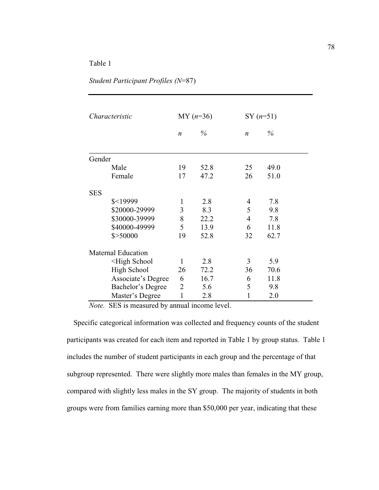*Student Participant Profiles (N*=87)

| Characteristic |                                                                                                           | $MY(n=36)$       |      |                  | $SY (n=51)$ |  |
|----------------|-----------------------------------------------------------------------------------------------------------|------------------|------|------------------|-------------|--|
|                |                                                                                                           | $\boldsymbol{n}$ | $\%$ | $\boldsymbol{n}$ | $\%$        |  |
| Gender         |                                                                                                           |                  |      |                  |             |  |
|                | Male                                                                                                      | 19               | 52.8 | 25               | 49.0        |  |
|                | Female                                                                                                    | 17               | 47.2 | 26               | 51.0        |  |
| <b>SES</b>     |                                                                                                           |                  |      |                  |             |  |
|                | $$<$ 19999                                                                                                | $\mathbf{1}$     | 2.8  | 4                | 7.8         |  |
|                | \$20000-29999                                                                                             | 3                | 8.3  | 5                | 9.8         |  |
|                | \$30000-39999                                                                                             | 8                | 22.2 | $\overline{4}$   | 7.8         |  |
|                | \$40000-49999                                                                                             | 5                | 13.9 | 6                | 11.8        |  |
|                | \$>50000                                                                                                  | 19               | 52.8 | 32               | 62.7        |  |
|                | <b>Maternal Education</b>                                                                                 |                  |      |                  |             |  |
|                | <high school<="" td=""><td><math>\mathbf{1}</math></td><td>2.8</td><td>3</td><td>5.9</td><td></td></high> | $\mathbf{1}$     | 2.8  | 3                | 5.9         |  |
|                | <b>High School</b>                                                                                        | 26               | 72.2 | 36               | 70.6        |  |
|                | Associate's Degree                                                                                        | 6                | 16.7 | 6                | 11.8        |  |
|                | Bachelor's Degree                                                                                         | $\overline{2}$   | 5.6  | 5                | 9.8         |  |
|                | Master's Degree                                                                                           | $\mathbf{1}$     | 2.8  | 1                | 2.0         |  |

*Note.* SES is measured by annual income level.

Specific categorical information was collected and frequency counts of the student participants was created for each item and reported in Table 1 by group status. Table 1 includes the number of student participants in each group and the percentage of that subgroup represented. There were slightly more males than females in the MY group, compared with slightly less males in the SY group. The majority of students in both groups were from families earning more than \$50,000 per year, indicating that these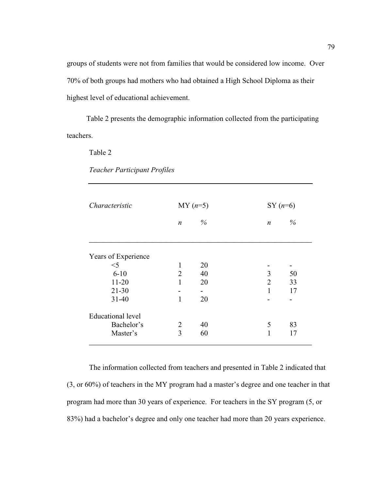groups of students were not from families that would be considered low income. Over 70% of both groups had mothers who had obtained a High School Diploma as their highest level of educational achievement.

Table 2 presents the demographic information collected from the participating teachers.

Table 2

| Characteristic           | $MY(n=5)$        |      |                  | $SY(n=6)$ |  |
|--------------------------|------------------|------|------------------|-----------|--|
|                          | $\boldsymbol{n}$ | $\%$ | $\boldsymbol{n}$ | $\%$      |  |
| Years of Experience      |                  |      |                  |           |  |
| $<$ 5                    | 1                | 20   |                  |           |  |
| $6 - 10$                 | $\overline{2}$   | 40   | 3                | 50        |  |
| $11-20$                  | 1                | 20   | $\overline{2}$   | 33        |  |
| $21 - 30$                |                  |      | 1                | 17        |  |
| $31 - 40$                | $\mathbf{1}$     | 20   |                  |           |  |
| <b>Educational level</b> |                  |      |                  |           |  |
| Bachelor's               | $\overline{2}$   | 40   | 5                | 83        |  |
| Master's                 | $\overline{3}$   | 60   | 1                | 17        |  |

*Teacher Participant Profiles* 

The information collected from teachers and presented in Table 2 indicated that (3, or 60%) of teachers in the MY program had a master's degree and one teacher in that program had more than 30 years of experience. For teachers in the SY program (5, or 83%) had a bachelor's degree and only one teacher had more than 20 years experience.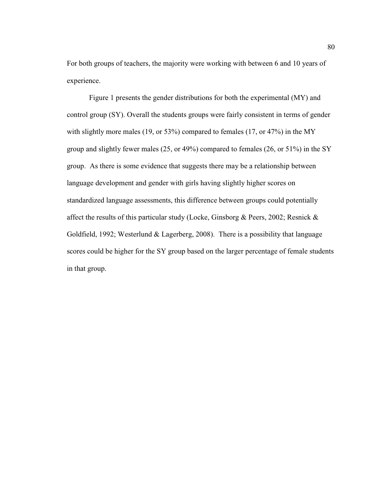For both groups of teachers, the majority were working with between 6 and 10 years of experience.

Figure 1 presents the gender distributions for both the experimental (MY) and control group (SY). Overall the students groups were fairly consistent in terms of gender with slightly more males (19, or 53%) compared to females (17, or 47%) in the MY group and slightly fewer males (25, or 49%) compared to females (26, or 51%) in the SY group. As there is some evidence that suggests there may be a relationship between language development and gender with girls having slightly higher scores on standardized language assessments, this difference between groups could potentially affect the results of this particular study (Locke, Ginsborg & Peers, 2002; Resnick & Goldfield, 1992; Westerlund & Lagerberg, 2008). There is a possibility that language scores could be higher for the SY group based on the larger percentage of female students in that group.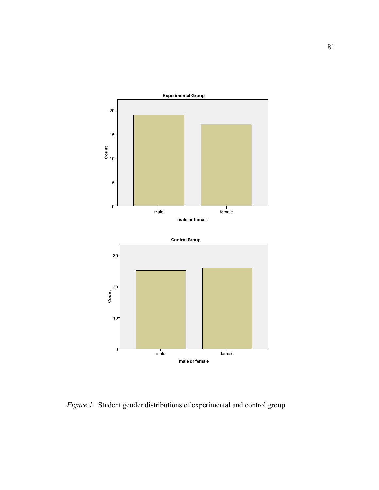

*Figure 1.* Student gender distributions of experimental and control group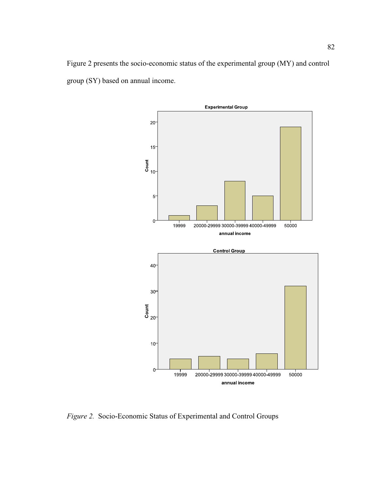



*Figure 2.* Socio-Economic Status of Experimental and Control Groups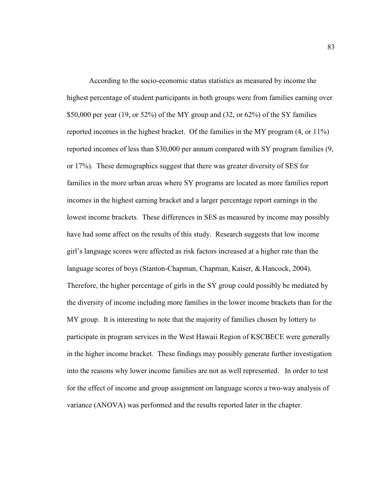According to the socio-economic status statistics as measured by income the highest percentage of student participants in both groups were from families earning over \$50,000 per year (19, or 52%) of the MY group and (32, or  $62\%$ ) of the SY families reported incomes in the highest bracket. Of the families in the MY program (4, or 11%) reported incomes of less than \$30,000 per annum compared with SY program families (9, or 17%). These demographics suggest that there was greater diversity of SES for families in the more urban areas where SY programs are located as more families report incomes in the highest earning bracket and a larger percentage report earnings in the lowest income brackets. These differences in SES as measured by income may possibly have had some affect on the results of this study. Research suggests that low income girl's language scores were affected as risk factors increased at a higher rate than the language scores of boys (Stanton-Chapman, Chapman, Kaiser, & Hancock, 2004). Therefore, the higher percentage of girls in the SY group could possibly be mediated by the diversity of income including more families in the lower income brackets than for the MY group. It is interesting to note that the majority of families chosen by lottery to participate in program services in the West Hawaii Region of KSCBECE were generally in the higher income bracket. These findings may possibly generate further investigation into the reasons why lower income families are not as well represented. In order to test for the effect of income and group assignment on language scores a two-way analysis of variance (ANOVA) was performed and the results reported later in the chapter.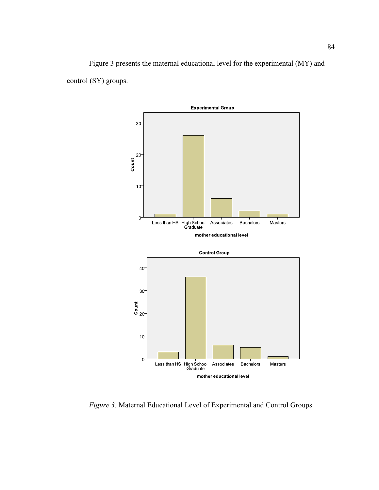Figure 3 presents the maternal educational level for the experimental (MY) and control (SY) groups.



*Figure 3.* Maternal Educational Level of Experimental and Control Groups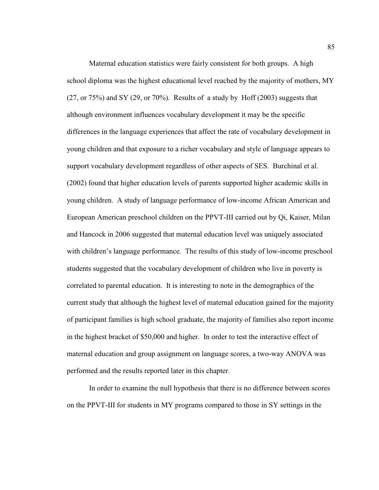Maternal education statistics were fairly consistent for both groups. A high school diploma was the highest educational level reached by the majority of mothers, MY  $(27, \text{ or } 75\%)$  and SY (29, or 70%). Results of a study by Hoff (2003) suggests that although environment influences vocabulary development it may be the specific differences in the language experiences that affect the rate of vocabulary development in young children and that exposure to a richer vocabulary and style of language appears to support vocabulary development regardless of other aspects of SES. Burchinal et al. (2002) found that higher education levels of parents supported higher academic skills in young children. A study of language performance of low-income African American and European American preschool children on the PPVT-III carried out by Qi, Kaiser, Milan and Hancock in 2006 suggested that maternal education level was uniquely associated with children's language performance. The results of this study of low-income preschool students suggested that the vocabulary development of children who live in poverty is correlated to parental education. It is interesting to note in the demographics of the current study that although the highest level of maternal education gained for the majority of participant families is high school graduate, the majority of families also report income in the highest bracket of \$50,000 and higher. In order to test the interactive effect of maternal education and group assignment on language scores, a two-way ANOVA was performed and the results reported later in this chapter.

In order to examine the null hypothesis that there is no difference between scores on the PPVT-III for students in MY programs compared to those in SY settings in the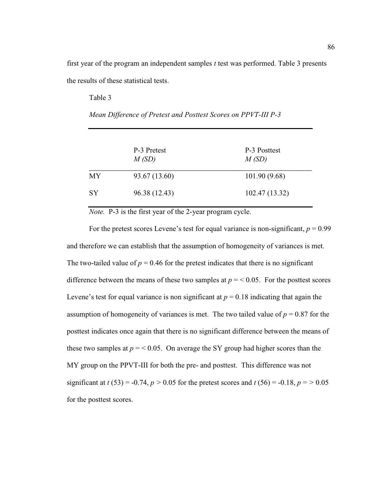first year of the program an independent samples *t* test was performed. Table 3 presents the results of these statistical tests.

Table 3

|           | P-3 Pretest<br>M(SD) | P-3 Posttest<br>M(SD) |
|-----------|----------------------|-----------------------|
| MY        | 93.67 (13.60)        | 101.90 (9.68)         |
| <b>SY</b> | 96.38 (12.43)        | 102.47 (13.32)        |

*Mean Difference of Pretest and Posttest Scores on PPVT-III P-3* 

*Note.* P-3 is the first year of the 2-year program cycle.

For the pretest scores Levene's test for equal variance is non-significant,  $p = 0.99$ and therefore we can establish that the assumption of homogeneity of variances is met. The two-tailed value of  $p = 0.46$  for the pretest indicates that there is no significant difference between the means of these two samples at  $p = 0.05$ . For the posttest scores Levene's test for equal variance is non significant at  $p = 0.18$  indicating that again the assumption of homogeneity of variances is met. The two tailed value of  $p = 0.87$  for the posttest indicates once again that there is no significant difference between the means of these two samples at  $p = 0.05$ . On average the SY group had higher scores than the MY group on the PPVT-III for both the pre- and posttest. This difference was not significant at  $t (53) = -0.74$ ,  $p > 0.05$  for the pretest scores and  $t (56) = -0.18$ ,  $p = > 0.05$ for the posttest scores.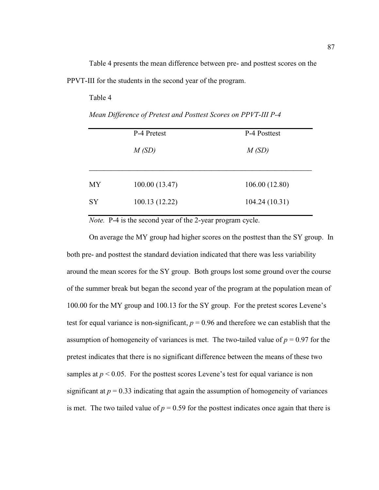Table 4 presents the mean difference between pre- and posttest scores on the PPVT-III for the students in the second year of the program.

Table 4

|    | P-4 Pretest    | P-4 Posttest   |
|----|----------------|----------------|
|    | M(SD)          | M(SD)          |
|    |                |                |
| МY | 100.00(13.47)  | 106.00 (12.80) |
| SY | 100.13 (12.22) | 104.24(10.31)  |
|    |                |                |

*Mean Difference of Pretest and Posttest Scores on PPVT-III P-4* 

*Note.* P-4 is the second year of the 2-year program cycle.

On average the MY group had higher scores on the posttest than the SY group. In both pre- and posttest the standard deviation indicated that there was less variability around the mean scores for the SY group. Both groups lost some ground over the course of the summer break but began the second year of the program at the population mean of 100.00 for the MY group and 100.13 for the SY group. For the pretest scores Levene's test for equal variance is non-significant,  $p = 0.96$  and therefore we can establish that the assumption of homogeneity of variances is met. The two-tailed value of  $p = 0.97$  for the pretest indicates that there is no significant difference between the means of these two samples at  $p < 0.05$ . For the posttest scores Levene's test for equal variance is non significant at  $p = 0.33$  indicating that again the assumption of homogeneity of variances is met. The two tailed value of  $p = 0.59$  for the posttest indicates once again that there is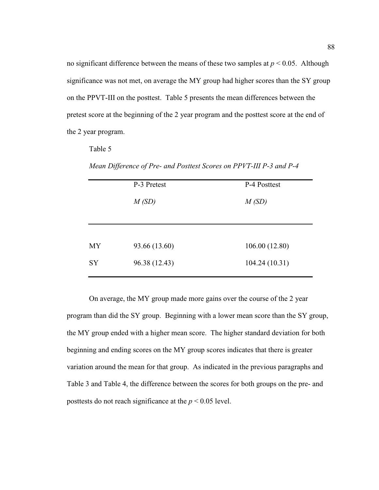no significant difference between the means of these two samples at  $p < 0.05$ . Although significance was not met, on average the MY group had higher scores than the SY group on the PPVT-III on the posttest. Table 5 presents the mean differences between the pretest score at the beginning of the 2 year program and the posttest score at the end of the 2 year program.

Table 5

|           | P-3 Pretest   | P-4 Posttest  |
|-----------|---------------|---------------|
|           | M(SD)         | M(SD)         |
|           |               |               |
|           |               |               |
| <b>MY</b> | 93.66 (13.60) | 106.00(12.80) |
| <b>SY</b> | 96.38 (12.43) | 104.24(10.31) |
|           |               |               |

*Mean Difference of Pre- and Posttest Scores on PPVT-III P-3 and P-4* 

On average, the MY group made more gains over the course of the 2 year program than did the SY group. Beginning with a lower mean score than the SY group, the MY group ended with a higher mean score. The higher standard deviation for both beginning and ending scores on the MY group scores indicates that there is greater variation around the mean for that group. As indicated in the previous paragraphs and Table 3 and Table 4, the difference between the scores for both groups on the pre- and posttests do not reach significance at the  $p < 0.05$  level.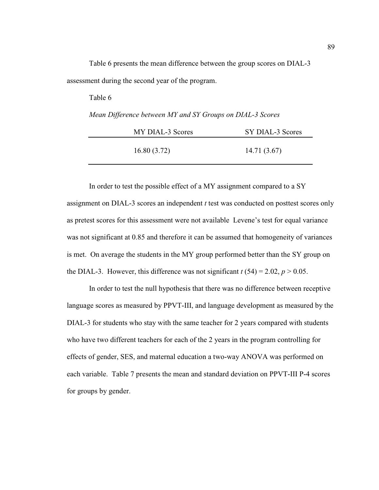|  | Table 6 presents the mean difference between the group scores on DIAL-3 |  |  |  |  |
|--|-------------------------------------------------------------------------|--|--|--|--|
|  | assessment during the second year of the program.                       |  |  |  |  |

| Table 6                                                   |                  |
|-----------------------------------------------------------|------------------|
| Mean Difference between MY and SY Groups on DIAL-3 Scores |                  |
| MY DIAL-3 Scores                                          | SY DIAL-3 Scores |
| 16.80(3.72)                                               | 14.71 (3.67)     |

In order to test the possible effect of a MY assignment compared to a SY assignment on DIAL-3 scores an independent *t* test was conducted on posttest scores only as pretest scores for this assessment were not available Levene's test for equal variance was not significant at 0.85 and therefore it can be assumed that homogeneity of variances is met. On average the students in the MY group performed better than the SY group on the DIAL-3. However, this difference was not significant  $t(54) = 2.02$ ,  $p > 0.05$ .

In order to test the null hypothesis that there was no difference between receptive language scores as measured by PPVT-III, and language development as measured by the DIAL-3 for students who stay with the same teacher for 2 years compared with students who have two different teachers for each of the 2 years in the program controlling for effects of gender, SES, and maternal education a two-way ANOVA was performed on each variable. Table 7 presents the mean and standard deviation on PPVT-III P-4 scores for groups by gender.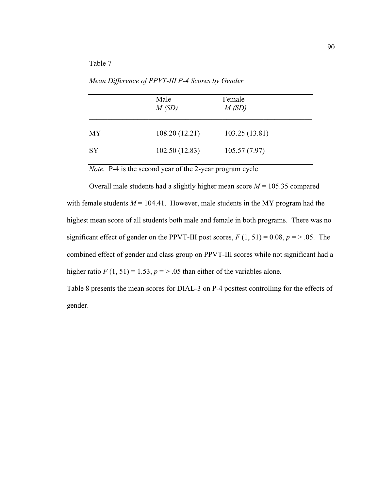*Mean Difference of PPVT-III P-4 Scores by Gender* 

|           | Male<br>M(SD)  | Female<br>M(SD) |
|-----------|----------------|-----------------|
| MY        | 108.20 (12.21) | 103.25(13.81)   |
| <b>SY</b> | 102.50(12.83)  | 105.57(7.97)    |

*Note.* P-4 is the second year of the 2-year program cycle

Overall male students had a slightly higher mean score  $M = 105.35$  compared with female students  $M = 104.41$ . However, male students in the MY program had the highest mean score of all students both male and female in both programs. There was no significant effect of gender on the PPVT-III post scores,  $F(1, 51) = 0.08$ ,  $p = > .05$ . The combined effect of gender and class group on PPVT-III scores while not significant had a higher ratio  $F(1, 51) = 1.53$ ,  $p = > .05$  than either of the variables alone.

Table 8 presents the mean scores for DIAL-3 on P-4 posttest controlling for the effects of gender.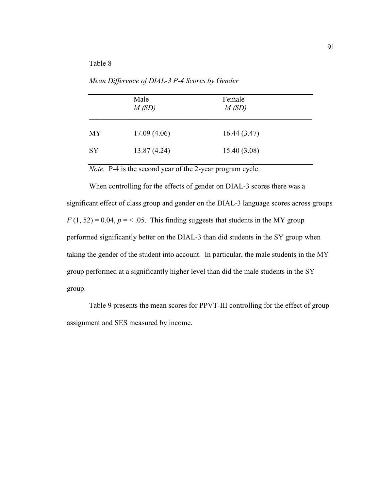*Mean Difference of DIAL-3 P-4 Scores by Gender* 

|           | Male<br>M(SD) | Female<br>M(SD) |
|-----------|---------------|-----------------|
| MY        | 17.09(4.06)   | 16.44(3.47)     |
| <b>SY</b> | 13.87 (4.24)  | 15.40(3.08)     |

*Note.* P-4 is the second year of the 2-year program cycle.

 When controlling for the effects of gender on DIAL-3 scores there was a significant effect of class group and gender on the DIAL-3 language scores across groups  $F(1, 52) = 0.04$ ,  $p = 0.65$ . This finding suggests that students in the MY group performed significantly better on the DIAL-3 than did students in the SY group when taking the gender of the student into account. In particular, the male students in the MY group performed at a significantly higher level than did the male students in the SY group.

 Table 9 presents the mean scores for PPVT-III controlling for the effect of group assignment and SES measured by income.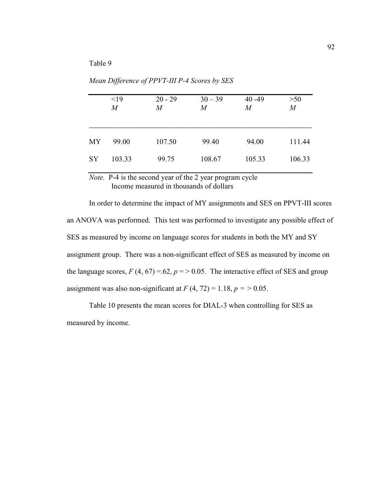$\leq$ 19 20 - 29 30 - 39 40 - 49  $>$  50 *M M M M M*   $\overline{\phantom{a}}$  , and the contract of the contract of the contract of the contract of the contract of the contract of the contract of the contract of the contract of the contract of the contract of the contract of the contrac MY 99.00 107.50 99.40 94.00 111.44 SY 103.33 99.75 108.67 105.33 106.33

*Mean Difference of PPVT-III P-4 Scores by SES* 

*Note.* P-4 is the second year of the 2 year program cycle Income measured in thousands of dollars

In order to determine the impact of MY assignments and SES on PPVT-III scores an ANOVA was performed. This test was performed to investigate any possible effect of SES as measured by income on language scores for students in both the MY and SY assignment group. There was a non-significant effect of SES as measured by income on the language scores,  $F(4, 67) = 62$ ,  $p = 50.05$ . The interactive effect of SES and group assignment was also non-significant at  $F(4, 72) = 1.18$ ,  $p = > 0.05$ .

Table 10 presents the mean scores for DIAL-3 when controlling for SES as measured by income.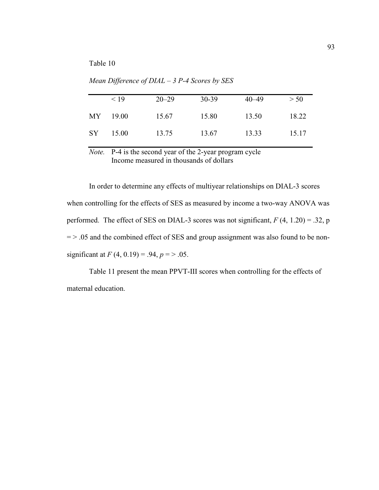|     | < 19  | $20 - 29$ | 30-39 | $40 - 49$ | > 50  |
|-----|-------|-----------|-------|-----------|-------|
| MY  | 19.00 | 15.67     | 15.80 | 13.50     | 18.22 |
| SY. | 15.00 | 13.75     | 13.67 | 13.33     | 15.17 |

*Mean Difference of DIAL – 3 P-4 Scores by SES* 

*Note.* P-4 is the second year of the 2-year program cycle Income measured in thousands of dollars

In order to determine any effects of multiyear relationships on DIAL-3 scores when controlling for the effects of SES as measured by income a two-way ANOVA was performed. The effect of SES on DIAL-3 scores was not significant,  $F(4, 1.20) = .32$ , p  $=$  > .05 and the combined effect of SES and group assignment was also found to be nonsignificant at  $F(4, 0.19) = .94, p = > .05$ .

Table 11 present the mean PPVT-III scores when controlling for the effects of maternal education.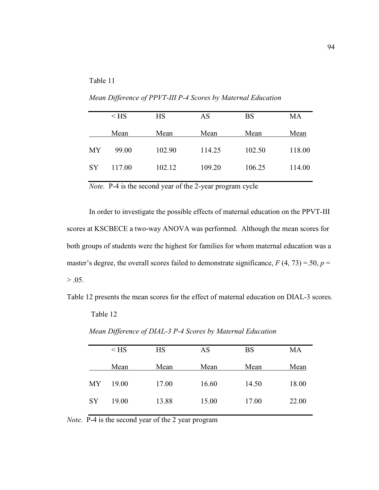*Mean Difference of PPVT-III P-4 Scores by Maternal Education* 

|           | $<$ HS | <b>HS</b> | AS     | <b>BS</b> | MA     |
|-----------|--------|-----------|--------|-----------|--------|
|           | Mean   | Mean      | Mean   | Mean      | Mean   |
| МY        | 99.00  | 102.90    | 114.25 | 102.50    | 118.00 |
| <b>SY</b> | 117.00 | 102.12    | 109.20 | 106.25    | 114.00 |
|           |        |           |        |           |        |

*Note.* P-4 is the second year of the 2-year program cycle

 In order to investigate the possible effects of maternal education on the PPVT-III scores at KSCBECE a two-way ANOVA was performed. Although the mean scores for both groups of students were the highest for families for whom maternal education was a master's degree, the overall scores failed to demonstrate significance,  $F(4, 73) = .50$ ,  $p =$  $> .05.$ 

Table 12 presents the mean scores for the effect of maternal education on DIAL-3 scores.

Table 12

|           | $<$ HS | <b>HS</b> | AS    | <b>BS</b> | MA    |
|-----------|--------|-----------|-------|-----------|-------|
|           | Mean   | Mean      | Mean  | Mean      | Mean  |
| <b>MY</b> | 19.00  | 17.00     | 16.60 | 14.50     | 18.00 |
| SY        | 19.00  | 13.88     | 15.00 | 17.00     | 22.00 |

*Mean Difference of DIAL-3 P-4 Scores by Maternal Education* 

*Note.* P-4 is the second year of the 2 year program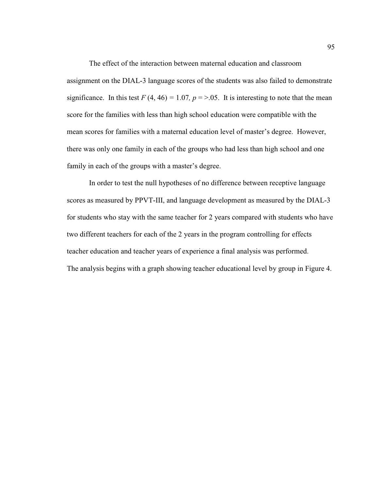The effect of the interaction between maternal education and classroom assignment on the DIAL-3 language scores of the students was also failed to demonstrate significance. In this test  $F(4, 46) = 1.07$ ,  $p = > .05$ . It is interesting to note that the mean score for the families with less than high school education were compatible with the mean scores for families with a maternal education level of master's degree. However, there was only one family in each of the groups who had less than high school and one family in each of the groups with a master's degree.

In order to test the null hypotheses of no difference between receptive language scores as measured by PPVT-III, and language development as measured by the DIAL-3 for students who stay with the same teacher for 2 years compared with students who have two different teachers for each of the 2 years in the program controlling for effects teacher education and teacher years of experience a final analysis was performed. The analysis begins with a graph showing teacher educational level by group in Figure 4.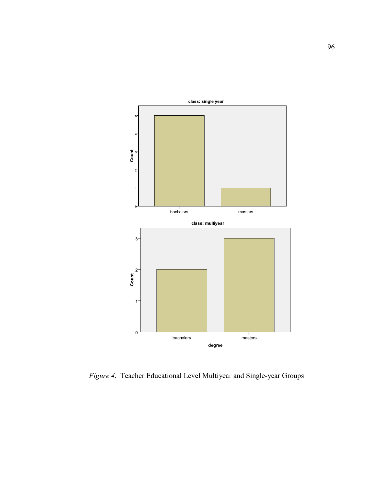

*Figure 4.* Teacher Educational Level Multiyear and Single-year Groups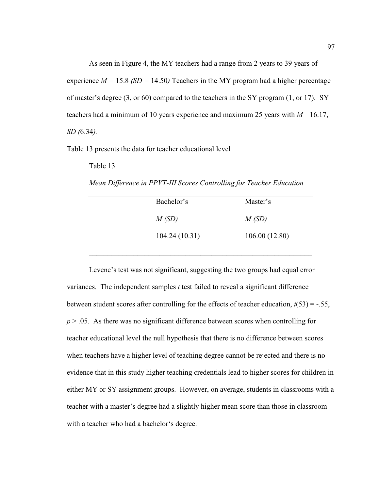As seen in Figure 4, the MY teachers had a range from 2 years to 39 years of experience  $M = 15.8$  (SD = 14.50) Teachers in the MY program had a higher percentage of master's degree (3, or 60) compared to the teachers in the SY program (1, or 17). SY teachers had a minimum of 10 years experience and maximum 25 years with *M=* 16.17, *SD (*6.34*).* 

Table 13 presents the data for teacher educational level

Table 13

*Mean Difference in PPVT-III Scores Controlling for Teacher Education* 

 $\mathcal{L}_\text{max}$  , and the contract of the contract of the contract of the contract of the contract of the contract of the contract of the contract of the contract of the contract of the contract of the contract of the contr

| Bachelor's    | Master's      |
|---------------|---------------|
| M(SD)         | M(SD)         |
| 104.24(10.31) | 106.00(12.80) |

Levene's test was not significant, suggesting the two groups had equal error variances. The independent samples *t* test failed to reveal a significant difference between student scores after controlling for the effects of teacher education,  $t(53) = -.55$ , *p* > .05. As there was no significant difference between scores when controlling for teacher educational level the null hypothesis that there is no difference between scores when teachers have a higher level of teaching degree cannot be rejected and there is no evidence that in this study higher teaching credentials lead to higher scores for children in either MY or SY assignment groups. However, on average, students in classrooms with a teacher with a master's degree had a slightly higher mean score than those in classroom with a teacher who had a bachelor's degree.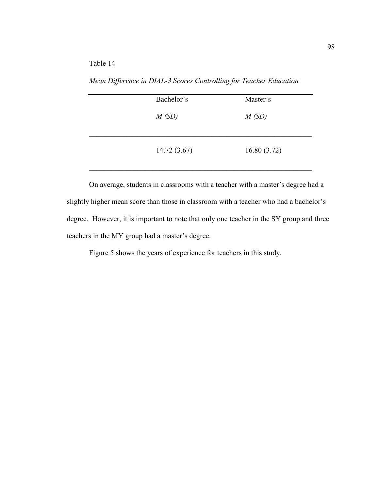Table 14

*Mean Difference in DIAL-3 Scores Controlling for Teacher Education* 

|  | Bachelor's  | Master's    |
|--|-------------|-------------|
|  | M(SD)       | M(SD)       |
|  |             |             |
|  | 14.72(3.67) | 16.80(3.72) |
|  |             |             |

On average, students in classrooms with a teacher with a master's degree had a slightly higher mean score than those in classroom with a teacher who had a bachelor's degree. However, it is important to note that only one teacher in the SY group and three teachers in the MY group had a master's degree.

Figure 5 shows the years of experience for teachers in this study.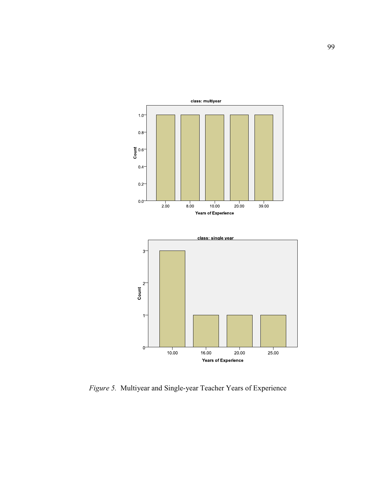

*Figure 5.* Multiyear and Single-year Teacher Years of Experience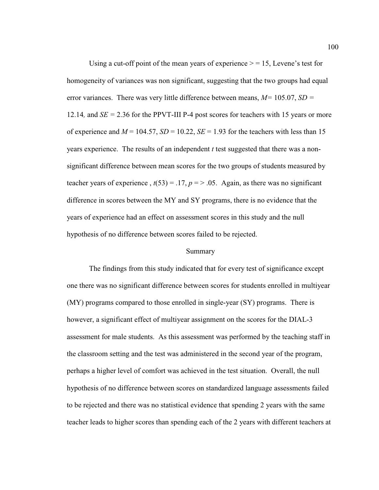Using a cut-off point of the mean years of experience  $> = 15$ , Levene's test for homogeneity of variances was non significant, suggesting that the two groups had equal error variances. There was very little difference between means, *M=* 105.07, *SD =*  12.14*,* and *SE =* 2.36 for the PPVT-III P-4 post scores for teachers with 15 years or more of experience and  $M = 104.57$ ,  $SD = 10.22$ ,  $SE = 1.93$  for the teachers with less than 15 years experience. The results of an independent *t* test suggested that there was a nonsignificant difference between mean scores for the two groups of students measured by teacher years of experience,  $t(53) = .17$ ,  $p = > .05$ . Again, as there was no significant difference in scores between the MY and SY programs, there is no evidence that the years of experience had an effect on assessment scores in this study and the null hypothesis of no difference between scores failed to be rejected.

#### Summary

The findings from this study indicated that for every test of significance except one there was no significant difference between scores for students enrolled in multiyear (MY) programs compared to those enrolled in single-year (SY) programs. There is however, a significant effect of multiyear assignment on the scores for the DIAL-3 assessment for male students. As this assessment was performed by the teaching staff in the classroom setting and the test was administered in the second year of the program, perhaps a higher level of comfort was achieved in the test situation. Overall, the null hypothesis of no difference between scores on standardized language assessments failed to be rejected and there was no statistical evidence that spending 2 years with the same teacher leads to higher scores than spending each of the 2 years with different teachers at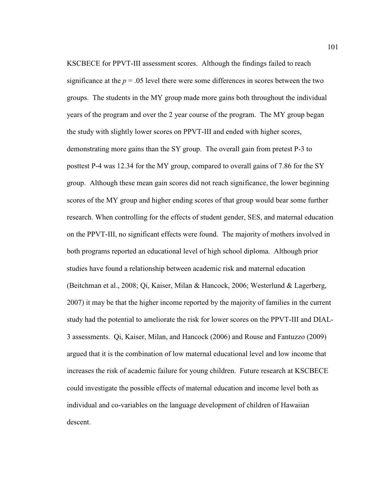KSCBECE for PPVT-III assessment scores. Although the findings failed to reach significance at the  $p = 0.05$  level there were some differences in scores between the two groups. The students in the MY group made more gains both throughout the individual years of the program and over the 2 year course of the program. The MY group began the study with slightly lower scores on PPVT-III and ended with higher scores, demonstrating more gains than the SY group. The overall gain from pretest P-3 to posttest P-4 was 12.34 for the MY group, compared to overall gains of 7.86 for the SY group. Although these mean gain scores did not reach significance, the lower beginning scores of the MY group and higher ending scores of that group would bear some further research. When controlling for the effects of student gender, SES, and maternal education on the PPVT-III, no significant effects were found. The majority of mothers involved in both programs reported an educational level of high school diploma. Although prior studies have found a relationship between academic risk and maternal education (Beitchman et al., 2008; Qi, Kaiser, Milan & Hancock, 2006; Westerlund & Lagerberg, 2007) it may be that the higher income reported by the majority of families in the current study had the potential to ameliorate the risk for lower scores on the PPVT-III and DIAL-3 assessments. Qi, Kaiser, Milan, and Hancock (2006) and Rouse and Fantuzzo (2009) argued that it is the combination of low maternal educational level and low income that increases the risk of academic failure for young children. Future research at KSCBECE could investigate the possible effects of maternal education and income level both as individual and co-variables on the language development of children of Hawaiian descent.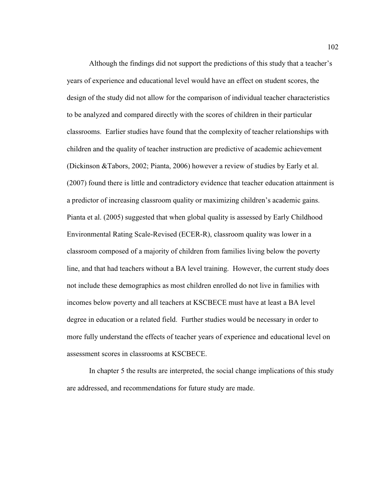Although the findings did not support the predictions of this study that a teacher's years of experience and educational level would have an effect on student scores, the design of the study did not allow for the comparison of individual teacher characteristics to be analyzed and compared directly with the scores of children in their particular classrooms. Earlier studies have found that the complexity of teacher relationships with children and the quality of teacher instruction are predictive of academic achievement (Dickinson &Tabors, 2002; Pianta, 2006) however a review of studies by Early et al. (2007) found there is little and contradictory evidence that teacher education attainment is a predictor of increasing classroom quality or maximizing children's academic gains. Pianta et al. (2005) suggested that when global quality is assessed by Early Childhood Environmental Rating Scale-Revised (ECER-R), classroom quality was lower in a classroom composed of a majority of children from families living below the poverty line, and that had teachers without a BA level training. However, the current study does not include these demographics as most children enrolled do not live in families with incomes below poverty and all teachers at KSCBECE must have at least a BA level degree in education or a related field. Further studies would be necessary in order to more fully understand the effects of teacher years of experience and educational level on assessment scores in classrooms at KSCBECE.

In chapter 5 the results are interpreted, the social change implications of this study are addressed, and recommendations for future study are made.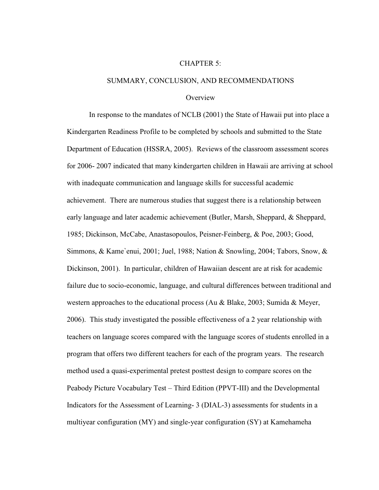#### CHAPTER 5:

#### SUMMARY, CONCLUSION, AND RECOMMENDATIONS

#### **Overview**

In response to the mandates of NCLB (2001) the State of Hawaii put into place a Kindergarten Readiness Profile to be completed by schools and submitted to the State Department of Education (HSSRA, 2005). Reviews of the classroom assessment scores for 2006- 2007 indicated that many kindergarten children in Hawaii are arriving at school with inadequate communication and language skills for successful academic achievement. There are numerous studies that suggest there is a relationship between early language and later academic achievement (Butler, Marsh, Sheppard, & Sheppard, 1985; Dickinson, McCabe, Anastasopoulos, Peisner-Feinberg, & Poe, 2003; Good, Simmons, & Kame`enui, 2001; Juel, 1988; Nation & Snowling, 2004; Tabors, Snow, & Dickinson, 2001). In particular, children of Hawaiian descent are at risk for academic failure due to socio-economic, language, and cultural differences between traditional and western approaches to the educational process (Au & Blake, 2003; Sumida & Meyer, 2006). This study investigated the possible effectiveness of a 2 year relationship with teachers on language scores compared with the language scores of students enrolled in a program that offers two different teachers for each of the program years. The research method used a quasi-experimental pretest posttest design to compare scores on the Peabody Picture Vocabulary Test – Third Edition (PPVT-III) and the Developmental Indicators for the Assessment of Learning- 3 (DIAL-3) assessments for students in a multiyear configuration (MY) and single-year configuration (SY) at Kamehameha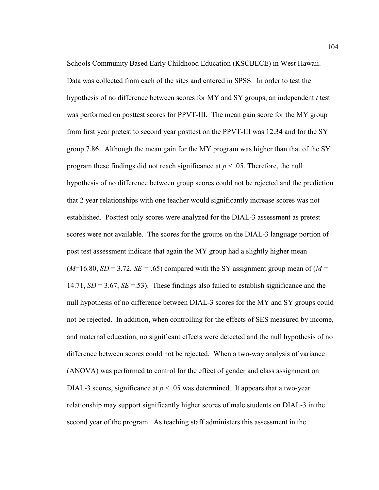Schools Community Based Early Childhood Education (KSCBECE) in West Hawaii. Data was collected from each of the sites and entered in SPSS. In order to test the hypothesis of no difference between scores for MY and SY groups, an independent *t* test was performed on posttest scores for PPVT-III. The mean gain score for the MY group from first year pretest to second year posttest on the PPVT-III was 12.34 and for the SY group 7.86. Although the mean gain for the MY program was higher than that of the SY program these findings did not reach significance at *p* < .05. Therefore, the null hypothesis of no difference between group scores could not be rejected and the prediction that 2 year relationships with one teacher would significantly increase scores was not established. Posttest only scores were analyzed for the DIAL-3 assessment as pretest scores were not available. The scores for the groups on the DIAL-3 language portion of post test assessment indicate that again the MY group had a slightly higher mean  $(M=16.80, SD=3.72, SE=.65)$  compared with the SY assignment group mean of  $(M=16.80, SD=3.72, SE=.65)$ 14.71,  $SD = 3.67$ ,  $SE = .53$ ). These findings also failed to establish significance and the null hypothesis of no difference between DIAL-3 scores for the MY and SY groups could not be rejected. In addition, when controlling for the effects of SES measured by income, and maternal education, no significant effects were detected and the null hypothesis of no difference between scores could not be rejected. When a two-way analysis of variance (ANOVA) was performed to control for the effect of gender and class assignment on DIAL-3 scores, significance at  $p < .05$  was determined. It appears that a two-year relationship may support significantly higher scores of male students on DIAL-3 in the second year of the program. As teaching staff administers this assessment in the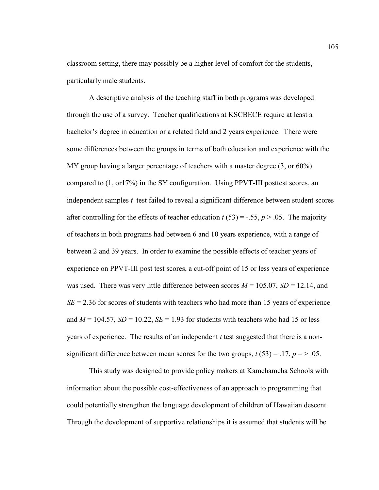classroom setting, there may possibly be a higher level of comfort for the students, particularly male students.

A descriptive analysis of the teaching staff in both programs was developed through the use of a survey. Teacher qualifications at KSCBECE require at least a bachelor's degree in education or a related field and 2 years experience. There were some differences between the groups in terms of both education and experience with the MY group having a larger percentage of teachers with a master degree (3, or 60%) compared to (1, or17%) in the SY configuration. Using PPVT-III posttest scores, an independent samples *t* test failed to reveal a significant difference between student scores after controlling for the effects of teacher education  $t$  (53) = -.55,  $p > .05$ . The majority of teachers in both programs had between 6 and 10 years experience, with a range of between 2 and 39 years. In order to examine the possible effects of teacher years of experience on PPVT-III post test scores, a cut-off point of 15 or less years of experience was used. There was very little difference between scores  $M = 105.07$ ,  $SD = 12.14$ , and  $SE = 2.36$  for scores of students with teachers who had more than 15 years of experience and  $M = 104.57$ ,  $SD = 10.22$ ,  $SE = 1.93$  for students with teachers who had 15 or less years of experience. The results of an independent *t* test suggested that there is a nonsignificant difference between mean scores for the two groups,  $t(53) = .17$ ,  $p = > .05$ .

This study was designed to provide policy makers at Kamehameha Schools with information about the possible cost-effectiveness of an approach to programming that could potentially strengthen the language development of children of Hawaiian descent. Through the development of supportive relationships it is assumed that students will be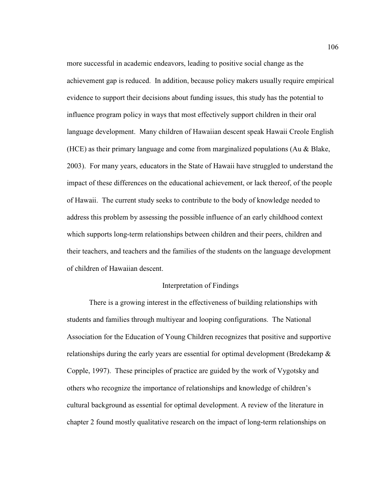more successful in academic endeavors, leading to positive social change as the achievement gap is reduced. In addition, because policy makers usually require empirical evidence to support their decisions about funding issues, this study has the potential to influence program policy in ways that most effectively support children in their oral language development. Many children of Hawaiian descent speak Hawaii Creole English (HCE) as their primary language and come from marginalized populations (Au & Blake, 2003). For many years, educators in the State of Hawaii have struggled to understand the impact of these differences on the educational achievement, or lack thereof, of the people of Hawaii. The current study seeks to contribute to the body of knowledge needed to address this problem by assessing the possible influence of an early childhood context which supports long-term relationships between children and their peers, children and their teachers, and teachers and the families of the students on the language development of children of Hawaiian descent.

### Interpretation of Findings

There is a growing interest in the effectiveness of building relationships with students and families through multiyear and looping configurations. The National Association for the Education of Young Children recognizes that positive and supportive relationships during the early years are essential for optimal development (Bredekamp & Copple, 1997). These principles of practice are guided by the work of Vygotsky and others who recognize the importance of relationships and knowledge of children's cultural background as essential for optimal development. A review of the literature in chapter 2 found mostly qualitative research on the impact of long-term relationships on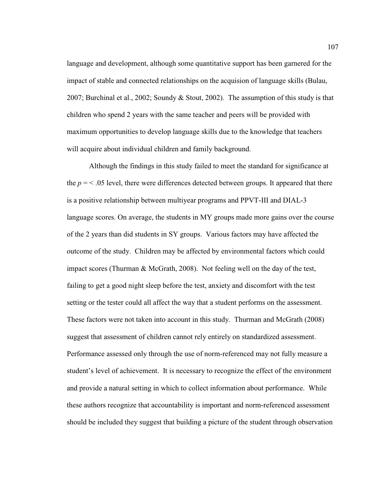language and development, although some quantitative support has been garnered for the impact of stable and connected relationships on the acquision of language skills (Bulau, 2007; Burchinal et al., 2002; Soundy & Stout, 2002). The assumption of this study is that children who spend 2 years with the same teacher and peers will be provided with maximum opportunities to develop language skills due to the knowledge that teachers will acquire about individual children and family background.

Although the findings in this study failed to meet the standard for significance at the  $p = 5.05$  level, there were differences detected between groups. It appeared that there is a positive relationship between multiyear programs and PPVT-III and DIAL-3 language scores. On average, the students in MY groups made more gains over the course of the 2 years than did students in SY groups. Various factors may have affected the outcome of the study. Children may be affected by environmental factors which could impact scores (Thurman & McGrath, 2008). Not feeling well on the day of the test, failing to get a good night sleep before the test, anxiety and discomfort with the test setting or the tester could all affect the way that a student performs on the assessment. These factors were not taken into account in this study. Thurman and McGrath (2008) suggest that assessment of children cannot rely entirely on standardized assessment. Performance assessed only through the use of norm-referenced may not fully measure a student's level of achievement. It is necessary to recognize the effect of the environment and provide a natural setting in which to collect information about performance. While these authors recognize that accountability is important and norm-referenced assessment should be included they suggest that building a picture of the student through observation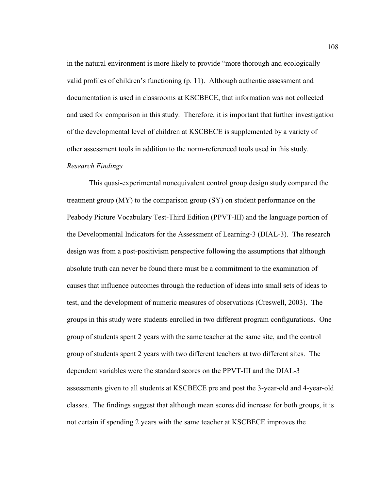in the natural environment is more likely to provide "more thorough and ecologically valid profiles of children's functioning (p. 11). Although authentic assessment and documentation is used in classrooms at KSCBECE, that information was not collected and used for comparison in this study. Therefore, it is important that further investigation of the developmental level of children at KSCBECE is supplemented by a variety of other assessment tools in addition to the norm-referenced tools used in this study.

### *Research Findings*

 This quasi-experimental nonequivalent control group design study compared the treatment group (MY) to the comparison group (SY) on student performance on the Peabody Picture Vocabulary Test-Third Edition (PPVT-III) and the language portion of the Developmental Indicators for the Assessment of Learning-3 (DIAL-3). The research design was from a post-positivism perspective following the assumptions that although absolute truth can never be found there must be a commitment to the examination of causes that influence outcomes through the reduction of ideas into small sets of ideas to test, and the development of numeric measures of observations (Creswell, 2003). The groups in this study were students enrolled in two different program configurations. One group of students spent 2 years with the same teacher at the same site, and the control group of students spent 2 years with two different teachers at two different sites. The dependent variables were the standard scores on the PPVT-III and the DIAL-3 assessments given to all students at KSCBECE pre and post the 3-year-old and 4-year-old classes. The findings suggest that although mean scores did increase for both groups, it is not certain if spending 2 years with the same teacher at KSCBECE improves the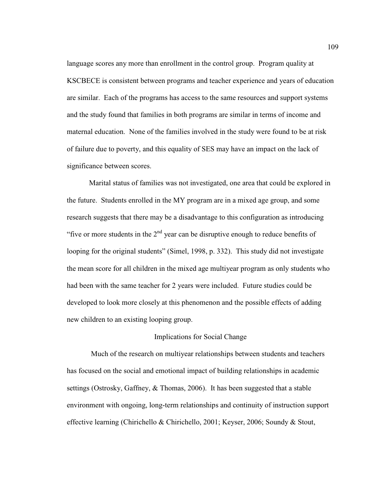language scores any more than enrollment in the control group. Program quality at KSCBECE is consistent between programs and teacher experience and years of education are similar. Each of the programs has access to the same resources and support systems and the study found that families in both programs are similar in terms of income and maternal education. None of the families involved in the study were found to be at risk of failure due to poverty, and this equality of SES may have an impact on the lack of significance between scores.

Marital status of families was not investigated, one area that could be explored in the future. Students enrolled in the MY program are in a mixed age group, and some research suggests that there may be a disadvantage to this configuration as introducing "five or more students in the  $2<sup>nd</sup>$  year can be disruptive enough to reduce benefits of looping for the original students" (Simel, 1998, p. 332). This study did not investigate the mean score for all children in the mixed age multiyear program as only students who had been with the same teacher for 2 years were included. Future studies could be developed to look more closely at this phenomenon and the possible effects of adding new children to an existing looping group.

## Implications for Social Change

 Much of the research on multiyear relationships between students and teachers has focused on the social and emotional impact of building relationships in academic settings (Ostrosky, Gaffney, & Thomas, 2006). It has been suggested that a stable environment with ongoing, long-term relationships and continuity of instruction support effective learning (Chirichello & Chirichello, 2001; Keyser, 2006; Soundy & Stout,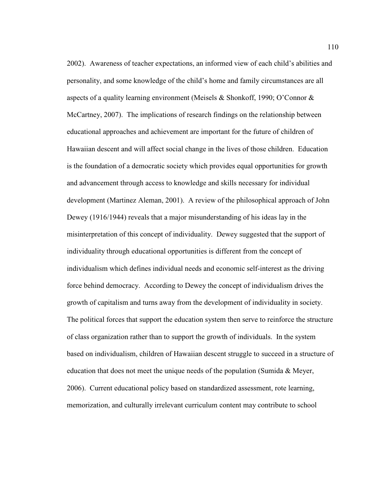2002). Awareness of teacher expectations, an informed view of each child's abilities and personality, and some knowledge of the child's home and family circumstances are all aspects of a quality learning environment (Meisels & Shonkoff, 1990; O'Connor  $\&$ McCartney, 2007). The implications of research findings on the relationship between educational approaches and achievement are important for the future of children of Hawaiian descent and will affect social change in the lives of those children. Education is the foundation of a democratic society which provides equal opportunities for growth and advancement through access to knowledge and skills necessary for individual development (Martinez Aleman, 2001). A review of the philosophical approach of John Dewey (1916/1944) reveals that a major misunderstanding of his ideas lay in the misinterpretation of this concept of individuality. Dewey suggested that the support of individuality through educational opportunities is different from the concept of individualism which defines individual needs and economic self-interest as the driving force behind democracy. According to Dewey the concept of individualism drives the growth of capitalism and turns away from the development of individuality in society. The political forces that support the education system then serve to reinforce the structure of class organization rather than to support the growth of individuals. In the system based on individualism, children of Hawaiian descent struggle to succeed in a structure of education that does not meet the unique needs of the population (Sumida & Meyer, 2006). Current educational policy based on standardized assessment, rote learning, memorization, and culturally irrelevant curriculum content may contribute to school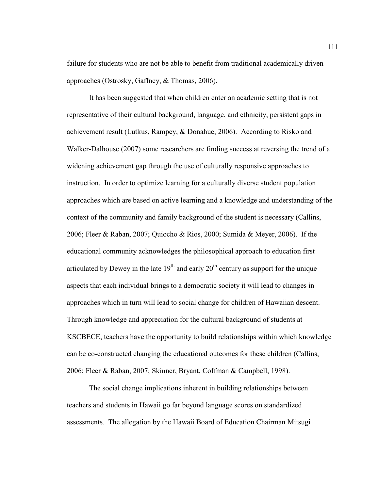failure for students who are not be able to benefit from traditional academically driven approaches (Ostrosky, Gaffney, & Thomas, 2006).

It has been suggested that when children enter an academic setting that is not representative of their cultural background, language, and ethnicity, persistent gaps in achievement result (Lutkus, Rampey, & Donahue, 2006). According to Risko and Walker-Dalhouse (2007) some researchers are finding success at reversing the trend of a widening achievement gap through the use of culturally responsive approaches to instruction. In order to optimize learning for a culturally diverse student population approaches which are based on active learning and a knowledge and understanding of the context of the community and family background of the student is necessary (Callins, 2006; Fleer & Raban, 2007; Quiocho & Rios, 2000; Sumida & Meyer, 2006). If the educational community acknowledges the philosophical approach to education first articulated by Dewey in the late  $19<sup>th</sup>$  and early  $20<sup>th</sup>$  century as support for the unique aspects that each individual brings to a democratic society it will lead to changes in approaches which in turn will lead to social change for children of Hawaiian descent. Through knowledge and appreciation for the cultural background of students at KSCBECE, teachers have the opportunity to build relationships within which knowledge can be co-constructed changing the educational outcomes for these children (Callins, 2006; Fleer & Raban, 2007; Skinner, Bryant, Coffman & Campbell, 1998).

The social change implications inherent in building relationships between teachers and students in Hawaii go far beyond language scores on standardized assessments. The allegation by the Hawaii Board of Education Chairman Mitsugi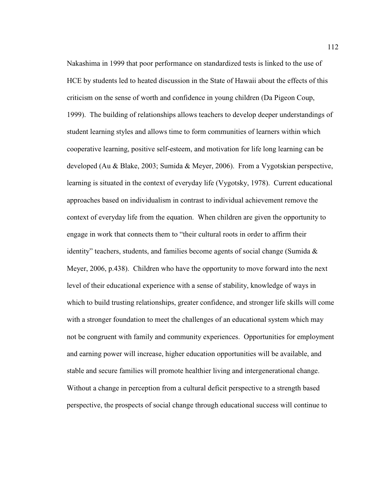Nakashima in 1999 that poor performance on standardized tests is linked to the use of HCE by students led to heated discussion in the State of Hawaii about the effects of this criticism on the sense of worth and confidence in young children (Da Pigeon Coup, 1999). The building of relationships allows teachers to develop deeper understandings of student learning styles and allows time to form communities of learners within which cooperative learning, positive self-esteem, and motivation for life long learning can be developed (Au & Blake, 2003; Sumida & Meyer, 2006). From a Vygotskian perspective, learning is situated in the context of everyday life (Vygotsky, 1978). Current educational approaches based on individualism in contrast to individual achievement remove the context of everyday life from the equation. When children are given the opportunity to engage in work that connects them to "their cultural roots in order to affirm their identity" teachers, students, and families become agents of social change (Sumida  $\&$ Meyer, 2006, p.438). Children who have the opportunity to move forward into the next level of their educational experience with a sense of stability, knowledge of ways in which to build trusting relationships, greater confidence, and stronger life skills will come with a stronger foundation to meet the challenges of an educational system which may not be congruent with family and community experiences. Opportunities for employment and earning power will increase, higher education opportunities will be available, and stable and secure families will promote healthier living and intergenerational change. Without a change in perception from a cultural deficit perspective to a strength based perspective, the prospects of social change through educational success will continue to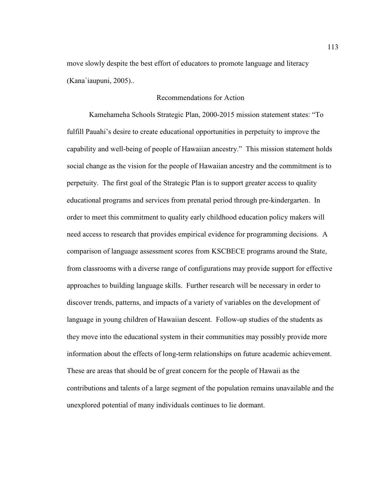move slowly despite the best effort of educators to promote language and literacy (Kana`iaupuni, 2005)..

## Recommendations for Action

Kamehameha Schools Strategic Plan, 2000-2015 mission statement states: "To fulfill Pauahi's desire to create educational opportunities in perpetuity to improve the capability and well-being of people of Hawaiian ancestry." This mission statement holds social change as the vision for the people of Hawaiian ancestry and the commitment is to perpetuity. The first goal of the Strategic Plan is to support greater access to quality educational programs and services from prenatal period through pre-kindergarten. In order to meet this commitment to quality early childhood education policy makers will need access to research that provides empirical evidence for programming decisions. A comparison of language assessment scores from KSCBECE programs around the State, from classrooms with a diverse range of configurations may provide support for effective approaches to building language skills. Further research will be necessary in order to discover trends, patterns, and impacts of a variety of variables on the development of language in young children of Hawaiian descent. Follow-up studies of the students as they move into the educational system in their communities may possibly provide more information about the effects of long-term relationships on future academic achievement. These are areas that should be of great concern for the people of Hawaii as the contributions and talents of a large segment of the population remains unavailable and the unexplored potential of many individuals continues to lie dormant.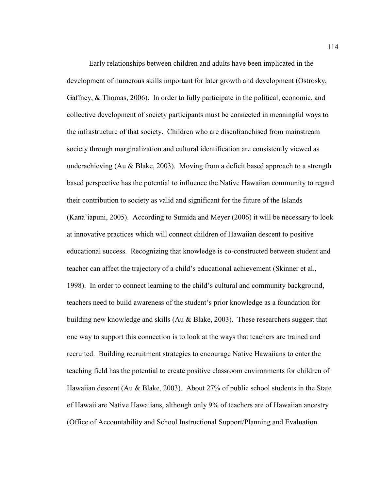Early relationships between children and adults have been implicated in the development of numerous skills important for later growth and development (Ostrosky, Gaffney, & Thomas, 2006). In order to fully participate in the political, economic, and collective development of society participants must be connected in meaningful ways to the infrastructure of that society. Children who are disenfranchised from mainstream society through marginalization and cultural identification are consistently viewed as underachieving (Au & Blake, 2003). Moving from a deficit based approach to a strength based perspective has the potential to influence the Native Hawaiian community to regard their contribution to society as valid and significant for the future of the Islands (Kana`iapuni, 2005). According to Sumida and Meyer (2006) it will be necessary to look at innovative practices which will connect children of Hawaiian descent to positive educational success. Recognizing that knowledge is co-constructed between student and teacher can affect the trajectory of a child's educational achievement (Skinner et al., 1998). In order to connect learning to the child's cultural and community background, teachers need to build awareness of the student's prior knowledge as a foundation for building new knowledge and skills (Au & Blake, 2003). These researchers suggest that one way to support this connection is to look at the ways that teachers are trained and recruited. Building recruitment strategies to encourage Native Hawaiians to enter the teaching field has the potential to create positive classroom environments for children of Hawaiian descent (Au & Blake, 2003). About 27% of public school students in the State of Hawaii are Native Hawaiians, although only 9% of teachers are of Hawaiian ancestry (Office of Accountability and School Instructional Support/Planning and Evaluation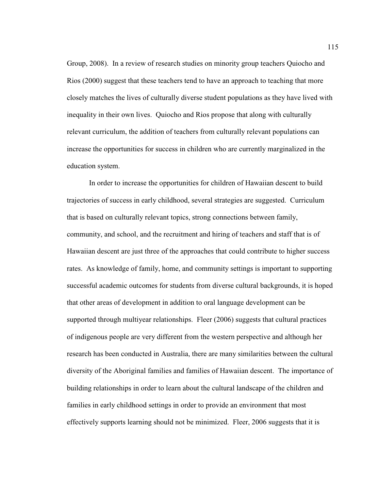Group, 2008). In a review of research studies on minority group teachers Quiocho and Rios (2000) suggest that these teachers tend to have an approach to teaching that more closely matches the lives of culturally diverse student populations as they have lived with inequality in their own lives. Quiocho and Rios propose that along with culturally relevant curriculum, the addition of teachers from culturally relevant populations can increase the opportunities for success in children who are currently marginalized in the education system.

In order to increase the opportunities for children of Hawaiian descent to build trajectories of success in early childhood, several strategies are suggested. Curriculum that is based on culturally relevant topics, strong connections between family, community, and school, and the recruitment and hiring of teachers and staff that is of Hawaiian descent are just three of the approaches that could contribute to higher success rates. As knowledge of family, home, and community settings is important to supporting successful academic outcomes for students from diverse cultural backgrounds, it is hoped that other areas of development in addition to oral language development can be supported through multiyear relationships. Fleer (2006) suggests that cultural practices of indigenous people are very different from the western perspective and although her research has been conducted in Australia, there are many similarities between the cultural diversity of the Aboriginal families and families of Hawaiian descent. The importance of building relationships in order to learn about the cultural landscape of the children and families in early childhood settings in order to provide an environment that most effectively supports learning should not be minimized. Fleer, 2006 suggests that it is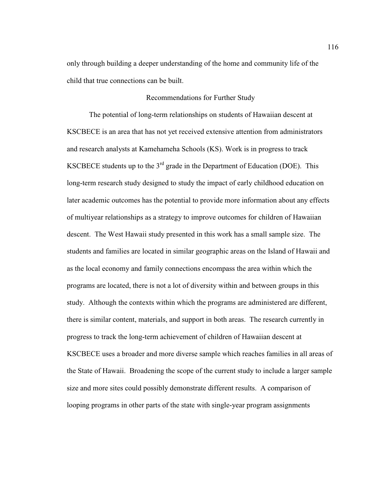only through building a deeper understanding of the home and community life of the child that true connections can be built.

#### Recommendations for Further Study

The potential of long-term relationships on students of Hawaiian descent at KSCBECE is an area that has not yet received extensive attention from administrators and research analysts at Kamehameha Schools (KS). Work is in progress to track KSCBECE students up to the  $3<sup>rd</sup>$  grade in the Department of Education (DOE). This long-term research study designed to study the impact of early childhood education on later academic outcomes has the potential to provide more information about any effects of multiyear relationships as a strategy to improve outcomes for children of Hawaiian descent. The West Hawaii study presented in this work has a small sample size. The students and families are located in similar geographic areas on the Island of Hawaii and as the local economy and family connections encompass the area within which the programs are located, there is not a lot of diversity within and between groups in this study. Although the contexts within which the programs are administered are different, there is similar content, materials, and support in both areas. The research currently in progress to track the long-term achievement of children of Hawaiian descent at KSCBECE uses a broader and more diverse sample which reaches families in all areas of the State of Hawaii. Broadening the scope of the current study to include a larger sample size and more sites could possibly demonstrate different results. A comparison of looping programs in other parts of the state with single-year program assignments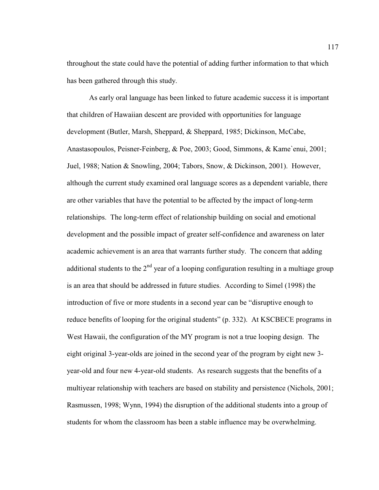throughout the state could have the potential of adding further information to that which has been gathered through this study.

As early oral language has been linked to future academic success it is important that children of Hawaiian descent are provided with opportunities for language development (Butler, Marsh, Sheppard, & Sheppard, 1985; Dickinson, McCabe, Anastasopoulos, Peisner-Feinberg, & Poe, 2003; Good, Simmons, & Kame`enui, 2001; Juel, 1988; Nation & Snowling, 2004; Tabors, Snow, & Dickinson, 2001). However, although the current study examined oral language scores as a dependent variable, there are other variables that have the potential to be affected by the impact of long-term relationships. The long-term effect of relationship building on social and emotional development and the possible impact of greater self-confidence and awareness on later academic achievement is an area that warrants further study. The concern that adding additional students to the  $2<sup>nd</sup>$  year of a looping configuration resulting in a multiage group is an area that should be addressed in future studies. According to Simel (1998) the introduction of five or more students in a second year can be "disruptive enough to reduce benefits of looping for the original students" (p. 332). At KSCBECE programs in West Hawaii, the configuration of the MY program is not a true looping design. The eight original 3-year-olds are joined in the second year of the program by eight new 3 year-old and four new 4-year-old students. As research suggests that the benefits of a multiyear relationship with teachers are based on stability and persistence (Nichols, 2001; Rasmussen, 1998; Wynn, 1994) the disruption of the additional students into a group of students for whom the classroom has been a stable influence may be overwhelming.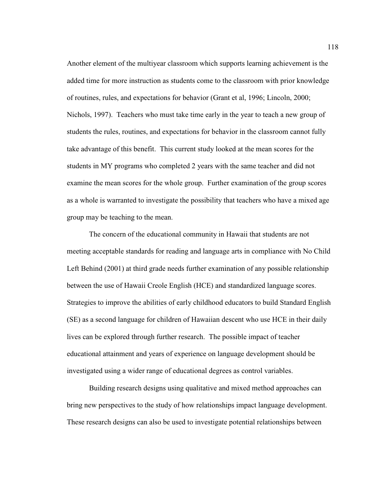Another element of the multiyear classroom which supports learning achievement is the added time for more instruction as students come to the classroom with prior knowledge of routines, rules, and expectations for behavior (Grant et al, 1996; Lincoln, 2000; Nichols, 1997). Teachers who must take time early in the year to teach a new group of students the rules, routines, and expectations for behavior in the classroom cannot fully take advantage of this benefit. This current study looked at the mean scores for the students in MY programs who completed 2 years with the same teacher and did not examine the mean scores for the whole group. Further examination of the group scores as a whole is warranted to investigate the possibility that teachers who have a mixed age group may be teaching to the mean.

The concern of the educational community in Hawaii that students are not meeting acceptable standards for reading and language arts in compliance with No Child Left Behind (2001) at third grade needs further examination of any possible relationship between the use of Hawaii Creole English (HCE) and standardized language scores. Strategies to improve the abilities of early childhood educators to build Standard English (SE) as a second language for children of Hawaiian descent who use HCE in their daily lives can be explored through further research. The possible impact of teacher educational attainment and years of experience on language development should be investigated using a wider range of educational degrees as control variables.

Building research designs using qualitative and mixed method approaches can bring new perspectives to the study of how relationships impact language development. These research designs can also be used to investigate potential relationships between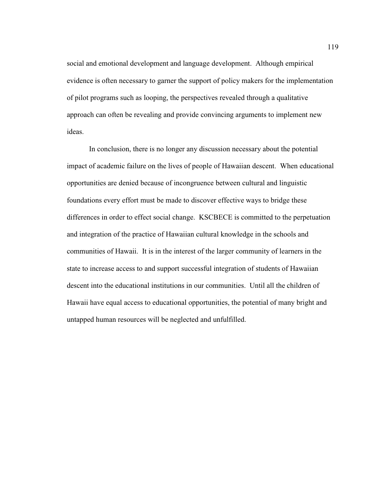social and emotional development and language development. Although empirical evidence is often necessary to garner the support of policy makers for the implementation of pilot programs such as looping, the perspectives revealed through a qualitative approach can often be revealing and provide convincing arguments to implement new ideas.

In conclusion, there is no longer any discussion necessary about the potential impact of academic failure on the lives of people of Hawaiian descent. When educational opportunities are denied because of incongruence between cultural and linguistic foundations every effort must be made to discover effective ways to bridge these differences in order to effect social change. KSCBECE is committed to the perpetuation and integration of the practice of Hawaiian cultural knowledge in the schools and communities of Hawaii. It is in the interest of the larger community of learners in the state to increase access to and support successful integration of students of Hawaiian descent into the educational institutions in our communities. Until all the children of Hawaii have equal access to educational opportunities, the potential of many bright and untapped human resources will be neglected and unfulfilled.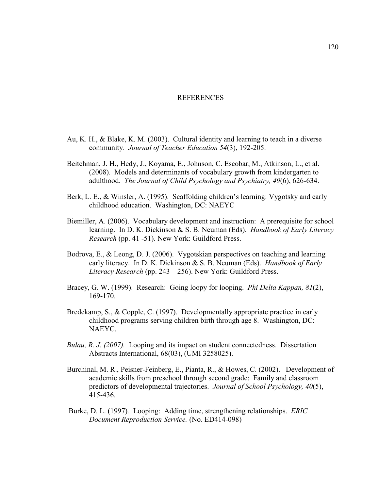#### REFERENCES

- Au, K. H., & Blake, K. M. (2003). Cultural identity and learning to teach in a diverse community. *Journal of Teacher Education 54*(3), 192-205.
- Beitchman, J. H., Hedy, J., Koyama, E., Johnson, C. Escobar, M., Atkinson, L., et al. (2008). Models and determinants of vocabulary growth from kindergarten to adulthood. *The Journal of Child Psychology and Psychiatry, 49*(6), 626-634.
- Berk, L. E., & Winsler, A. (1995). Scaffolding children's learning: Vygotsky and early childhood education. Washington, DC: NAEYC
- Biemiller, A. (2006). Vocabulary development and instruction: A prerequisite for school learning. In D. K. Dickinson & S. B. Neuman (Eds). *Handbook of Early Literacy Research* (pp. 41 -51). New York: Guildford Press.
- Bodrova, E., & Leong, D. J. (2006). Vygotskian perspectives on teaching and learning early literacy. In D. K. Dickinson & S. B. Neuman (Eds). *Handbook of Early Literacy Research* (pp. 243 – 256). New York: Guildford Press.
- Bracey, G. W. (1999). Research: Going loopy for looping. *Phi Delta Kappan, 81*(2), 169-170.
- Bredekamp, S., & Copple, C. (1997). Developmentally appropriate practice in early childhood programs serving children birth through age 8. Washington, DC: NAEYC.
- *Bulau, R. J. (2007).* Looping and its impact on student connectedness. Dissertation Abstracts International, 68(03), (UMI 3258025).
- Burchinal, M. R., Peisner-Feinberg, E., Pianta, R., & Howes, C. (2002). Development of academic skills from preschool through second grade: Family and classroom predictors of developmental trajectories. *Journal of School Psychology, 40*(5), 415-436.
- Burke, D. L. (1997)*.* Looping: Adding time, strengthening relationships. *ERIC Document Reproduction Service.* (No. ED414-098)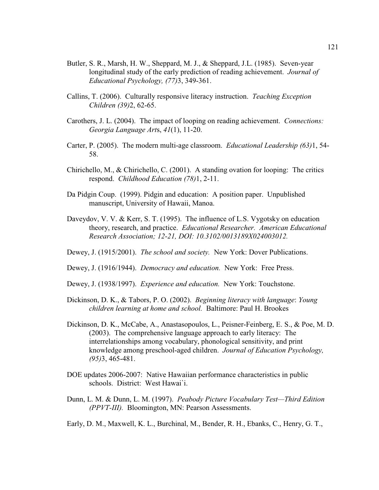- Butler, S. R., Marsh, H. W., Sheppard, M. J., & Sheppard, J.L. (1985). Seven-year longitudinal study of the early prediction of reading achievement. *Journal of Educational Psychology, (77)*3, 349-361.
- Callins, T. (2006). Culturally responsive literacy instruction. *Teaching Exception Children (39)*2, 62-65.
- Carothers, J. L. (2004). The impact of looping on reading achievement. *Connections: Georgia Language Art*s, *41*(1), 11-20.
- Carter, P. (2005). The modern multi-age classroom. *Educational Leadership (63)*1, 54- 58.
- Chirichello, M., & Chirichello, C. (2001). A standing ovation for looping: The critics respond. *Childhood Education (78)*1, 2-11.
- Da Pidgin Coup. (1999). Pidgin and education: A position paper. Unpublished manuscript, University of Hawaii, Manoa.
- Daveydov, V. V. & Kerr, S. T. (1995). The influence of L.S. Vygotsky on education theory, research, and practice. *Educational Researcher. American Educational Research Association; 12-21, DOI: 10.3102/0013189X024003012.*
- Dewey, J. (1915/2001). *The school and society.* New York: Dover Publications.
- Dewey, J. (1916/1944). *Democracy and education.* New York: Free Press.
- Dewey, J. (1938/1997). *Experience and education.* New York: Touchstone.
- Dickinson, D. K., & Tabors, P. O. (2002). *Beginning literacy with language*: *Young children learning at home and school.* Baltimore: Paul H. Brookes
- Dickinson, D. K., McCabe, A., Anastasopoulos, L., Peisner-Feinberg, E. S., & Poe, M. D. (2003). The comprehensive language approach to early literacy: The interrelationships among vocabulary, phonological sensitivity, and print knowledge among preschool-aged children. *Journal of Education Psychology, (95)*3, 465-481.
- DOE updates 2006-2007: Native Hawaiian performance characteristics in public schools. District: West Hawai`i.
- Dunn, L. M. & Dunn, L. M. (1997). *Peabody Picture Vocabulary Test—Third Edition (PPVT-III).* Bloomington, MN: Pearson Assessments.
- Early, D. M., Maxwell, K. L., Burchinal, M., Bender, R. H., Ebanks, C., Henry, G. T.,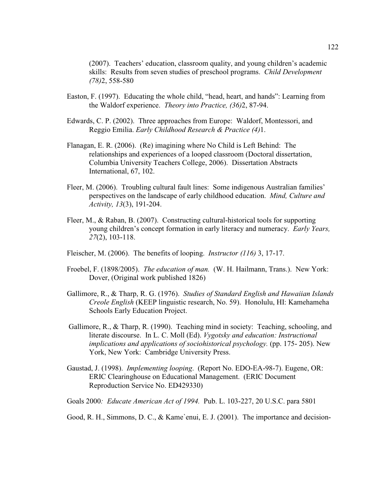(2007). Teachers' education, classroom quality, and young children's academic skills: Results from seven studies of preschool programs. *Child Development (78)*2, 558-580

- Easton, F. (1997). Educating the whole child, "head, heart, and hands": Learning from the Waldorf experience. *Theory into Practice, (36)*2, 87-94.
- Edwards, C. P. (2002). Three approaches from Europe: Waldorf, Montessori, and Reggio Emilia. *Early Childhood Research & Practice (4)*1.
- Flanagan, E. R. (2006). (Re) imagining where No Child is Left Behind: The relationships and experiences of a looped classroom (Doctoral dissertation, Columbia University Teachers College, 2006). Dissertation Abstracts International, 67, 102.
- Fleer, M. (2006). Troubling cultural fault lines: Some indigenous Australian families' perspectives on the landscape of early childhood education. *Mind, Culture and Activity, 13*(3), 191-204.
- Fleer, M., & Raban, B. (2007). Constructing cultural-historical tools for supporting young children's concept formation in early literacy and numeracy. *Early Years, 27*(2), 103-118.
- Fleischer, M. (2006). The benefits of looping. *Instructor (116)* 3, 17-17.
- Froebel, F. (1898/2005). *The education of man.* (W. H. Hailmann, Trans.). New York: Dover, (Original work published 1826)
- Gallimore, R., & Tharp, R. G. (1976). *Studies of Standard English and Hawaiian Islands Creole English* (KEEP linguistic research, No. 59). Honolulu, HI: Kamehameha Schools Early Education Project.
- Gallimore, R., & Tharp, R. (1990). Teaching mind in society: Teaching, schooling, and literate discourse. In L. C. Moll (Ed). *Vygotsky and education: Instructional implications and applications of sociohistorical psychology.* (pp. 175-205). New York, New York: Cambridge University Press.
- Gaustad, J. (1998). *Implementing looping*. (Report No. EDO-EA-98-7). Eugene, OR: ERIC Clearinghouse on Educational Management. (ERIC Document Reproduction Service No. ED429330)
- Goals 2000*: Educate American Act of 1994.* Pub. L. 103-227, 20 U.S.C. para 5801
- Good, R. H., Simmons, D. C., & Kame`enui, E. J. (2001). The importance and decision-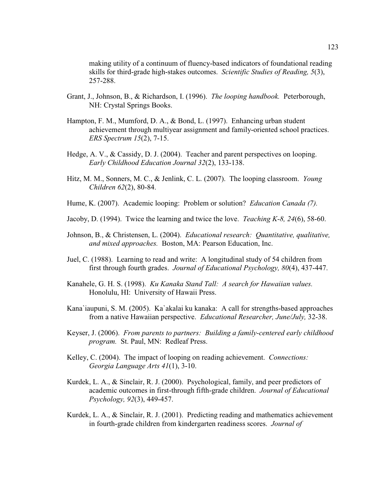making utility of a continuum of fluency-based indicators of foundational reading skills for third-grade high-stakes outcomes. *Scientific Studies of Reading, 5*(3), 257-288.

- Grant, J., Johnson, B., & Richardson, I. (1996). *The looping handbook.* Peterborough, NH: Crystal Springs Books.
- Hampton, F. M., Mumford, D. A., & Bond, L. (1997). Enhancing urban student achievement through multiyear assignment and family-oriented school practices. *ERS Spectrum 15*(2), 7-15.
- Hedge, A. V., & Cassidy, D. J. (2004). Teacher and parent perspectives on looping. *Early Childhood Education Journal 32*(2), 133-138.
- Hitz, M. M., Sonners, M. C., & Jenlink, C. L. (2007). The looping classroom. *Young Children 62*(2), 80-84.
- Hume, K. (2007). Academic looping: Problem or solution? *Education Canada (7).*
- Jacoby, D. (1994). Twice the learning and twice the love. *Teaching K-8, 24*(6), 58-60.
- Johnson, B., & Christensen, L. (2004). *Educational research: Quantitative, qualitative, and mixed approaches.* Boston, MA: Pearson Education, Inc.
- Juel, C. (1988). Learning to read and write: A longitudinal study of 54 children from first through fourth grades. *Journal of Educational Psychology, 80*(4), 437-447.
- Kanahele, G. H. S. (1998). *Ku Kanaka Stand Tall: A search for Hawaiian values.*  Honolulu, HI: University of Hawaii Press.
- Kana`iaupuni, S. M. (2005). Ka`akalai ku kanaka: A call for strengths-based approaches from a native Hawaiian perspective. *Educational Researcher, June/July,* 32-38.
- Keyser, J. (2006). *From parents to partners: Building a family-centered early childhood program.* St. Paul, MN: Redleaf Press.
- Kelley, C. (2004). The impact of looping on reading achievement. *Connections: Georgia Language Arts 41*(1), 3-10.
- Kurdek, L. A., & Sinclair, R. J. (2000). Psychological, family, and peer predictors of academic outcomes in first-through fifth-grade children. *Journal of Educational Psychology, 92*(3), 449-457.
- Kurdek, L. A., & Sinclair, R. J. (2001). Predicting reading and mathematics achievement in fourth-grade children from kindergarten readiness scores. *Journal of*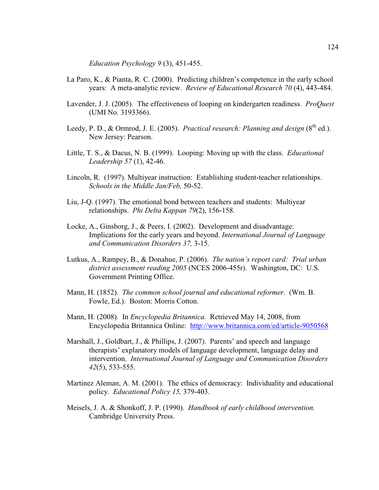*Education Psychology 9* (3), 451-455.

- La Paro, K., & Pianta, R. C. (2000). Predicting children's competence in the early school years: A meta-analytic review. *Review of Educational Research 70* (4), 443-484.
- Lavender, J. J. (2005). The effectiveness of looping on kindergarten readiness. *ProQuest* (UMI No. 3193366).
- Leedy, P. D., & Ormrod, J. E. (2005). *Practical research: Planning and design* (8<sup>th</sup> ed.). New Jersey: Pearson.
- Little, T. S., & Dacus, N. B. (1999). Looping: Moving up with the class. *Educational Leadership 57* (1), 42-46.
- Lincoln, R. (1997). Multiyear instruction: Establishing student-teacher relationships. *Schools in the Middle Jan/Feb,* 50-52.
- Liu, J-Q. (1997). The emotional bond between teachers and students: Multiyear relationships. *Phi Delta Kappan 79*(2), 156-158.
- Locke, A., Ginsborg, J., & Peers, I. (2002). Development and disadvantage: Implications for the early years and beyond. *International Journal of Language and Communication Disorders 37,* 3-15.
- Lutkus, A., Rampey, B., & Donahue, P. (2006). *The nation's report card: Trial urban district assessment reading 2005* (NCES 2006-455r). Washington, DC: U.S. Government Printing Office.
- Mann, H. (1852). *The common school journal and educational reformer.* (Wm. B. Fowle, Ed.). Boston: Morris Cotton.
- Mann, H. (2008). In *Encyclopedia Britannica.* Retrieved May 14, 2008, from Encyclopedia Britannica Online: http://www.britannica.com/ed/article-9050568
- Marshall, J., Goldbart, J., & Phillips, J. (2007). Parents' and speech and language therapists' explanatory models of language development, language delay and intervention. *International Journal of Language and Communication Disorders 42*(5), 533-555.
- Martinez Aleman, A. M. (2001). The ethics of democracy: Individuality and educational policy. *Educational Policy 15,* 379-403.
- Meisels, J. A. & Shonkoff, J. P. (1990). *Handbook of early childhood intervention.*  Cambridge University Press.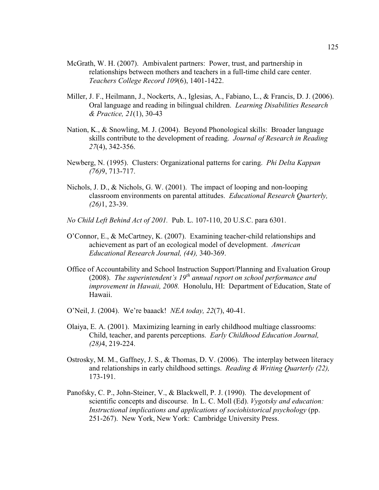- McGrath, W. H. (2007). Ambivalent partners: Power, trust, and partnership in relationships between mothers and teachers in a full-time child care center. *Teachers College Record 109*(6), 1401-1422.
- Miller, J. F., Heilmann, J., Nockerts, A., Iglesias, A., Fabiano, L., & Francis, D. J. (2006). Oral language and reading in bilingual children. *Learning Disabilities Research & Practice, 21*(1), 30-43
- Nation, K., & Snowling, M. J. (2004). Beyond Phonological skills: Broader language skills contribute to the development of reading. *Journal of Research in Reading 27*(4), 342-356.
- Newberg, N. (1995). Clusters: Organizational patterns for caring. *Phi Delta Kappan (76)*9, 713-717.
- Nichols, J. D., & Nichols, G. W. (2001). The impact of looping and non-looping classroom environments on parental attitudes. *Educational Research Quarterly, (26)*1, 23-39.
- *No Child Left Behind Act of 2001.* Pub. L. 107-110, 20 U.S.C. para 6301.
- O'Connor, E., & McCartney, K. (2007). Examining teacher-child relationships and achievement as part of an ecological model of development. *American Educational Research Journal, (44),* 340-369.
- Office of Accountability and School Instruction Support/Planning and Evaluation Group (2008). *The superintendent's 19th annual report on school performance and improvement in Hawaii, 2008.* Honolulu, HI: Department of Education, State of Hawaii.
- O'Neil, J. (2004). We're baaack! *NEA today, 22*(7), 40-41.
- Olaiya, E. A. (2001). Maximizing learning in early childhood multiage classrooms: Child, teacher, and parents perceptions. *Early Childhood Education Journal, (28)*4, 219-224.
- Ostrosky, M. M., Gaffney, J. S., & Thomas, D. V. (2006). The interplay between literacy and relationships in early childhood settings. *Reading & Writing Quarterly (22),* 173-191.
- Panofsky, C. P., John-Steiner, V., & Blackwell, P. J. (1990). The development of scientific concepts and discourse. In L. C. Moll (Ed). *Vygotsky and education: Instructional implications and applications of sociohistorical psychology* (pp. 251-267). New York, New York: Cambridge University Press.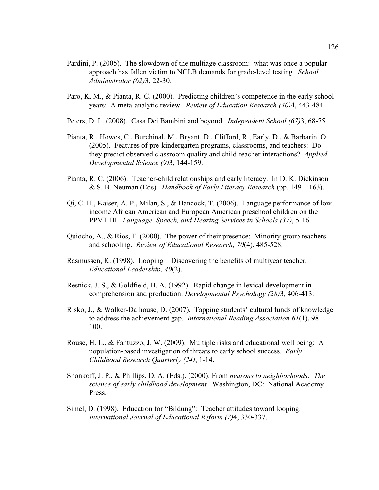- Pardini, P. (2005). The slowdown of the multiage classroom: what was once a popular approach has fallen victim to NCLB demands for grade-level testing. *School Administrator (62)*3, 22-30.
- Paro, K. M., & Pianta, R. C. (2000). Predicting children's competence in the early school years: A meta-analytic review. *Review of Education Research (40)*4, 443-484.
- Peters, D. L. (2008). Casa Dei Bambini and beyond. *Independent School (67)*3, 68-75.
- Pianta, R., Howes, C., Burchinal, M., Bryant, D., Clifford, R., Early, D., & Barbarin, O. (2005). Features of pre-kindergarten programs, classrooms, and teachers: Do they predict observed classroom quality and child-teacher interactions? *Applied Developmental Science (9)*3, 144-159.
- Pianta, R. C. (2006). Teacher-child relationships and early literacy. In D. K. Dickinson & S. B. Neuman (Eds). *Handbook of Early Literacy Research* (pp. 149 – 163).
- Qi, C. H., Kaiser, A. P., Milan, S., & Hancock, T. (2006). Language performance of lowincome African American and European American preschool children on the PPVT-III. *Language, Speech, and Hearing Services in Schools (37)*, 5-16.
- Quiocho, A., & Rios, F. (2000). The power of their presence: Minority group teachers and schooling. *Review of Educational Research, 70*(4), 485-528.
- Rasmussen, K. (1998). Looping Discovering the benefits of multiyear teacher. *Educational Leadership, 40*(2).
- Resnick, J. S., & Goldfield, B. A. (1992). Rapid change in lexical development in comprehension and production. *Developmental Psychology (28)*3*,* 406-413.
- Risko, J., & Walker-Dalhouse, D. (2007). Tapping students' cultural funds of knowledge to address the achievement gap*. International Reading Association 61*(1), 98- 100.
- Rouse, H. L., & Fantuzzo, J. W. (2009). Multiple risks and educational well being: A population-based investigation of threats to early school success. *Early Childhood Research Quarterly (24)*, 1-14.
- Shonkoff, J. P., & Phillips, D. A. (Eds.). (2000). From *neurons to neighborhoods: The science of early childhood development.* Washington, DC: National Academy Press.
- Simel, D. (1998). Education for "Bildung": Teacher attitudes toward looping. *International Journal of Educational Reform (7)*4, 330-337.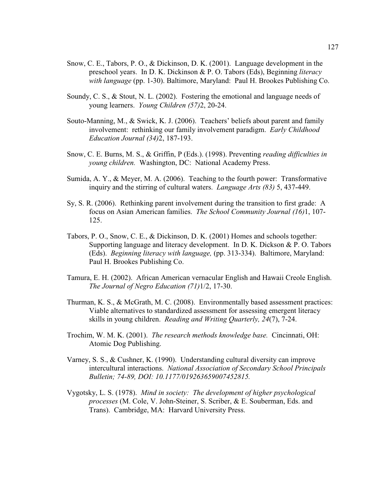- Snow, C. E., Tabors, P. O., & Dickinson, D. K. (2001). Language development in the preschool years. In D. K. Dickinson & P. O. Tabors (Eds), Beginning *literacy with language* (pp. 1-30). Baltimore, Maryland: Paul H. Brookes Publishing Co.
- Soundy, C. S., & Stout, N. L. (2002). Fostering the emotional and language needs of young learners. *Young Children (57)*2, 20-24.
- Souto-Manning, M., & Swick, K. J. (2006). Teachers' beliefs about parent and family involvement: rethinking our family involvement paradigm. *Early Childhood Education Journal (34)*2, 187-193.
- Snow, C. E. Burns, M. S., & Griffin, P (Eds.). (1998). Preventing *reading difficulties in young children.* Washington, DC: National Academy Press.
- Sumida, A. Y., & Meyer, M. A. (2006). Teaching to the fourth power: Transformative inquiry and the stirring of cultural waters. *Language Arts (83)* 5, 437-449.
- Sy, S. R. (2006). Rethinking parent involvement during the transition to first grade: A focus on Asian American families. *The School Community Journal (16)*1, 107- 125.
- Tabors, P. O., Snow, C. E., & Dickinson, D. K. (2001) Homes and schools together: Supporting language and literacy development. In D. K. Dickson & P. O. Tabors (Eds). *Beginning literacy with language,* (pp. 313-334). Baltimore, Maryland: Paul H. Brookes Publishing Co.
- Tamura, E. H. (2002). African American vernacular English and Hawaii Creole English. *The Journal of Negro Education (71)*1/2, 17-30.
- Thurman, K. S., & McGrath, M. C. (2008). Environmentally based assessment practices: Viable alternatives to standardized assessment for assessing emergent literacy skills in young children. *Reading and Writing Quarterly, 24*(7), 7-24.
- Trochim, W. M. K. (2001). *The research methods knowledge base.* Cincinnati, OH: Atomic Dog Publishing.
- Varney, S. S., & Cushner, K. (1990). Understanding cultural diversity can improve intercultural interactions. *National Association of Secondary School Principals Bulletin; 74-89, DOI: 10.1177/019263659007452815.*
- Vygotsky, L. S. (1978). *Mind in society: The development of higher psychological processes* (M. Cole, V. John-Steiner, S. Scriber, & E. Souberman, Eds. and Trans). Cambridge, MA: Harvard University Press.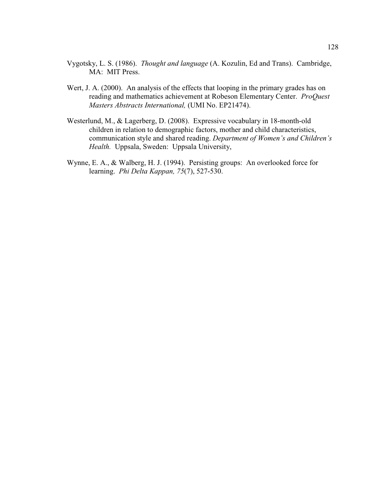- Vygotsky, L. S. (1986). *Thought and language* (A. Kozulin, Ed and Trans). Cambridge, MA: MIT Press.
- Wert, J. A. (2000). An analysis of the effects that looping in the primary grades has on reading and mathematics achievement at Robeson Elementary Center. *ProQuest Masters Abstracts International,* (UMI No. EP21474).
- Westerlund, M., & Lagerberg, D. (2008). Expressive vocabulary in 18-month-old children in relation to demographic factors, mother and child characteristics, communication style and shared reading. *Department of Women's and Children's Health.* Uppsala, Sweden: Uppsala University,
- Wynne, E. A., & Walberg, H. J. (1994). Persisting groups: An overlooked force for learning. *Phi Delta Kappan, 75*(7), 527-530.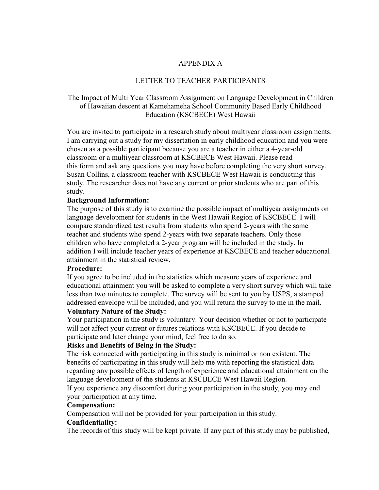## APPENDIX A

## LETTER TO TEACHER PARTICIPANTS

# The Impact of Multi Year Classroom Assignment on Language Development in Children of Hawaiian descent at Kamehameha School Community Based Early Childhood Education (KSCBECE) West Hawaii

You are invited to participate in a research study about multiyear classroom assignments. I am carrying out a study for my dissertation in early childhood education and you were chosen as a possible participant because you are a teacher in either a 4-year-old classroom or a multiyear classroom at KSCBECE West Hawaii. Please read this form and ask any questions you may have before completing the very short survey. Susan Collins, a classroom teacher with KSCBECE West Hawaii is conducting this study. The researcher does not have any current or prior students who are part of this study.

## **Background Information:**

The purpose of this study is to examine the possible impact of multiyear assignments on language development for students in the West Hawaii Region of KSCBECE. I will compare standardized test results from students who spend 2-years with the same teacher and students who spend 2-years with two separate teachers. Only those children who have completed a 2-year program will be included in the study. In addition I will include teacher years of experience at KSCBECE and teacher educational attainment in the statistical review.

## **Procedure:**

If you agree to be included in the statistics which measure years of experience and educational attainment you will be asked to complete a very short survey which will take less than two minutes to complete. The survey will be sent to you by USPS, a stamped addressed envelope will be included, and you will return the survey to me in the mail.

## **Voluntary Nature of the Study:**

Your participation in the study is voluntary. Your decision whether or not to participate will not affect your current or futures relations with KSCBECE. If you decide to participate and later change your mind, feel free to do so.

# **Risks and Benefits of Being in the Study:**

The risk connected with participating in this study is minimal or non existent. The benefits of participating in this study will help me with reporting the statistical data regarding any possible effects of length of experience and educational attainment on the language development of the students at KSCBECE West Hawaii Region.

If you experience any discomfort during your participation in the study, you may end your participation at any time.

# **Compensation:**

Compensation will not be provided for your participation in this study.

## **Confidentiality:**

The records of this study will be kept private. If any part of this study may be published,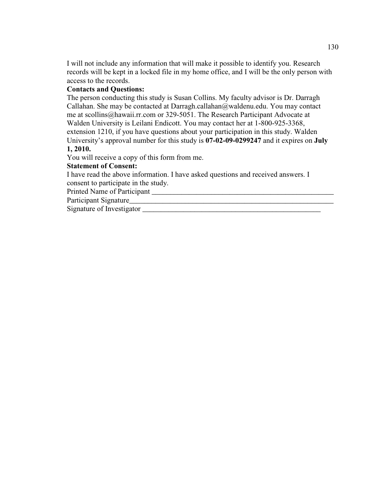I will not include any information that will make it possible to identify you. Research records will be kept in a locked file in my home office, and I will be the only person with access to the records.

## **Contacts and Questions:**

The person conducting this study is Susan Collins. My faculty advisor is Dr. Darragh Callahan. She may be contacted at Darragh.callahan@waldenu.edu. You may contact me at scollins@hawaii.rr.com or 329-5051. The Research Participant Advocate at Walden University is Leilani Endicott. You may contact her at 1-800-925-3368, extension 1210, if you have questions about your participation in this study. Walden University's approval number for this study is **07-02-09-0299247** and it expires on **July 1, 2010.** 

You will receive a copy of this form from me.

## **Statement of Consent:**

I have read the above information. I have asked questions and received answers. I consent to participate in the study.

Printed Name of Participant \_\_\_\_\_\_\_\_\_\_\_\_\_\_\_\_\_\_\_\_\_\_\_\_\_\_\_\_\_\_\_\_\_\_\_\_\_\_\_\_\_\_\_\_\_\_\_\_\_

Participant Signature

Signature of Investigator \_\_\_\_\_\_\_\_\_\_\_\_\_\_\_\_\_\_\_\_\_\_\_\_\_\_\_\_\_\_\_\_\_\_\_\_\_\_\_\_\_\_\_\_\_\_\_\_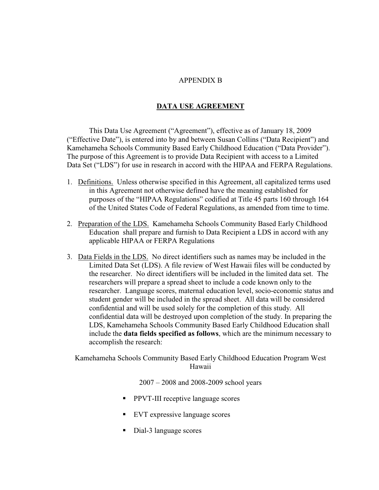## APPENDIX B

## **DATA USE AGREEMENT**

This Data Use Agreement ("Agreement"), effective as of January 18, 2009 ("Effective Date"), is entered into by and between Susan Collins ("Data Recipient") and Kamehameha Schools Community Based Early Childhood Education ("Data Provider"). The purpose of this Agreement is to provide Data Recipient with access to a Limited Data Set ("LDS") for use in research in accord with the HIPAA and FERPA Regulations.

- 1. Definitions. Unless otherwise specified in this Agreement, all capitalized terms used in this Agreement not otherwise defined have the meaning established for purposes of the "HIPAA Regulations" codified at Title 45 parts 160 through 164 of the United States Code of Federal Regulations, as amended from time to time.
- 2. Preparation of the LDS. Kamehameha Schools Community Based Early Childhood Education shall prepare and furnish to Data Recipient a LDS in accord with any applicable HIPAA or FERPA Regulations
- 3. Data Fields in the LDS. No direct identifiers such as names may be included in the Limited Data Set (LDS). A file review of West Hawaii files will be conducted by the researcher. No direct identifiers will be included in the limited data set. The researchers will prepare a spread sheet to include a code known only to the researcher. Language scores, maternal education level, socio-economic status and student gender will be included in the spread sheet. All data will be considered confidential and will be used solely for the completion of this study. All confidential data will be destroyed upon completion of the study. In preparing the LDS, Kamehameha Schools Community Based Early Childhood Education shall include the **data fields specified as follows**, which are the minimum necessary to accomplish the research:

Kamehameha Schools Community Based Early Childhood Education Program West Hawaii

2007 – 2008 and 2008-2009 school years

- **PPVT-III receptive language scores**
- **EVT** expressive language scores
- Dial-3 language scores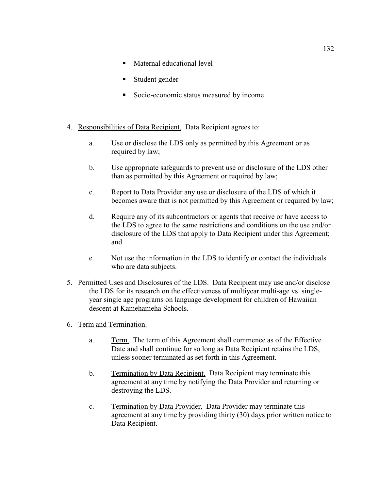- Maternal educational level
- Student gender
- Socio-economic status measured by income
- 4. Responsibilities of Data Recipient. Data Recipient agrees to:
	- a. Use or disclose the LDS only as permitted by this Agreement or as required by law;
	- b. Use appropriate safeguards to prevent use or disclosure of the LDS other than as permitted by this Agreement or required by law;
	- c. Report to Data Provider any use or disclosure of the LDS of which it becomes aware that is not permitted by this Agreement or required by law;
	- d. Require any of its subcontractors or agents that receive or have access to the LDS to agree to the same restrictions and conditions on the use and/or disclosure of the LDS that apply to Data Recipient under this Agreement; and
	- e. Not use the information in the LDS to identify or contact the individuals who are data subjects.
- 5. Permitted Uses and Disclosures of the LDS. Data Recipient may use and/or disclose the LDS for its research on the effectiveness of multiyear multi-age vs. singleyear single age programs on language development for children of Hawaiian descent at Kamehameha Schools.
- 6. Term and Termination.
	- a. Term. The term of this Agreement shall commence as of the Effective Date and shall continue for so long as Data Recipient retains the LDS, unless sooner terminated as set forth in this Agreement.
	- b. Termination by Data Recipient. Data Recipient may terminate this agreement at any time by notifying the Data Provider and returning or destroying the LDS.
	- c. Termination by Data Provider. Data Provider may terminate this agreement at any time by providing thirty (30) days prior written notice to Data Recipient.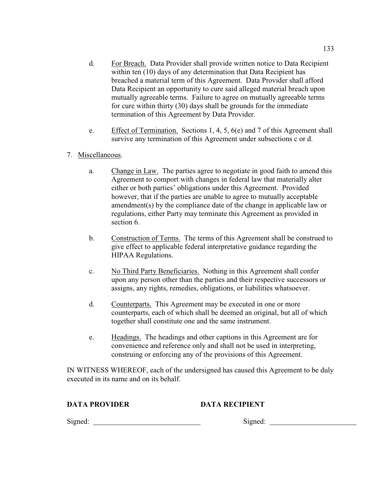- d. For Breach. Data Provider shall provide written notice to Data Recipient within ten (10) days of any determination that Data Recipient has breached a material term of this Agreement. Data Provider shall afford Data Recipient an opportunity to cure said alleged material breach upon mutually agreeable terms. Failure to agree on mutually agreeable terms for cure within thirty (30) days shall be grounds for the immediate termination of this Agreement by Data Provider.
- e. Effect of Termination. Sections 1, 4, 5, 6(e) and 7 of this Agreement shall survive any termination of this Agreement under subsections c or d.
- 7. Miscellaneous.
	- a. Change in Law. The parties agree to negotiate in good faith to amend this Agreement to comport with changes in federal law that materially alter either or both parties' obligations under this Agreement. Provided however, that if the parties are unable to agree to mutually acceptable amendment(s) by the compliance date of the change in applicable law or regulations, either Party may terminate this Agreement as provided in section 6.
	- b. Construction of Terms. The terms of this Agreement shall be construed to give effect to applicable federal interpretative guidance regarding the HIPAA Regulations.
	- c. No Third Party Beneficiaries. Nothing in this Agreement shall confer upon any person other than the parties and their respective successors or assigns, any rights, remedies, obligations, or liabilities whatsoever.
	- d. Counterparts. This Agreement may be executed in one or more counterparts, each of which shall be deemed an original, but all of which together shall constitute one and the same instrument.
	- e. Headings. The headings and other captions in this Agreement are for convenience and reference only and shall not be used in interpreting, construing or enforcing any of the provisions of this Agreement.

IN WITNESS WHEREOF, each of the undersigned has caused this Agreement to be duly executed in its name and on its behalf.

## **DATA PROVIDER DATA RECIPIENT**

Signed: Signed: Signed: Signed: Signed: Signed: Signed: Signed: Signed: Signed: Signed: Signed: Signed: Signed: Signed: Signed: Signed: Signed: Signed: Signed: Signed: Signed: Signed: Signed: Signed: Signed: Signed: Signed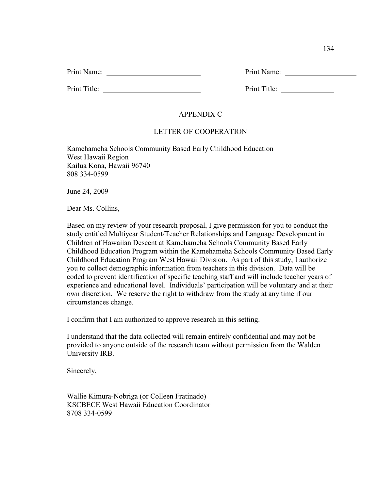| Print Name: | Print Name: |  |
|-------------|-------------|--|
|             |             |  |

Print Title: Print Title:

# APPENDIX C

# LETTER OF COOPERATION

Kamehameha Schools Community Based Early Childhood Education West Hawaii Region Kailua Kona, Hawaii 96740 808 334-0599

June 24, 2009

Dear Ms. Collins,

Based on my review of your research proposal, I give permission for you to conduct the study entitled Multiyear Student/Teacher Relationships and Language Development in Children of Hawaiian Descent at Kamehameha Schools Community Based Early Childhood Education Program within the Kamehameha Schools Community Based Early Childhood Education Program West Hawaii Division. As part of this study, I authorize you to collect demographic information from teachers in this division. Data will be coded to prevent identification of specific teaching staff and will include teacher years of experience and educational level. Individuals' participation will be voluntary and at their own discretion. We reserve the right to withdraw from the study at any time if our circumstances change.

I confirm that I am authorized to approve research in this setting.

I understand that the data collected will remain entirely confidential and may not be provided to anyone outside of the research team without permission from the Walden University IRB.

Sincerely,

Wallie Kimura-Nobriga (or Colleen Fratinado) KSCBECE West Hawaii Education Coordinator 8708 334-0599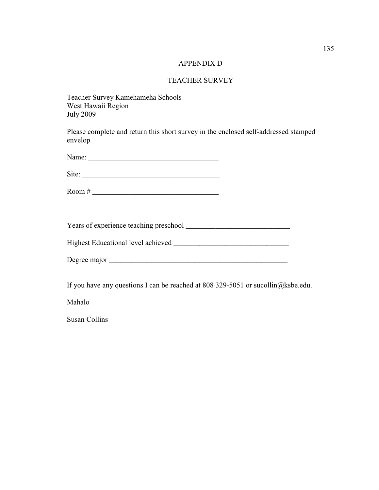## APPENDIX D

## TEACHER SURVEY

Teacher Survey Kamehameha Schools West Hawaii Region July 2009

Please complete and return this short survey in the enclosed self-addressed stamped envelop

Name: \_\_\_\_\_\_\_\_\_\_\_\_\_\_\_\_\_\_\_\_\_\_\_\_\_\_\_\_\_\_\_\_\_\_\_

Site:

Room # \_\_\_\_\_\_\_\_\_\_\_\_\_\_\_\_\_\_\_\_\_\_\_\_\_\_\_\_\_\_\_\_\_\_

Years of experience teaching preschool \_\_\_\_\_\_\_\_\_\_\_\_\_\_\_\_\_\_\_\_\_\_\_\_\_\_\_\_

Highest Educational level achieved \_\_\_\_\_\_\_\_\_\_\_\_\_\_\_\_\_\_\_\_\_\_\_\_\_\_\_\_\_\_\_

Degree major \_\_\_\_\_\_\_\_\_\_\_\_\_\_\_\_\_\_\_\_\_\_\_\_\_\_\_\_\_\_\_\_\_\_\_\_\_\_\_\_\_\_\_\_\_\_\_\_

If you have any questions I can be reached at 808 329-5051 or sucollin@ksbe.edu.

Mahalo

Susan Collins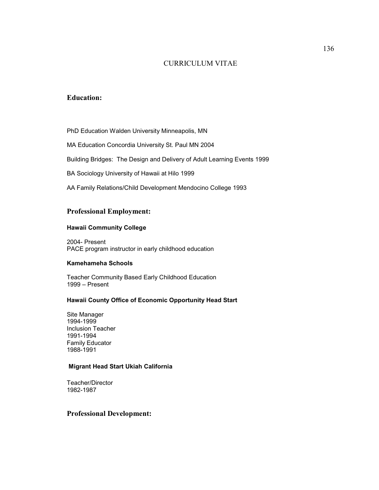## CURRICULUM VITAE

## **Education:**

PhD Education Walden University Minneapolis, MN

MA Education Concordia University St. Paul MN 2004

Building Bridges: The Design and Delivery of Adult Learning Events 1999

BA Sociology University of Hawaii at Hilo 1999

AA Family Relations/Child Development Mendocino College 1993

### **Professional Employment:**

#### **Hawaii Community College**

2004- Present PACE program instructor in early childhood education

### **Kamehameha Schools**

Teacher Community Based Early Childhood Education 1999 – Present

### **Hawaii County Office of Economic Opportunity Head Start**

Site Manager 1994-1999 Inclusion Teacher 1991-1994 Family Educator 1988-1991

#### **Migrant Head Start Ukiah California**

Teacher/Director 1982-1987

## **Professional Development:**